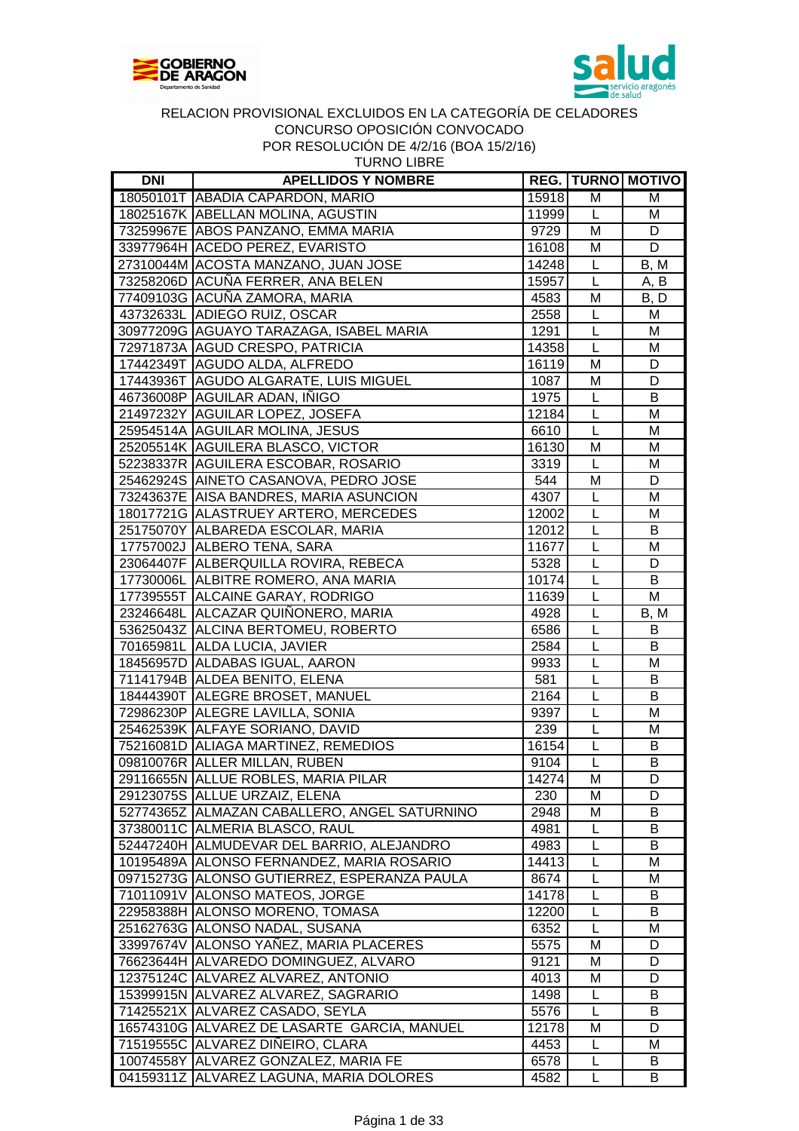



| <b>TURNO LIBRE</b> |
|--------------------|
|--------------------|

| DNI | <b>APELLIDOS Y NOMBRE</b>                      |       |             | <b>REG.   TURNO   MOTIVO</b> |
|-----|------------------------------------------------|-------|-------------|------------------------------|
|     | 18050101T ABADIA CAPARDON, MARIO               | 15918 | M           | M                            |
|     | 18025167K ABELLAN MOLINA, AGUSTIN              | 11999 | L           | м                            |
|     | 73259967E ABOS PANZANO, EMMA MARIA             | 9729  | M           | D                            |
|     | 33977964H ACEDO PEREZ, EVARISTO                | 16108 | M           | D                            |
|     | 27310044M ACOSTA MANZANO, JUAN JOSE            | 14248 | L           | B, M                         |
|     | 73258206D ACUÑA FERRER, ANA BELEN              | 15957 | L           | A, B                         |
|     | 77409103G ACUÑA ZAMORA, MARIA                  | 4583  | M           | B, D                         |
|     | 43732633L ADIEGO RUIZ, OSCAR                   | 2558  | L           | M                            |
|     | 30977209G AGUAYO TARAZAGA, ISABEL MARIA        | 1291  | L           | M                            |
|     | 72971873A AGUD CRESPO, PATRICIA                | 14358 | L           | M                            |
|     | 17442349T AGUDO ALDA, ALFREDO                  | 16119 | M           | D                            |
|     | 17443936T AGUDO ALGARATE, LUIS MIGUEL          | 1087  | M           | D                            |
|     | 46736008P AGUILAR ADAN, INIGO                  | 1975  | L           | B                            |
|     | 21497232Y AGUILAR LOPEZ, JOSEFA                | 12184 | $\mathsf L$ | M                            |
|     | 25954514A AGUILAR MOLINA, JESUS                | 6610  | L           | M                            |
|     | 25205514K AGUILERA BLASCO, VICTOR              | 16130 | M           | M                            |
|     | 52238337R AGUILERA ESCOBAR, ROSARIO            | 3319  | L           | M                            |
|     | 25462924S AINETO CASANOVA, PEDRO JOSE          | 544   | M           | D                            |
|     | 73243637E AISA BANDRES, MARIA ASUNCION         | 4307  | L           | M                            |
|     | 18017721G ALASTRUEY ARTERO, MERCEDES           | 12002 | L           | M                            |
|     | 25175070Y ALBAREDA ESCOLAR, MARIA              | 12012 | L           | B                            |
|     | 17757002J ALBERO TENA, SARA                    | 11677 | L           | M                            |
|     | 23064407F ALBERQUILLA ROVIRA, REBECA           | 5328  | L           | D                            |
|     | 17730006L ALBITRE ROMERO, ANA MARIA            | 10174 | L           | B                            |
|     | 17739555T ALCAINE GARAY, RODRIGO               | 11639 | L           | M                            |
|     | 23246648L ALCAZAR QUIÑONERO, MARIA             | 4928  | L           | B, M                         |
|     | 53625043Z ALCINA BERTOMEU, ROBERTO             | 6586  | L           | B                            |
|     | 70165981L ALDA LUCIA, JAVIER                   | 2584  | L           | B                            |
|     | 18456957D ALDABAS IGUAL, AARON                 | 9933  | L           | M                            |
|     | 71141794B ALDEA BENITO, ELENA                  | 581   | L           | B                            |
|     | 18444390T ALEGRE BROSET, MANUEL                | 2164  | L           | B                            |
|     | 72986230P ALEGRE LAVILLA, SONIA                | 9397  | L           | M                            |
|     | 25462539K ALFAYE SORIANO, DAVID                | 239   | L           | M                            |
|     | 75216081D ALIAGA MARTINEZ, REMEDIOS            | 16154 | L           | B                            |
|     | 09810076R ALLER MILLAN, RUBEN                  | 9104  | L           | B                            |
|     | 29116655N ALLUE ROBLES, MARIA PILAR            | 14274 | M           | $\overline{D}$               |
|     | 29123075S ALLUE URZAIZ, ELENA                  | 230   | м           | D                            |
|     | 52774365Z   ALMAZAN CABALLERO, ANGEL SATURNINO | 2948  | M           | B                            |
|     | 37380011C ALMERIA BLASCO, RAUL                 | 4981  | L           | B                            |
|     | 52447240H ALMUDEVAR DEL BARRIO, ALEJANDRO      | 4983  | L           | B                            |
|     | 10195489A ALONSO FERNANDEZ, MARIA ROSARIO      | 14413 | L           | Μ                            |
|     | 09715273G ALONSO GUTIERREZ, ESPERANZA PAULA    | 8674  | L           | м                            |
|     | 71011091V ALONSO MATEOS, JORGE                 | 14178 | L           | B                            |
|     | 22958388H ALONSO MORENO, TOMASA                | 12200 | L           | B                            |
|     | 25162763G ALONSO NADAL, SUSANA                 | 6352  | L           | M                            |
|     | 33997674V ALONSO YAÑEZ, MARIA PLACERES         | 5575  | M           | D                            |
|     | 76623644H ALVAREDO DOMINGUEZ, ALVARO           | 9121  | M           | D                            |
|     | 12375124C ALVAREZ ALVAREZ, ANTONIO             | 4013  | M           | D                            |
|     | 15399915N ALVAREZ ALVAREZ, SAGRARIO            | 1498  | L           | B                            |
|     | 71425521X ALVAREZ CASADO, SEYLA                | 5576  | L           | B                            |
|     | 16574310G ALVAREZ DE LASARTE GARCIA, MANUEL    | 12178 | M           | D                            |
|     | 71519555C ALVAREZ DIÑEIRO, CLARA               | 4453  | L           | м                            |
|     | 10074558Y ALVAREZ GONZALEZ, MARIA FE           | 6578  | L           | B                            |
|     | 04159311Z ALVAREZ LAGUNA, MARIA DOLORES        | 4582  | L           | В                            |
|     |                                                |       |             |                              |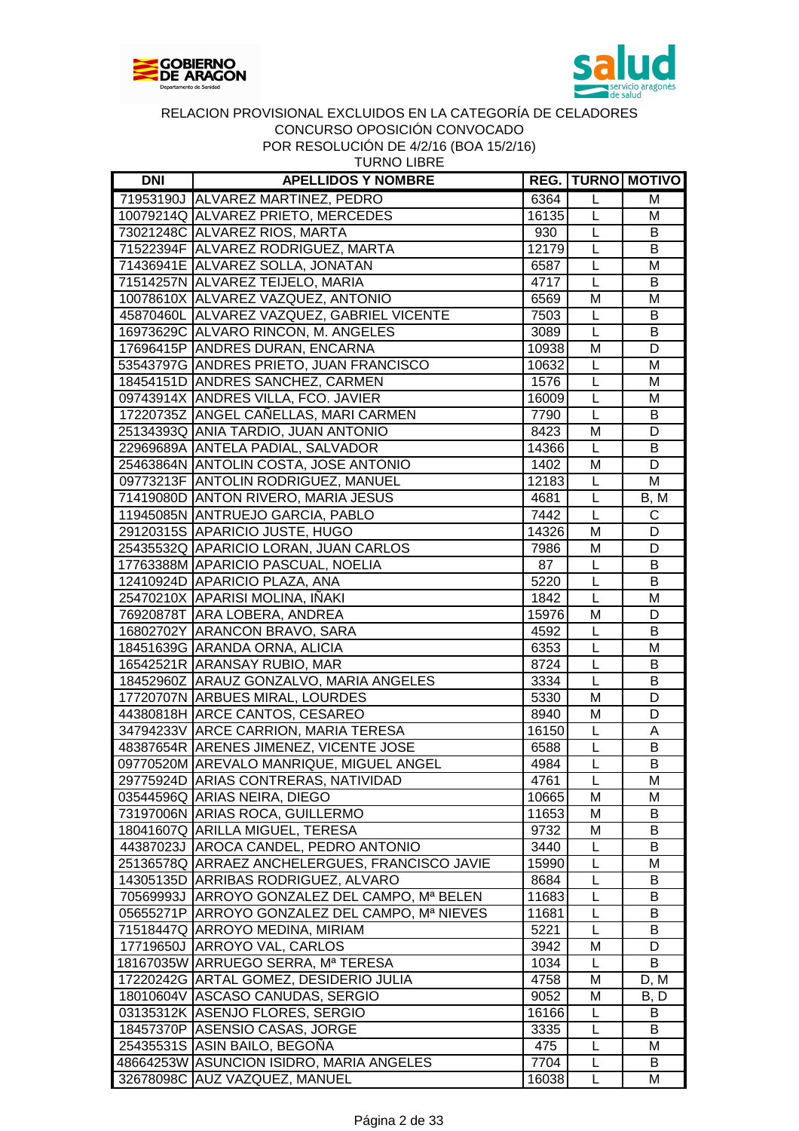



|  |  |  |  | <b>TURNO LIBRE</b> |  |  |
|--|--|--|--|--------------------|--|--|
|  |  |  |  |                    |  |  |
|  |  |  |  |                    |  |  |

| <b>DNI</b> | <b>APELLIDOS Y NOMBRE</b>                                                            |       |                | <b>REG.   TURNO   MOTIVO</b> |
|------------|--------------------------------------------------------------------------------------|-------|----------------|------------------------------|
|            | 71953190J ALVAREZ MARTINEZ, PEDRO                                                    | 6364  | $\mathsf{L}$   | M                            |
|            | 10079214Q ALVAREZ PRIETO, MERCEDES                                                   | 16135 | L              | M                            |
|            | 73021248C ALVAREZ RIOS, MARTA                                                        | 930   | $\mathsf{L}$   | B                            |
|            | 71522394F ALVAREZ RODRIGUEZ, MARTA                                                   | 12179 | L              | B                            |
|            | 71436941E ALVAREZ SOLLA, JONATAN                                                     | 6587  | L              | M                            |
|            | 71514257N ALVAREZ TEIJELO, MARIA                                                     | 4717  | L              | В                            |
|            | 10078610X ALVAREZ VAZQUEZ, ANTONIO                                                   | 6569  | M              | M                            |
|            | 45870460L ALVAREZ VAZQUEZ, GABRIEL VICENTE                                           | 7503  | L              | B                            |
|            | 16973629C ALVARO RINCON, M. ANGELES                                                  | 3089  | $\mathsf{L}$   | B                            |
|            | 17696415P ANDRES DURAN, ENCARNA                                                      | 10938 | M              | D                            |
|            | 53543797G ANDRES PRIETO, JUAN FRANCISCO                                              | 10632 | L              | M                            |
|            | 18454151D ANDRES SANCHEZ, CARMEN                                                     | 1576  | L              | M                            |
|            | 09743914X ANDRES VILLA, FCO. JAVIER                                                  | 16009 | $\mathsf L$    | M                            |
|            | 17220735Z ANGEL CAÑELLAS, MARI CARMEN                                                | 7790  | $\mathsf{L}$   | В                            |
|            | 25134393Q ANIA TARDIO, JUAN ANTONIO                                                  | 8423  | M              | D                            |
|            | 22969689A ANTELA PADIAL, SALVADOR                                                    | 14366 | $\mathsf{L}$   | B                            |
|            | 25463864N ANTOLIN COSTA, JOSE ANTONIO                                                | 1402  | M              | D                            |
|            | 09773213F ANTOLIN RODRIGUEZ, MANUEL                                                  | 12183 | $\mathsf{L}$   | M                            |
|            | 71419080D ANTON RIVERO, MARIA JESUS                                                  | 4681  | $\mathsf{L}$   | B, M                         |
|            | 11945085N ANTRUEJO GARCIA, PABLO                                                     | 7442  | L              | C                            |
|            | 29120315S APARICIO JUSTE, HUGO                                                       | 14326 | M              | D                            |
|            | 25435532Q APARICIO LORAN, JUAN CARLOS                                                | 7986  | M              | D                            |
|            | 17763388M APARICIO PASCUAL, NOELIA                                                   | 87    | L              | В                            |
|            | 12410924D APARICIO PLAZA, ANA                                                        | 5220  | $\mathsf{L}$   | B                            |
|            | 25470210X APARISI MOLINA, IÑAKI                                                      | 1842  | $\mathsf{L}$   | M                            |
|            | 76920878T ARA LOBERA, ANDREA                                                         | 15976 | M              | D                            |
|            | 16802702Y ARANCON BRAVO, SARA                                                        | 4592  | $\overline{L}$ | B                            |
|            | 18451639G ARANDA ORNA, ALICIA                                                        | 6353  | $\mathsf{L}$   | M                            |
|            | 16542521R ARANSAY RUBIO, MAR                                                         | 8724  | L              | В                            |
|            | 18452960Z ARAUZ GONZALVO, MARIA ANGELES                                              | 3334  | L              | В                            |
|            | 17720707N ARBUES MIRAL, LOURDES                                                      | 5330  | M              | D                            |
|            | 44380818H ARCE CANTOS, CESAREO                                                       | 8940  | M              | D                            |
|            | 34794233V ARCE CARRION, MARIA TERESA                                                 | 16150 | $\mathsf{L}$   | A                            |
|            | 48387654R ARENES JIMENEZ, VICENTE JOSE                                               | 6588  | L              | B                            |
|            | 09770520M AREVALO MANRIQUE, MIGUEL ANGEL                                             | 4984  | L              | B                            |
|            | 29775924D ARIAS CONTRERAS, NATIVIDAD                                                 | 4761  | $\overline{L}$ | $\overline{M}$               |
|            | 03544596Q ARIAS NEIRA, DIEGO                                                         | 10665 | м              | М                            |
|            | 73197006N ARIAS ROCA, GUILLERMO                                                      | 11653 | M              | B                            |
|            |                                                                                      | 9732  | M              | В                            |
|            | 18041607Q ARILLA MIGUEL, TERESA<br>44387023J AROCA CANDEL, PEDRO ANTONIO             | 3440  | L              | B                            |
|            |                                                                                      |       | L              | M                            |
|            | 25136578Q ARRAEZ ANCHELERGUES, FRANCISCO JAVIE                                       | 15990 |                |                              |
|            | 14305135D ARRIBAS RODRIGUEZ, ALVARO<br>70569993J ARROYO GONZALEZ DEL CAMPO, Mª BELEN | 8684  | L              | B                            |
|            |                                                                                      | 11683 | L              | В                            |
|            | 05655271P ARROYO GONZALEZ DEL CAMPO, Mª NIEVES                                       | 11681 | L              | B                            |
|            | 71518447Q ARROYO MEDINA, MIRIAM                                                      | 5221  | L              | B                            |
|            | 17719650J ARROYO VAL, CARLOS                                                         | 3942  | M              | D                            |
|            | 18167035W ARRUEGO SERRA, Mª TERESA                                                   | 1034  | L              | B                            |
|            | 17220242G ARTAL GOMEZ, DESIDERIO JULIA                                               | 4758  | M              | D, M                         |
|            | 18010604V ASCASO CANUDAS, SERGIO                                                     | 9052  | M              | B, D                         |
|            | 03135312K ASENJO FLORES, SERGIO                                                      | 16166 | L              | B                            |
|            | 18457370P ASENSIO CASAS, JORGE                                                       | 3335  | L              | B                            |
|            | 25435531S ASIN BAILO, BEGONA                                                         | 475   | L              | M                            |
|            | 48664253W ASUNCION ISIDRO, MARIA ANGELES                                             | 7704  | L              | B                            |
|            | 32678098C AUZ VAZQUEZ, MANUEL                                                        | 16038 | L              | м                            |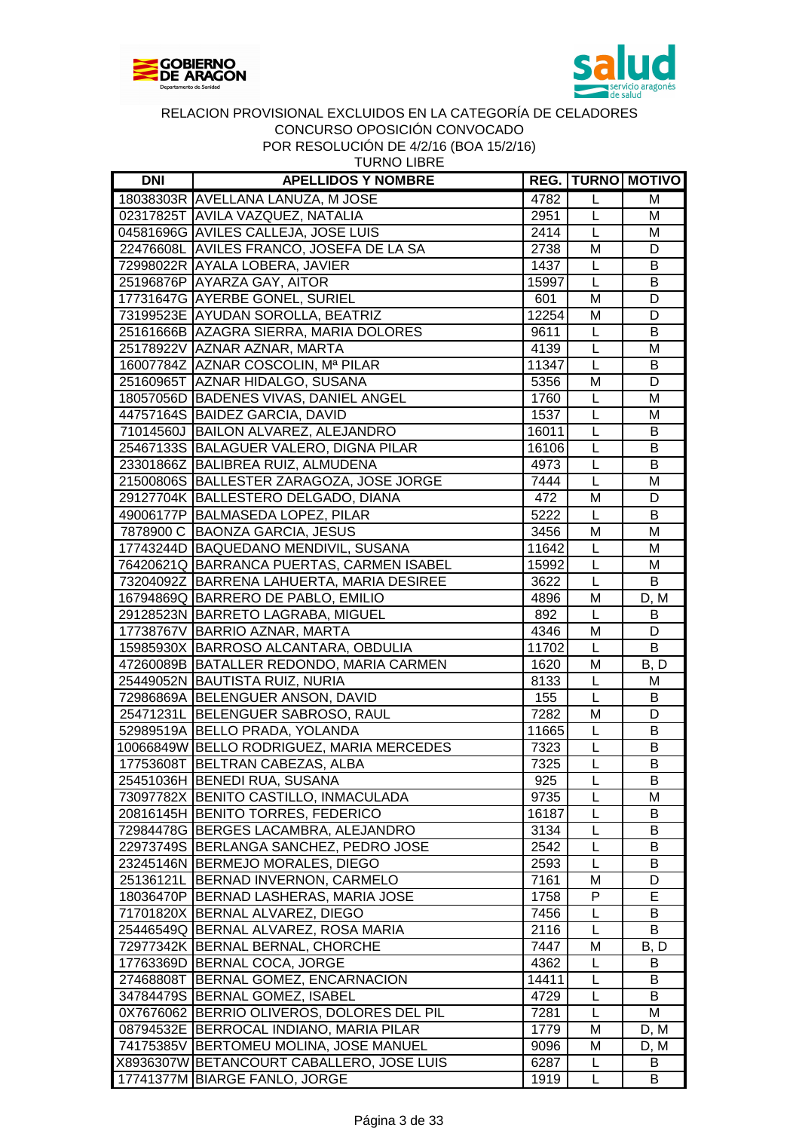



| <b>DNI</b> | <b>APELLIDOS Y NOMBRE</b>                  |       |                | <b>REG. TURNO MOTIVO</b> |
|------------|--------------------------------------------|-------|----------------|--------------------------|
|            | 18038303R AVELLANA LANUZA, M JOSE          | 4782  | L              | M                        |
|            | 02317825T AVILA VAZQUEZ, NATALIA           | 2951  | L              | M                        |
|            | 04581696G AVILES CALLEJA, JOSE LUIS        | 2414  | L              | M                        |
|            | 22476608L AVILES FRANCO, JOSEFA DE LA SA   | 2738  | M              | D                        |
|            | 72998022R AYALA LOBERA, JAVIER             | 1437  | L              | B                        |
|            | 25196876P AYARZA GAY, AITOR                | 15997 | L              | B                        |
|            | 17731647G AYERBE GONEL, SURIEL             | 601   | M              | D                        |
|            | 73199523E AYUDAN SOROLLA, BEATRIZ          | 12254 | M              | D                        |
|            | 25161666B AZAGRA SIERRA, MARIA DOLORES     | 9611  | L              | B                        |
|            | 25178922V AZNAR AZNAR, MARTA               | 4139  | L              | M                        |
|            | 16007784Z AZNAR COSCOLIN, Mª PILAR         | 11347 | L              | B                        |
|            | 25160965T AZNAR HIDALGO, SUSANA            | 5356  | M              | D                        |
|            | 18057056D BADENES VIVAS, DANIEL ANGEL      | 1760  | L              | M                        |
|            | 44757164S BAIDEZ GARCIA, DAVID             | 1537  | L              | M                        |
|            | 71014560J BAILON ALVAREZ, ALEJANDRO        | 16011 | L              | B                        |
|            | 25467133S BALAGUER VALERO, DIGNA PILAR     | 16106 | L              | B                        |
|            | 23301866Z BALIBREA RUIZ, ALMUDENA          | 4973  | L              | B                        |
|            | 21500806S BALLESTER ZARAGOZA, JOSE JORGE   | 7444  | L              | M                        |
|            | 29127704K BALLESTERO DELGADO, DIANA        |       | M              | D                        |
|            |                                            | 472   | L              |                          |
|            | 49006177P BALMASEDA LOPEZ, PILAR           | 5222  |                | B                        |
|            | 7878900 C BAONZA GARCIA, JESUS             | 3456  | M              | M                        |
|            | 17743244D BAQUEDANO MENDIVIL, SUSANA       | 11642 | L              | M                        |
|            | 76420621Q BARRANCA PUERTAS, CARMEN ISABEL  | 15992 | L              | M                        |
|            | 73204092Z BARRENA LAHUERTA, MARIA DESIREE  | 3622  | L              | B                        |
|            | 16794869Q BARRERO DE PABLO, EMILIO         | 4896  | M              | D, M                     |
|            | 29128523N BARRETO LAGRABA, MIGUEL          | 892   | $\overline{L}$ | B                        |
|            | 17738767V BARRIO AZNAR, MARTA              | 4346  | M              | D                        |
|            | 15985930X BARROSO ALCANTARA, OBDULIA       | 11702 | L              | $\overline{B}$           |
|            | 47260089B BATALLER REDONDO, MARIA CARMEN   | 1620  | M              | B, D                     |
|            | 25449052N BAUTISTA RUIZ, NURIA             | 8133  | L              | M                        |
|            | 72986869A BELENGUER ANSON, DAVID           | 155   | L              | В                        |
|            | 25471231L BELENGUER SABROSO, RAUL          | 7282  | M              | D                        |
|            | 52989519A BELLO PRADA, YOLANDA             | 11665 | L              | B                        |
|            | 10066849W BELLO RODRIGUEZ, MARIA MERCEDES  | 7323  | L              | B                        |
|            | 17753608T BELTRAN CABEZAS, ALBA            | 7325  | $\overline{L}$ | B                        |
|            | 25451036H BENEDI RUA, SUSANA               | 925   | L              | B                        |
|            | 73097782X BENITO CASTILLO, INMACULADA      | 9735  | L              | м                        |
|            | 20816145H BENITO TORRES, FEDERICO          | 16187 | L              | B                        |
|            | 72984478G BERGES LACAMBRA, ALEJANDRO       | 3134  | L              | B                        |
|            | 22973749S BERLANGA SANCHEZ, PEDRO JOSE     | 2542  | L              | В                        |
|            | 23245146N BERMEJO MORALES, DIEGO           | 2593  | L              | B                        |
|            | 25136121L BERNAD INVERNON, CARMELO         | 7161  | M              | D                        |
|            | 18036470P BERNAD LASHERAS, MARIA JOSE      | 1758  | P              | E                        |
|            | 71701820X BERNAL ALVAREZ, DIEGO            | 7456  | L              | B                        |
|            | 25446549Q BERNAL ALVAREZ, ROSA MARIA       | 2116  | L              | B                        |
|            | 72977342K  BERNAL BERNAL, CHORCHE          | 7447  | M              | B, D                     |
|            | 17763369D BERNAL COCA, JORGE               | 4362  | L              | B                        |
|            | 27468808T BERNAL GOMEZ, ENCARNACION        | 14411 | L              | В                        |
|            | 34784479S BERNAL GOMEZ, ISABEL             | 4729  | L              | B                        |
|            | 0X7676062 BERRIO OLIVEROS, DOLORES DEL PIL | 7281  | L              | M                        |
|            | 08794532E BERROCAL INDIANO, MARIA PILAR    | 1779  | M              | D, M                     |
|            | 74175385V BERTOMEU MOLINA, JOSE MANUEL     | 9096  | M              | D, M                     |
|            | X8936307W BETANCOURT CABALLERO, JOSE LUIS  | 6287  | L              | B                        |
| 17741377M  | <b>BIARGE FANLO, JORGE</b>                 | 1919  | L              | B                        |
|            |                                            |       |                |                          |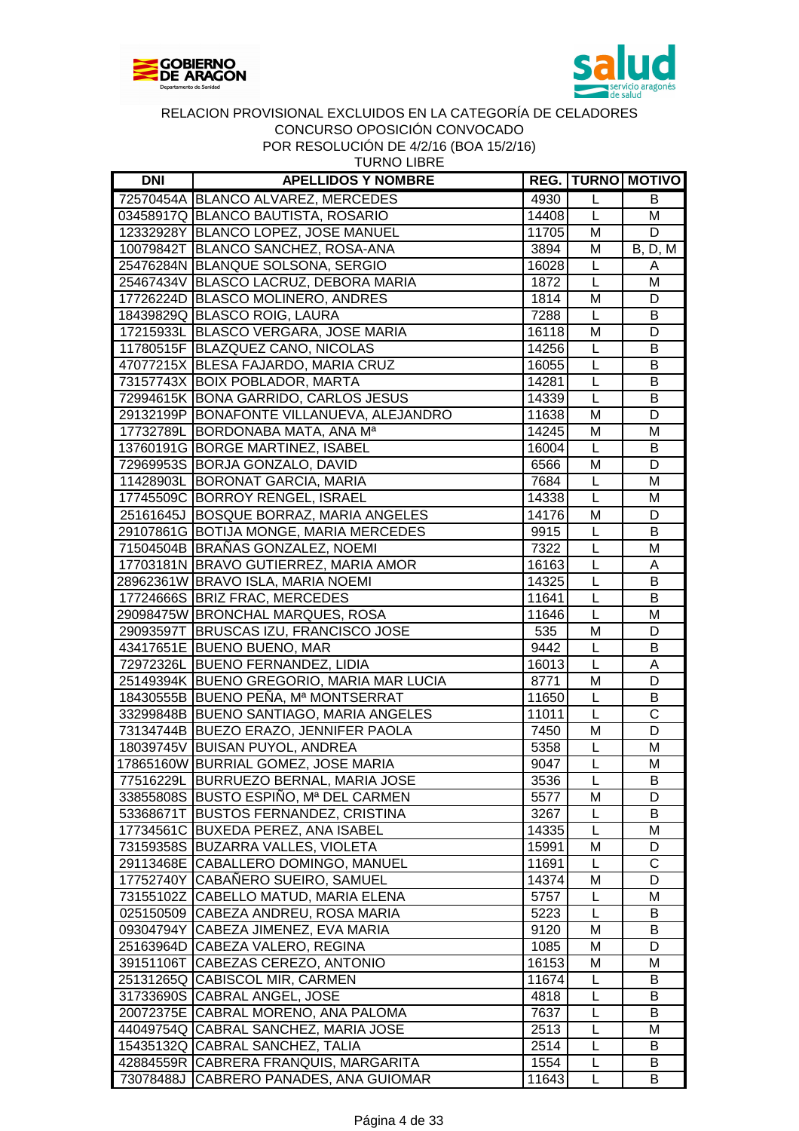



TURNO LIBRE

| <b>DNI</b> | <b>APELLIDOS Y NOMBRE</b>                                                       |       |                | <b>REG.   TURNO   MOTIVO</b>   |
|------------|---------------------------------------------------------------------------------|-------|----------------|--------------------------------|
|            | 72570454A BLANCO ALVAREZ, MERCEDES                                              | 4930  | L              | B                              |
|            | 03458917Q BLANCO BAUTISTA, ROSARIO                                              | 14408 | L              | M                              |
|            | 12332928Y BLANCO LOPEZ, JOSE MANUEL                                             | 11705 | M              | D                              |
|            | 10079842T BLANCO SANCHEZ, ROSA-ANA                                              | 3894  | M              | <b>B</b> , <b>D</b> , <b>M</b> |
|            | 25476284N BLANQUE SOLSONA, SERGIO                                               | 16028 | L              | A                              |
|            | 25467434V BLASCO LACRUZ, DEBORA MARIA                                           | 1872  | L              | M                              |
|            | 17726224D BLASCO MOLINERO, ANDRES                                               | 1814  | M              | D                              |
|            | 18439829Q BLASCO ROIG, LAURA                                                    | 7288  | $\mathsf{L}$   | B                              |
|            | 17215933L BLASCO VERGARA, JOSE MARIA                                            | 16118 | M              | D                              |
|            | 11780515F BLAZQUEZ CANO, NICOLAS                                                | 14256 | $\mathsf{L}$   | B                              |
|            | 47077215X BLESA FAJARDO, MARIA CRUZ                                             | 16055 | $\mathsf L$    | В                              |
|            | 73157743X BOIX POBLADOR, MARTA                                                  | 14281 | $\mathsf{L}$   | В                              |
|            | 72994615K BONA GARRIDO, CARLOS JESUS                                            | 14339 | L              | B                              |
|            | 29132199P BONAFONTE VILLANUEVA, ALEJANDRO                                       | 11638 | M              | D                              |
|            | 17732789L BORDONABA MATA, ANA Ma                                                | 14245 | M              | M                              |
|            | 13760191G BORGE MARTINEZ, ISABEL                                                | 16004 | $\mathsf{L}$   | B                              |
|            | 72969953S BORJA GONZALO, DAVID                                                  | 6566  | M              | D                              |
|            | 11428903L BORONAT GARCIA, MARIA                                                 | 7684  | $\mathsf{L}$   | M                              |
|            | 17745509C BORROY RENGEL, ISRAEL                                                 | 14338 | $\mathsf{L}$   | M                              |
|            | 25161645J BOSQUE BORRAZ, MARIA ANGELES                                          | 14176 | M              | D                              |
|            | 29107861G BOTIJA MONGE, MARIA MERCEDES                                          | 9915  | $\mathsf{L}$   | B                              |
|            | 71504504B BRAÑAS GONZALEZ, NOEMI                                                | 7322  | $\mathsf{L}$   | M                              |
|            | 17703181N BRAVO GUTIERREZ, MARIA AMOR                                           | 16163 | $\mathsf{L}%$  | A                              |
|            | 28962361W BRAVO ISLA, MARIA NOEMI                                               | 14325 | $\overline{L}$ | B                              |
|            | 17724666S BRIZ FRAC, MERCEDES                                                   | 11641 | L              | B                              |
|            | 29098475W BRONCHAL MARQUES, ROSA                                                | 11646 | $\overline{L}$ | M                              |
|            | 29093597T BRUSCAS IZU, FRANCISCO JOSE                                           | 535   | M              | D                              |
|            | 43417651E BUENO BUENO, MAR                                                      | 9442  | L              | В                              |
|            | 72972326L BUENO FERNANDEZ, LIDIA                                                | 16013 | L              | Α                              |
|            | 25149394K BUENO GREGORIO, MARIA MAR LUCIA                                       | 8771  | M              | $\overline{D}$                 |
|            | 18430555B BUENO PEÑA, Mª MONTSERRAT                                             | 11650 | $\mathsf{L}$   | B                              |
|            | 33299848B BUENO SANTIAGO, MARIA ANGELES                                         | 11011 | $\overline{L}$ | $\overline{\text{c}}$          |
|            | 73134744B BUEZO ERAZO, JENNIFER PAOLA                                           | 7450  | M              | D                              |
|            | 18039745V BUISAN PUYOL, ANDREA                                                  | 5358  | L              | M                              |
|            | 17865160W BURRIAL GOMEZ, JOSE MARIA                                             | 9047  | L              | M                              |
|            |                                                                                 | 3536  | L              |                                |
|            | 77516229L  BURRUEZO BERNAL, MARIA JOSE<br>33855808S BUSTO ESPINO, Mª DEL CARMEN | 5577  | M              | в<br>D                         |
|            | 53368671T BUSTOS FERNANDEZ, CRISTINA                                            | 3267  | L              | B                              |
|            | 17734561C BUXEDA PEREZ, ANA ISABEL                                              | 14335 | L              | M                              |
|            | 73159358S BUZARRA VALLES, VIOLETA                                               | 15991 | M              | D                              |
|            | 29113468E CABALLERO DOMINGO, MANUEL                                             | 11691 | $\mathsf{L}$   | C                              |
|            | 17752740Y CABAÑERO SUEIRO, SAMUEL                                               | 14374 | M              | D                              |
|            | 73155102Z CABELLO MATUD, MARIA ELENA                                            | 5757  | L              | М                              |
|            | 025150509 CABEZA ANDREU, ROSA MARIA                                             | 5223  | L              | B                              |
|            | 09304794Y CABEZA JIMENEZ, EVA MARIA                                             | 9120  | M              | B                              |
|            | 25163964D CABEZA VALERO, REGINA                                                 | 1085  | M              | D                              |
|            | 39151106T CABEZAS CEREZO, ANTONIO                                               | 16153 | M              | M                              |
|            |                                                                                 |       |                | В                              |
|            | 25131265Q CABISCOL MIR, CARMEN<br>31733690S CABRAL ANGEL, JOSE                  | 11674 | L              | В                              |
|            |                                                                                 | 4818  | L              | B                              |
|            | 20072375E CABRAL MORENO, ANA PALOMA                                             | 7637  | L              |                                |
|            | 44049754Q CABRAL SANCHEZ, MARIA JOSE                                            | 2513  | L              | Μ                              |
|            | 15435132Q CABRAL SANCHEZ, TALIA                                                 | 2514  | L              | B                              |
|            | 42884559R CABRERA FRANQUIS, MARGARITA                                           | 1554  | L              | B                              |
|            | 73078488J CABRERO PANADES, ANA GUIOMAR                                          | 11643 | L              | B                              |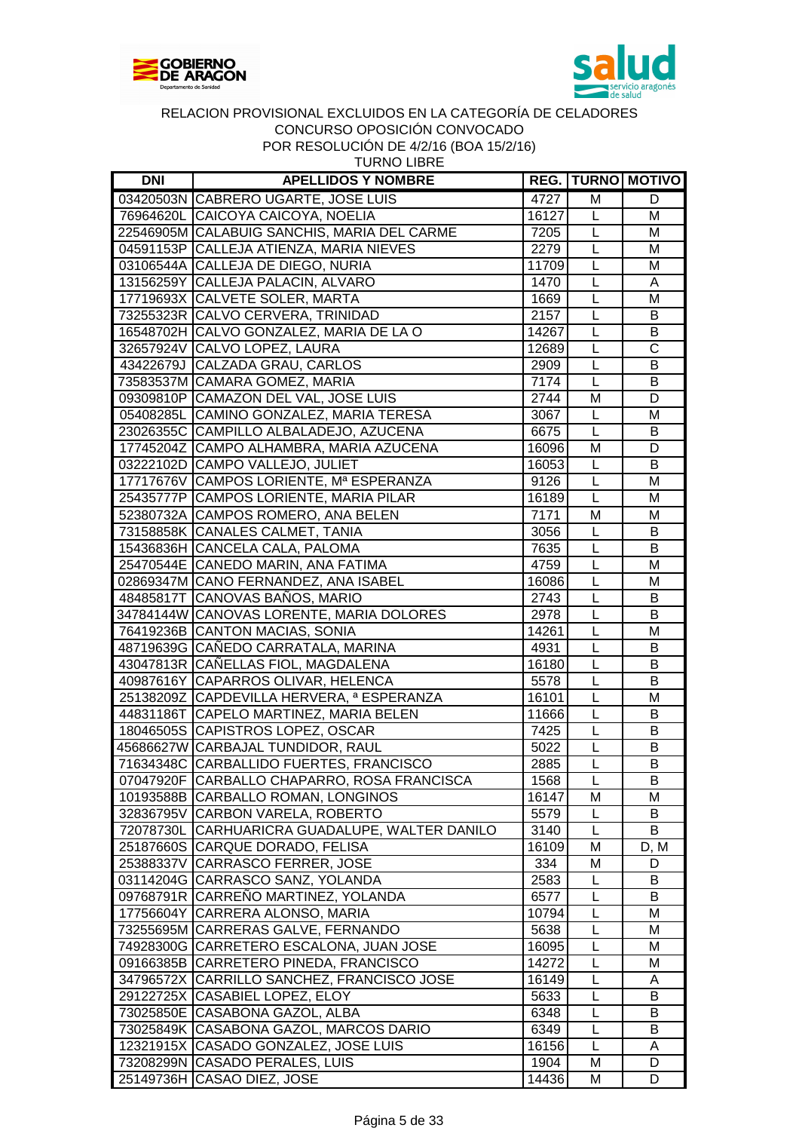



| <b>DNI</b> | <b>APELLIDOS Y NOMBRE</b>                      |       |                | <b>REG. TURNO MOTIVO</b> |
|------------|------------------------------------------------|-------|----------------|--------------------------|
|            | 03420503N CABRERO UGARTE, JOSE LUIS            | 4727  | M              | D                        |
|            | 76964620L CAICOYA CAICOYA, NOELIA              | 16127 | L              | M                        |
|            | 22546905M CALABUIG SANCHIS, MARIA DEL CARME    | 7205  | L              | M                        |
|            | 04591153P CALLEJA ATIENZA, MARIA NIEVES        | 2279  | L              | M                        |
|            | 03106544A CALLEJA DE DIEGO, NURIA              | 11709 | L              | M                        |
|            | 13156259Y CALLEJA PALACIN, ALVARO              | 1470  | L              | A                        |
|            | 17719693X CALVETE SOLER, MARTA                 | 1669  | L              | M                        |
|            | 73255323R CALVO CERVERA, TRINIDAD              | 2157  | L              | B                        |
|            | 16548702H CALVO GONZALEZ, MARIA DE LA O        | 14267 | L              | $\overline{B}$           |
|            | 32657924V CALVO LOPEZ, LAURA                   | 12689 | L              | $\overline{\text{c}}$    |
|            | 43422679J CALZADA GRAU, CARLOS                 | 2909  | L              | B                        |
|            | 73583537M CAMARA GOMEZ, MARIA                  | 7174  | L              | B                        |
|            | 09309810P CAMAZON DEL VAL, JOSE LUIS           | 2744  | M              | D                        |
|            | 05408285L CAMINO GONZALEZ, MARIA TERESA        | 3067  | L              | M                        |
|            | 23026355C CAMPILLO ALBALADEJO, AZUCENA         | 6675  | L              | B                        |
|            | 17745204Z CAMPO ALHAMBRA, MARIA AZUCENA        | 16096 | M              | D                        |
|            | 03222102D CAMPO VALLEJO, JULIET                | 16053 | L              | B                        |
|            | 17717676V CAMPOS LORIENTE, Mª ESPERANZA        | 9126  | L              | M                        |
|            | 25435777P CAMPOS LORIENTE, MARIA PILAR         | 16189 | L              | M                        |
|            | 52380732A CAMPOS ROMERO, ANA BELEN             | 7171  | M              | M                        |
|            | 73158858K CANALES CALMET, TANIA                | 3056  | L              | B                        |
|            | 15436836H CANCELA CALA, PALOMA                 | 7635  | L              | B                        |
|            | 25470544E CANEDO MARIN, ANA FATIMA             | 4759  | L              | M                        |
|            | 02869347M CANO FERNANDEZ, ANA ISABEL           | 16086 | L              | M                        |
|            | 48485817T CANOVAS BAÑOS, MARIO                 | 2743  | L              | B                        |
|            | 34784144W CANOVAS LORENTE, MARIA DOLORES       | 2978  | L              | $\overline{B}$           |
|            | 76419236B CANTON MACIAS, SONIA                 | 14261 | L              | M                        |
|            | 48719639G CAÑEDO CARRATALA, MARINA             | 4931  | L              | В                        |
|            | 43047813R CAÑELLAS FIOL, MAGDALENA             | 16180 | L              | B                        |
|            | 40987616Y CAPARROS OLIVAR, HELENCA             | 5578  | L              | B                        |
|            | 25138209Z CAPDEVILLA HERVERA, ª ESPERANZA      | 16101 | $\overline{L}$ | M                        |
|            | 44831186T CAPELO MARTINEZ, MARIA BELEN         | 11666 | L              | B                        |
|            | 18046505S CAPISTROS LOPEZ, OSCAR               | 7425  | L              | B                        |
|            | 45686627W CARBAJAL TUNDIDOR, RAUL              | 5022  | L              | B                        |
|            | 71634348C CARBALLIDO FUERTES, FRANCISCO        | 2885  | $\overline{L}$ | B                        |
|            | 07047920F CARBALLO CHAPARRO, ROSA FRANCISCA    | 1568  | L              | B                        |
|            | 10193588B CARBALLO ROMAN, LONGINOS             | 16147 | M              | Μ                        |
|            | 32836795V CARBON VARELA, ROBERTO               | 5579  | L              | B                        |
|            | 72078730L CARHUARICRA GUADALUPE, WALTER DANILO | 3140  | L              | B                        |
|            | 25187660S CARQUE DORADO, FELISA                | 16109 | M              | D, M                     |
|            | 25388337V CARRASCO FERRER, JOSE                | 334   | M              | D                        |
|            | 03114204G CARRASCO SANZ, YOLANDA               | 2583  | L              | В                        |
|            | 09768791R CARRENO MARTINEZ, YOLANDA            | 6577  | L              | B                        |
|            | 17756604Y CARRERA ALONSO, MARIA                | 10794 | L              | M                        |
|            | 73255695M CARRERAS GALVE, FERNANDO             | 5638  | L              | M                        |
|            | 74928300G CARRETERO ESCALONA, JUAN JOSE        | 16095 | L              | M                        |
|            | 09166385B CARRETERO PINEDA, FRANCISCO          | 14272 | L              | M                        |
|            | 34796572X CARRILLO SANCHEZ, FRANCISCO JOSE     | 16149 | L              | A                        |
|            | 29122725X CASABIEL LOPEZ, ELOY                 | 5633  | L              | B                        |
|            | 73025850E CASABONA GAZOL, ALBA                 | 6348  | L              | В                        |
|            | 73025849K CASABONA GAZOL, MARCOS DARIO         | 6349  | L              | В                        |
|            | 12321915X CASADO GONZALEZ, JOSE LUIS           | 16156 | L              |                          |
|            | 73208299N CASADO PERALES, LUIS                 | 1904  | M              | A<br>D                   |
|            | 25149736H CASAO DIEZ, JOSE                     | 14436 | M              | D                        |
|            |                                                |       |                |                          |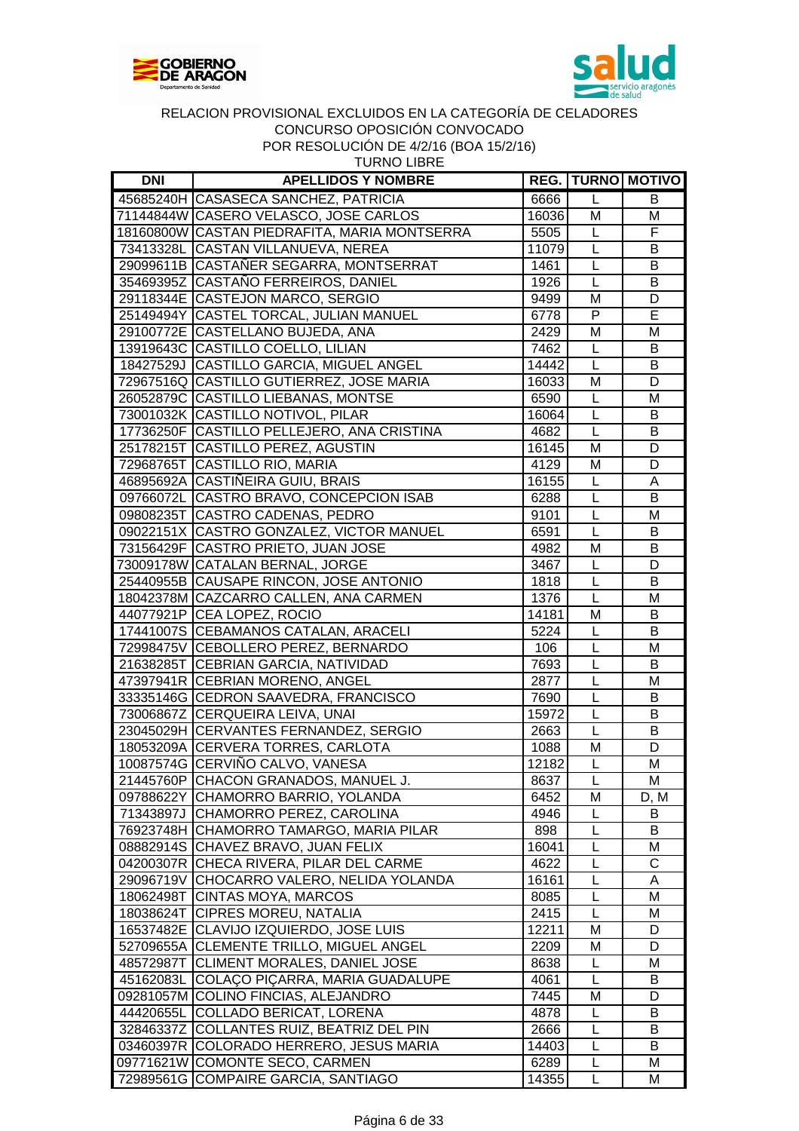



| <b>DNI</b> | <b>APELLIDOS Y NOMBRE</b>                    |       |                         | <b>REG. TURNO MOTIVO</b> |
|------------|----------------------------------------------|-------|-------------------------|--------------------------|
|            | 45685240H CASASECA SANCHEZ, PATRICIA         | 6666  | $\mathsf{L}$            | В                        |
|            | 71144844W CASERO VELASCO, JOSE CARLOS        | 16036 | M                       | Μ                        |
|            | 18160800W CASTAN PIEDRAFITA, MARIA MONTSERRA | 5505  | L                       | F                        |
|            | 73413328L CASTAN VILLANUEVA, NEREA           | 11079 | L                       | В                        |
|            | 29099611B CASTAÑER SEGARRA, MONTSERRAT       | 1461  | $\mathsf L$             | В                        |
|            | 35469395Z CASTAÑO FERREIROS, DANIEL          | 1926  | $\overline{\mathsf{L}}$ | B                        |
|            | 29118344E CASTEJON MARCO, SERGIO             | 9499  | M                       | D                        |
|            | 25149494Y CASTEL TORCAL, JULIAN MANUEL       | 6778  | $\mathsf{P}$            | E                        |
|            | 29100772E CASTELLANO BUJEDA, ANA             | 2429  | M                       | M                        |
|            | 13919643C CASTILLO COELLO, LILIAN            | 7462  | $\mathsf{L}$            | B                        |
|            | 18427529J CASTILLO GARCIA, MIGUEL ANGEL      | 14442 | $\mathsf{L}$            | B                        |
|            | 72967516Q CASTILLO GUTIERREZ, JOSE MARIA     | 16033 | M                       | D                        |
|            | 26052879C CASTILLO LIEBANAS, MONTSE          | 6590  | $\mathsf{L}$            | M                        |
|            | 73001032K CASTILLO NOTIVOL, PILAR            | 16064 | $\mathsf{L}$            | B                        |
|            | 17736250F CASTILLO PELLEJERO, ANA CRISTINA   | 4682  | $\mathsf{L}$            | B                        |
|            | 25178215T CASTILLO PEREZ, AGUSTIN            | 16145 | M                       | D                        |
|            | 72968765T CASTILLO RIO, MARIA                | 4129  | M                       | D                        |
|            | 46895692A CASTIÑEIRA GUIU, BRAIS             | 16155 | L                       | A                        |
|            | 09766072L CASTRO BRAVO, CONCEPCION ISAB      | 6288  | $\mathsf L$             | B                        |
|            | 09808235T CASTRO CADENAS, PEDRO              | 9101  | $\mathsf{L}$            | M                        |
|            | 09022151X CASTRO GONZALEZ, VICTOR MANUEL     | 6591  | L                       | B                        |
|            | 73156429F CASTRO PRIETO, JUAN JOSE           | 4982  | M                       | B                        |
|            | 73009178W CATALAN BERNAL, JORGE              | 3467  | $\mathsf{L}%$           | D                        |
|            | 25440955B CAUSAPE RINCON, JOSE ANTONIO       | 1818  | $\mathsf{L}%$           | B                        |
|            | 18042378M CAZCARRO CALLEN, ANA CARMEN        | 1376  | $\mathsf L$             | M                        |
|            | 44077921P CEA LOPEZ, ROCIO                   | 14181 | M                       | B                        |
|            | 17441007S CEBAMANOS CATALAN, ARACELI         | 5224  | L                       | B                        |
|            | 72998475V CEBOLLERO PEREZ, BERNARDO          | 106   | L                       | M                        |
|            | 21638285T CEBRIAN GARCIA, NATIVIDAD          | 7693  | L                       | В                        |
|            | 47397941R CEBRIAN MORENO, ANGEL              | 2877  | $\mathsf{L}$            | M                        |
|            | 33335146G CEDRON SAAVEDRA, FRANCISCO         | 7690  | L                       | B                        |
|            | 73006867Z CERQUEIRA LEIVA, UNAI              | 15972 | $\overline{L}$          | B                        |
|            | 23045029H CERVANTES FERNANDEZ, SERGIO        | 2663  | $\overline{L}$          | B                        |
|            | 18053209A CERVERA TORRES, CARLOTA            | 1088  | M                       | D                        |
|            | 10087574G CERVIÑO CALVO, VANESA              | 12182 | $\mathsf{L}$            | M                        |
|            | 21445760P CHACON GRANADOS, MANUEL J.         | 8637  | L                       | M                        |
|            | 09788622Y CHAMORRO BARRIO, YOLANDA           | 6452  | м                       | D, M                     |
|            | 71343897J CHAMORRO PEREZ, CAROLINA           | 4946  | L                       | B                        |
|            | 76923748H CHAMORRO TAMARGO, MARIA PILAR      | 898   | L                       | B                        |
|            | 08882914S CHAVEZ BRAVO, JUAN FELIX           | 16041 | L                       | M                        |
|            | 04200307R CHECA RIVERA, PILAR DEL CARME      | 4622  | L                       | C                        |
|            | 29096719V CHOCARRO VALERO, NELIDA YOLANDA    | 16161 | L                       | A                        |
|            | 18062498T CINTAS MOYA, MARCOS                | 8085  | L                       | M                        |
|            | 18038624T CIPRES MOREU, NATALIA              | 2415  | L                       | M                        |
|            | 16537482E CLAVIJO IZQUIERDO, JOSE LUIS       | 12211 | м                       | D                        |
|            | 52709655A CLEMENTE TRILLO, MIGUEL ANGEL      | 2209  | M                       | D                        |
|            | 48572987T CLIMENT MORALES, DANIEL JOSE       | 8638  | L                       | M                        |
|            | 45162083L COLAÇO PIÇARRA, MARIA GUADALUPE    | 4061  | L                       | B                        |
|            | 09281057M COLINO FINCIAS, ALEJANDRO          | 7445  | M                       | D                        |
|            | 44420655L COLLADO BERICAT, LORENA            | 4878  | L                       | B                        |
|            | 32846337Z COLLANTES RUIZ, BEATRIZ DEL PIN    | 2666  | L                       | B                        |
|            | 03460397R COLORADO HERRERO, JESUS MARIA      | 14403 | L                       | B                        |
|            | 09771621W COMONTE SECO, CARMEN               | 6289  | L                       | м                        |
|            | 72989561G COMPAIRE GARCIA, SANTIAGO          | 14355 | L                       | M                        |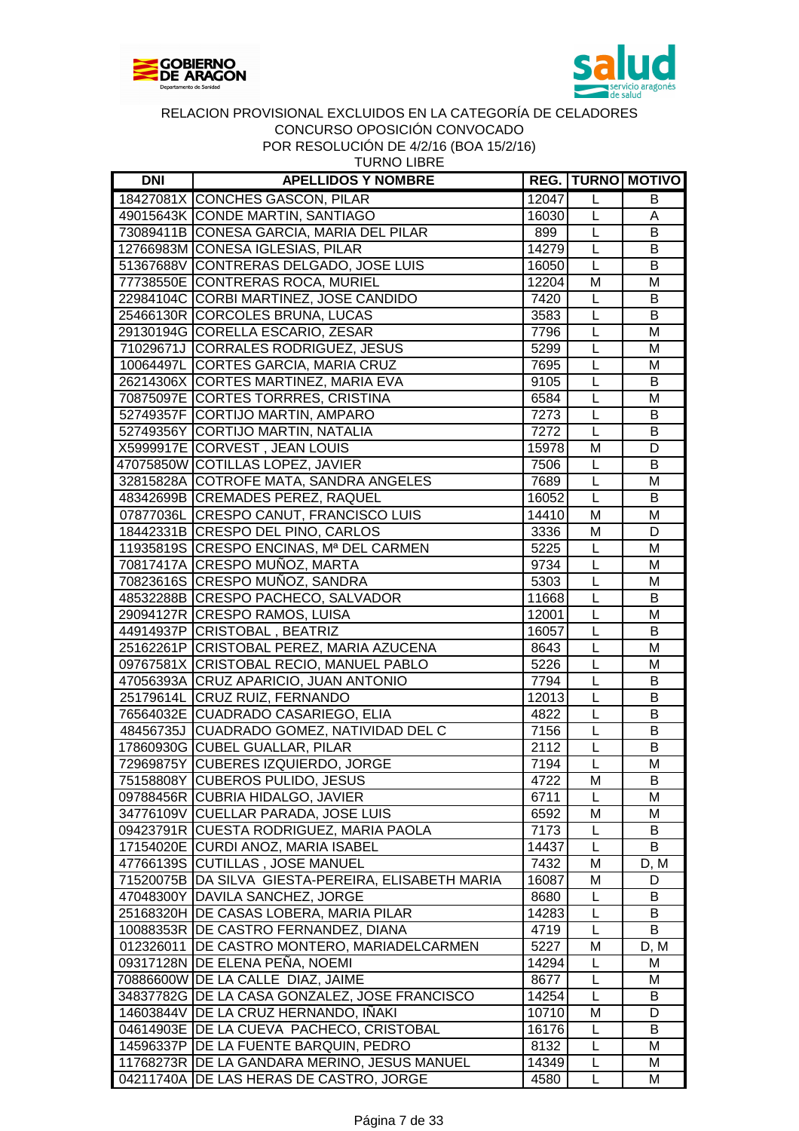



| <b>DNI</b> | <b>APELLIDOS Y NOMBRE</b>                          |       |                | <b>REG.   TURNO   MOTIVO</b> |
|------------|----------------------------------------------------|-------|----------------|------------------------------|
|            | 18427081X CONCHES GASCON, PILAR                    | 12047 | L              | B                            |
|            | 49015643K CONDE MARTIN, SANTIAGO                   | 16030 | L              | A                            |
|            | 73089411B CONESA GARCIA, MARIA DEL PILAR           | 899   | L              | B                            |
|            | 12766983M CONESA IGLESIAS, PILAR                   | 14279 | L              | B                            |
|            | 51367688V CONTRERAS DELGADO, JOSE LUIS             | 16050 | L              | B                            |
|            | 77738550E CONTRERAS ROCA, MURIEL                   | 12204 | M              | $\overline{M}$               |
|            | 22984104C CORBI MARTINEZ, JOSE CANDIDO             | 7420  | L              | B                            |
|            | 25466130R CORCOLES BRUNA, LUCAS                    | 3583  | L              | $\overline{B}$               |
|            | 29130194G CORELLA ESCARIO, ZESAR                   | 7796  | $\mathsf{L}$   | M                            |
|            | 71029671J CORRALES RODRIGUEZ, JESUS                | 5299  | L              | M                            |
|            | 10064497L CORTES GARCIA, MARIA CRUZ                | 7695  | L              | M                            |
|            | 26214306X CORTES MARTINEZ, MARIA EVA               | 9105  | L              | B                            |
|            | 70875097E CORTES TORRRES, CRISTINA                 | 6584  | L              | M                            |
|            | 52749357F CORTIJO MARTIN, AMPARO                   | 7273  | L              | B                            |
|            | 52749356Y CORTIJO MARTIN, NATALIA                  | 7272  | L              | B                            |
|            | X5999917E CORVEST, JEAN LOUIS                      | 15978 | M              | D                            |
|            | 47075850W COTILLAS LOPEZ, JAVIER                   | 7506  | L              | B                            |
|            | 32815828A COTROFE MATA, SANDRA ANGELES             | 7689  | $\overline{L}$ | M                            |
|            | 48342699B CREMADES PEREZ, RAQUEL                   | 16052 | $\mathsf L$    | B                            |
|            | 07877036L CRESPO CANUT, FRANCISCO LUIS             | 14410 | M              | M                            |
|            | 18442331B CRESPO DEL PINO, CARLOS                  | 3336  | M              | D                            |
|            | 11935819S CRESPO ENCINAS, Mª DEL CARMEN            | 5225  | L              | M                            |
|            | 70817417A CRESPO MUÑOZ, MARTA                      | 9734  | $\mathsf{L}$   | M                            |
|            | 70823616S CRESPO MUÑOZ, SANDRA                     | 5303  | $\mathsf{L}$   | M                            |
|            | 48532288B CRESPO PACHECO, SALVADOR                 | 11668 | L              | B                            |
|            | 29094127R CRESPO RAMOS, LUISA                      | 12001 | L              | M                            |
|            | 44914937P CRISTOBAL, BEATRIZ                       | 16057 | L              | B                            |
|            | 25162261P CRISTOBAL PEREZ, MARIA AZUCENA           | 8643  | L              | M                            |
|            | 09767581X CRISTOBAL RECIO, MANUEL PABLO            | 5226  | L              | M                            |
|            | 47056393A CRUZ APARICIO, JUAN ANTONIO              | 7794  | L              | B                            |
|            | 25179614L CRUZ RUIZ, FERNANDO                      | 12013 | L              | B                            |
|            | 76564032E CUADRADO CASARIEGO, ELIA                 | 4822  | $\overline{L}$ | B                            |
|            | 48456735J CUADRADO GOMEZ, NATIVIDAD DEL C          | 7156  | $\overline{L}$ | B                            |
|            | 17860930G CUBEL GUALLAR, PILAR                     | 2112  | L              | B                            |
|            | 72969875Y CUBERES IZQUIERDO, JORGE                 | 7194  | $\overline{L}$ | M                            |
|            | 75158808Y CUBEROS PULIDO, JESUS                    | 4722  | M              | B                            |
|            | 09788456R CUBRIA HIDALGO, JAVIER                   | 6711  | L              | М                            |
|            | 34776109V CUELLAR PARADA, JOSE LUIS                | 6592  | M              | M                            |
|            | 09423791R CUESTA RODRIGUEZ, MARIA PAOLA            | 7173  | L              | B                            |
|            | 17154020E CURDI ANOZ, MARIA ISABEL                 | 14437 | L              | B                            |
|            | 47766139S CUTILLAS, JOSE MANUEL                    | 7432  | M              | D, M                         |
|            | 71520075B DA SILVA GIESTA-PEREIRA, ELISABETH MARIA | 16087 | M              | D                            |
|            | 47048300Y DAVILA SANCHEZ, JORGE                    | 8680  | L              | B                            |
|            | 25168320H DE CASAS LOBERA, MARIA PILAR             | 14283 | L              | B                            |
|            | 10088353R   DE CASTRO FERNANDEZ, DIANA             | 4719  | L              | B                            |
|            | 012326011   DE CASTRO MONTERO, MARIADELCARMEN      | 5227  | M              | D, M                         |
|            | 09317128N DE ELENA PEÑA, NOEMI                     | 14294 | L              | M                            |
|            | 70886600W DE LA CALLE DIAZ, JAIME                  | 8677  | L              | M                            |
|            | 34837782G DE LA CASA GONZALEZ, JOSE FRANCISCO      | 14254 | L              | B                            |
|            | 14603844V DE LA CRUZ HERNANDO, IÑAKI               | 10710 | M              | D                            |
|            | 04614903E   DE LA CUEVA PACHECO, CRISTOBAL         | 16176 | L              | B                            |
|            | 14596337P   DE LA FUENTE BARQUIN, PEDRO            | 8132  | L              | M                            |
|            | 11768273R   DE LA GANDARA MERINO, JESUS MANUEL     | 14349 | L              | M                            |
|            | 04211740A   DE LAS HERAS DE CASTRO, JORGE          | 4580  | L              | M                            |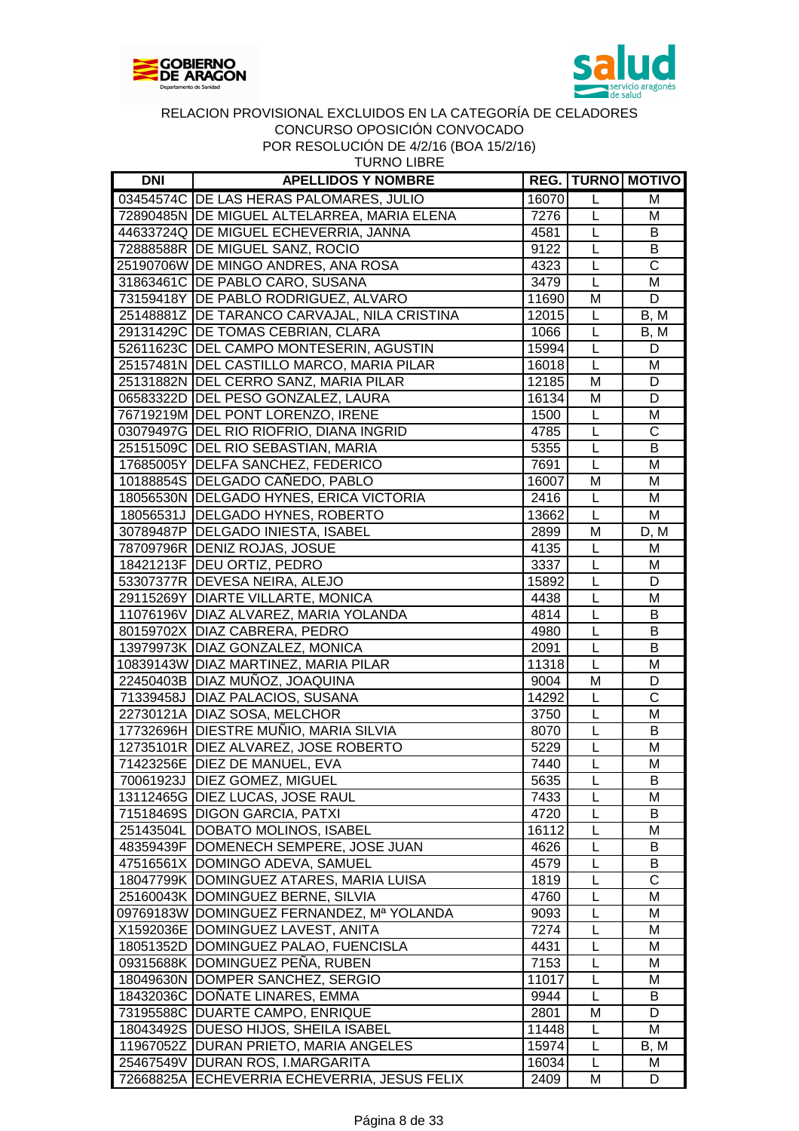



| <b>DNI</b> | <b>APELLIDOS Y NOMBRE</b>                    |       |              | <b>REG.   TURNO   MOTIVO</b> |
|------------|----------------------------------------------|-------|--------------|------------------------------|
|            | 03454574C DE LAS HERAS PALOMARES, JULIO      | 16070 | L            | M                            |
|            | 72890485N DE MIGUEL ALTELARREA, MARIA ELENA  | 7276  | $\mathsf{L}$ | M                            |
|            | 44633724Q DE MIGUEL ECHEVERRIA, JANNA        | 4581  | $\mathsf{L}$ | B                            |
|            | 72888588R DE MIGUEL SANZ, ROCIO              | 9122  | $\mathsf{L}$ | B                            |
|            | 25190706W DE MINGO ANDRES, ANA ROSA          | 4323  | L            | $\overline{\text{c}}$        |
|            | 31863461C DE PABLO CARO, SUSANA              | 3479  | L            | M                            |
|            | 73159418Y DE PABLO RODRIGUEZ, ALVARO         | 11690 | M            | D                            |
|            | 25148881Z DE TARANCO CARVAJAL, NILA CRISTINA | 12015 | L            | B, M                         |
|            | 29131429C DE TOMAS CEBRIAN, CLARA            | 1066  | $\mathsf{L}$ | B, M                         |
|            | 52611623C DEL CAMPO MONTESERIN, AGUSTIN      | 15994 | $\mathsf{L}$ | D                            |
|            | 25157481N DEL CASTILLO MARCO, MARIA PILAR    | 16018 | $\mathsf{L}$ | M                            |
|            | 25131882N DEL CERRO SANZ, MARIA PILAR        | 12185 | M            | D                            |
|            | 06583322D DEL PESO GONZALEZ, LAURA           | 16134 | M            | D                            |
|            | 76719219M DEL PONT LORENZO, IRENE            | 1500  | $\mathsf{L}$ | M                            |
|            | 03079497G DEL RIO RIOFRIO, DIANA INGRID      | 4785  | L            | C                            |
|            | 25151509C DEL RIO SEBASTIAN, MARIA           | 5355  | L            | B                            |
|            | 17685005Y DELFA SANCHEZ, FEDERICO            | 7691  | $\mathsf{L}$ | M                            |
|            | 10188854S DELGADO CAÑEDO, PABLO              | 16007 | M            | M                            |
|            | 18056530N DELGADO HYNES, ERICA VICTORIA      | 2416  | $\mathsf{L}$ | M                            |
|            | 18056531J DELGADO HYNES, ROBERTO             | 13662 | $\mathsf{L}$ | М                            |
|            | 30789487P DELGADO INIESTA, ISABEL            | 2899  | M            | D, M                         |
|            | 78709796R DENIZ ROJAS, JOSUE                 | 4135  | $\mathsf{L}$ | M                            |
|            | 18421213F   DEU ORTIZ, PEDRO                 | 3337  | L            | M                            |
|            | 53307377R DEVESA NEIRA, ALEJO                | 15892 | $\mathsf{L}$ | D                            |
|            | 29115269Y DIARTE VILLARTE, MONICA            | 4438  | $\mathsf{L}$ | M                            |
|            | 11076196V DIAZ ALVAREZ, MARIA YOLANDA        | 4814  | L            | B                            |
|            | 80159702X DIAZ CABRERA, PEDRO                | 4980  | L            | B                            |
|            | 13979973K DIAZ GONZALEZ, MONICA              | 2091  | L            | $\overline{B}$               |
|            | 10839143W DIAZ MARTINEZ, MARIA PILAR         | 11318 | $\mathsf{L}$ | M                            |
|            | 22450403B DIAZ MUÑOZ, JOAQUINA               | 9004  | M            | D                            |
|            | 71339458J DIAZ PALACIOS, SUSANA              | 14292 | L            | $\overline{\text{C}}$        |
|            | 22730121A DIAZ SOSA, MELCHOR                 | 3750  | L            | M                            |
|            | 17732696H DIESTRE MUÑIO, MARIA SILVIA        | 8070  | L            | B                            |
|            | 12735101R DIEZ ALVAREZ, JOSE ROBERTO         | 5229  | L            | M                            |
|            | 71423256E DIEZ DE MANUEL, EVA                | 7440  | $\mathsf{L}$ | M                            |
|            | 70061923J   DIEZ GOMEZ, MIGUEL               | 5635  | L            | B                            |
|            | 13112465G DIEZ LUCAS, JOSE RAUL              | 7433  | L            | M                            |
|            | 71518469S DIGON GARCIA, PATXI                | 4720  | L            | B                            |
|            | 25143504L DOBATO MOLINOS, ISABEL             | 16112 | L            | м                            |
|            | 48359439F   DOMENECH SEMPERE, JOSE JUAN      | 4626  | L            | B                            |
|            | 47516561X DOMINGO ADEVA, SAMUEL              | 4579  | L            | B                            |
|            | 18047799K DOMINGUEZ ATARES, MARIA LUISA      | 1819  | L            | $\overline{\text{c}}$        |
|            | 25160043K   DOMINGUEZ BERNE, SILVIA          | 4760  | L            | M                            |
|            | 09769183W DOMINGUEZ FERNANDEZ, Mª YOLANDA    | 9093  | L            | M                            |
|            | X1592036E DOMINGUEZ LAVEST, ANITA            | 7274  | L            | м                            |
|            | 18051352D DOMINGUEZ PALAO, FUENCISLA         | 4431  | L            | м                            |
|            | 09315688K   DOMINGUEZ PENA, RUBEN            | 7153  | L            | M                            |
|            | 18049630N DOMPER SANCHEZ, SERGIO             | 11017 | L            | M                            |
|            | 18432036C DOÑATE LINARES, EMMA               | 9944  | L            | B                            |
|            | 73195588C DUARTE CAMPO, ENRIQUE              | 2801  | M            | D                            |
|            | 18043492S   DUESO HIJOS, SHEILA ISABEL       | 11448 | L            | M                            |
|            | 11967052Z   DURAN PRIETO, MARIA ANGELES      | 15974 | L            | B, M                         |
|            | 25467549V DURAN ROS, I.MARGARITA             | 16034 | L            | М                            |
|            |                                              |       |              |                              |

72668825A ECHEVERRIA ECHEVERRIA, JESUS FELIX 2409 M D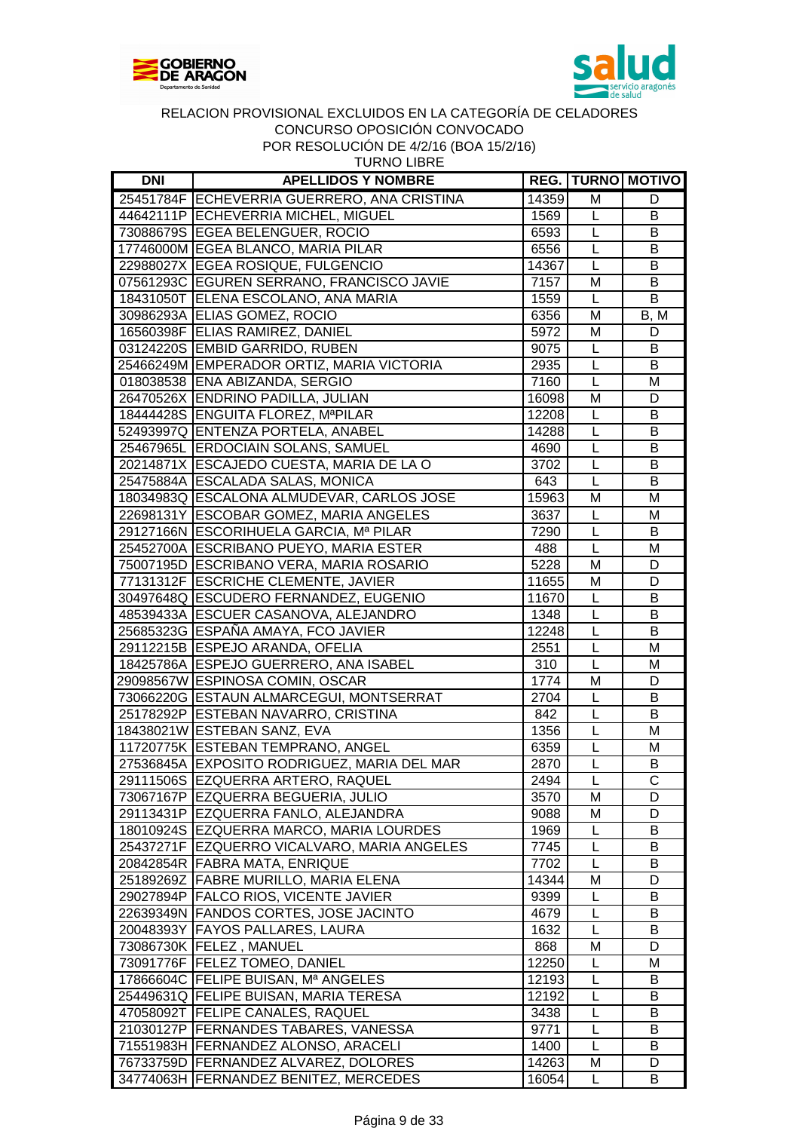



| <b>DNI</b> | <b>APELLIDOS Y NOMBRE</b>                   |       |                | <b>REG.   TURNO   MOTIVO  </b> |
|------------|---------------------------------------------|-------|----------------|--------------------------------|
|            | 25451784F ECHEVERRIA GUERRERO, ANA CRISTINA | 14359 | M              | D                              |
|            | 44642111P ECHEVERRIA MICHEL, MIGUEL         | 1569  | $\mathsf{L}$   | B                              |
|            | 73088679S EGEA BELENGUER, ROCIO             | 6593  | $\mathsf{L}$   | B                              |
|            | 17746000M EGEA BLANCO, MARIA PILAR          | 6556  | L              | B                              |
|            | 22988027X EGEA ROSIQUE, FULGENCIO           | 14367 | $\mathsf{L}$   | В                              |
|            | 07561293C EGUREN SERRANO, FRANCISCO JAVIE   | 7157  | M              | В                              |
|            | 18431050T ELENA ESCOLANO, ANA MARIA         | 1559  | L              | B                              |
|            | 30986293A ELIAS GOMEZ, ROCIO                | 6356  | M              | B, M                           |
|            | 16560398F ELIAS RAMIREZ, DANIEL             | 5972  | M              | D                              |
|            | 03124220S EMBID GARRIDO, RUBEN              | 9075  | $\mathsf{L}$   | B                              |
|            | 25466249M EMPERADOR ORTIZ, MARIA VICTORIA   | 2935  | $\mathsf{L}$   | B                              |
|            | 018038538 ENA ABIZANDA, SERGIO              | 7160  | L              | M                              |
|            | 26470526X ENDRINO PADILLA, JULIAN           | 16098 | M              | D                              |
|            | 18444428S ENGUITA FLOREZ, MªPILAR           | 12208 | L              | В                              |
|            | 52493997Q ENTENZA PORTELA, ANABEL           | 14288 | $\mathsf{L}$   | В                              |
|            | 25467965L ERDOCIAIN SOLANS, SAMUEL          | 4690  | $\mathsf{L}$   | B                              |
|            | 20214871X ESCAJEDO CUESTA, MARIA DE LA O    | 3702  | $\mathsf{L}$   | B                              |
|            | 25475884A ESCALADA SALAS, MONICA            | 643   | $\overline{L}$ | B                              |
|            | 18034983Q ESCALONA ALMUDEVAR, CARLOS JOSE   | 15963 | M              | M                              |
|            | 22698131Y ESCOBAR GOMEZ, MARIA ANGELES      | 3637  | $\mathsf{L}$   | M                              |
|            | 29127166N ESCORIHUELA GARCIA, Mª PILAR      | 7290  | $\mathsf L$    | B                              |
|            | 25452700A ESCRIBANO PUEYO, MARIA ESTER      | 488   | $\mathsf{L}$   | M                              |
|            | 75007195D ESCRIBANO VERA, MARIA ROSARIO     | 5228  | M              | D                              |
|            | 77131312F ESCRICHE CLEMENTE, JAVIER         | 11655 | M              | D                              |
|            | 30497648Q ESCUDERO FERNANDEZ, EUGENIO       | 11670 | $\mathsf{L}$   | B                              |
|            | 48539433A ESCUER CASANOVA, ALEJANDRO        | 1348  | $\mathsf{L}$   | $\overline{B}$                 |
|            | 25685323G ESPAÑA AMAYA, FCO JAVIER          | 12248 | L              | $\overline{B}$                 |
|            | 29112215B ESPEJO ARANDA, OFELIA             | 2551  | $\mathsf{L}$   | M                              |
|            | 18425786A ESPEJO GUERRERO, ANA ISABEL       | 310   | L              | M                              |
|            | 29098567W ESPINOSA COMIN, OSCAR             | 1774  | M              | D                              |
|            | 73066220G ESTAUN ALMARCEGUI, MONTSERRAT     | 2704  | L              | В                              |
|            | 25178292P ESTEBAN NAVARRO, CRISTINA         | 842   | $\mathsf{L}$   | B                              |
|            | 18438021W ESTEBAN SANZ, EVA                 | 1356  | $\mathsf L$    | M                              |
|            | 11720775K ESTEBAN TEMPRANO, ANGEL           | 6359  | $\mathsf{L}%$  | M                              |
|            | 27536845A EXPOSITO RODRIGUEZ, MARIA DEL MAR | 2870  | $\overline{L}$ | B                              |
|            | 29111506S EZQUERRA ARTERO, RAQUEL           | 2494  | L              | С                              |
|            | 73067167P EZQUERRA BEGUERIA, JULIO          | 3570  | M              | D                              |
|            | 29113431P EZQUERRA FANLO, ALEJANDRA         | 9088  | M              | D                              |
|            | 18010924S EZQUERRA MARCO, MARIA LOURDES     | 1969  | L              | B                              |
|            | 25437271F EZQUERRO VICALVARO, MARIA ANGELES | 7745  | L              | B                              |
|            | 20842854R FABRA MATA, ENRIQUE               | 7702  | $\mathsf{L}$   | B                              |
|            | 25189269Z FABRE MURILLO, MARIA ELENA        | 14344 | M              | D                              |
|            | 29027894P FALCO RIOS, VICENTE JAVIER        | 9399  | L              | В                              |
|            | 22639349N FANDOS CORTES, JOSE JACINTO       | 4679  | L              | B                              |
|            | 20048393Y FAYOS PALLARES, LAURA             | 1632  | L              | В                              |
|            | 73086730K   FELEZ, MANUEL                   | 868   | M              | D                              |
|            | 73091776F   FELEZ TOMEO, DANIEL             | 12250 | L              | Μ                              |
|            | 17866604C FELIPE BUISAN, Mª ANGELES         | 12193 | L              | B                              |
|            | 25449631Q FELIPE BUISAN, MARIA TERESA       | 12192 | L              | В                              |
|            | 47058092T FELIPE CANALES, RAQUEL            | 3438  | $\mathsf{L}$   | B                              |
|            | 21030127P   FERNANDES TABARES, VANESSA      | 9771  | L              | В                              |
|            | 71551983H   FERNANDEZ ALONSO, ARACELI       | 1400  | L              | B                              |
|            | 76733759D   FERNANDEZ ALVAREZ, DOLORES      | 14263 | M              | D                              |
|            | 34774063H   FERNANDEZ BENITEZ, MERCEDES     | 16054 | L              | B                              |
|            |                                             |       |                |                                |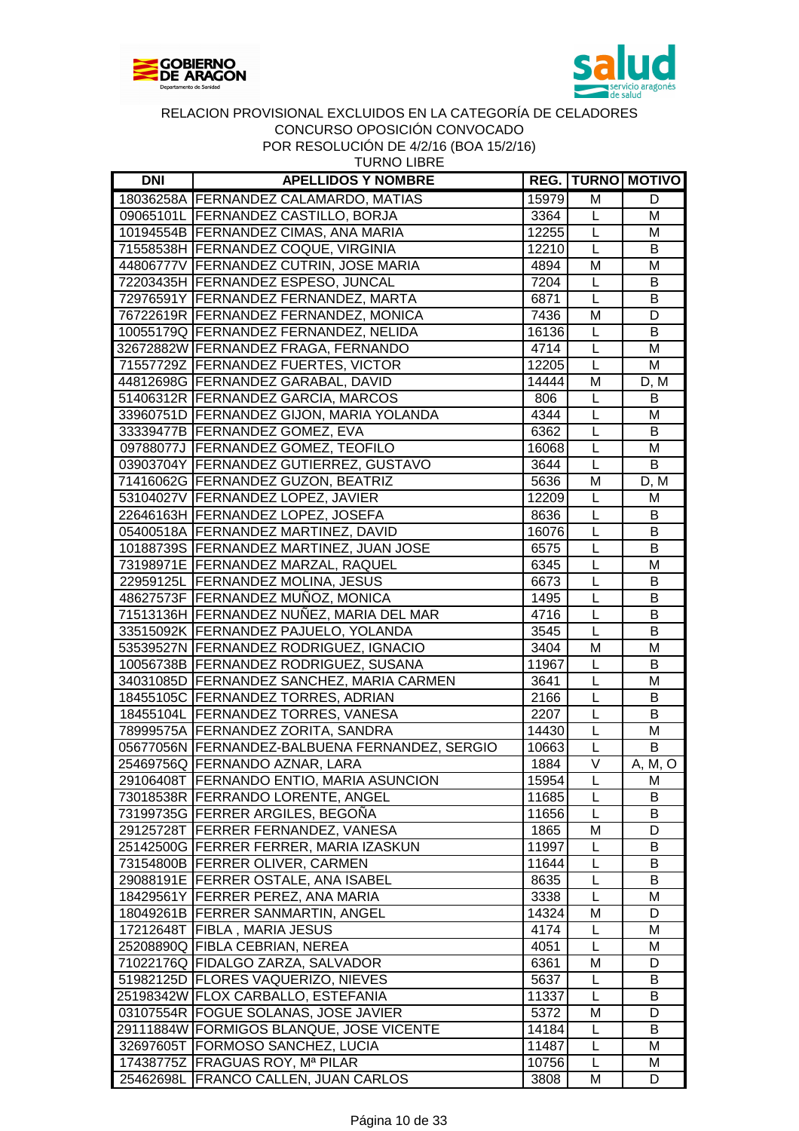



TURNO LIBRE

| <b>DNI</b> | <b>APELLIDOS Y NOMBRE</b>                                                      |              |                        | <b>REG. TURNO MOTIVO</b> |
|------------|--------------------------------------------------------------------------------|--------------|------------------------|--------------------------|
|            | 18036258A   FERNANDEZ CALAMARDO, MATIAS                                        | 15979        | M                      | D                        |
|            | 09065101L   FERNANDEZ CASTILLO, BORJA                                          | 3364         | L                      | M                        |
|            | 10194554B FERNANDEZ CIMAS, ANA MARIA                                           | 12255        | L                      | M                        |
|            | 71558538H FERNANDEZ COQUE, VIRGINIA                                            | 12210        | L                      | B                        |
|            | 44806777V   FERNANDEZ CUTRIN, JOSE MARIA                                       | 4894         | M                      | M                        |
|            | 72203435H FERNANDEZ ESPESO, JUNCAL                                             | 7204         | L                      | В                        |
|            | 72976591Y FERNANDEZ FERNANDEZ, MARTA                                           | 6871         | L                      | B                        |
|            | 76722619R FERNANDEZ FERNANDEZ, MONICA                                          | 7436         | M                      | D                        |
|            | 10055179Q FERNANDEZ FERNANDEZ, NELIDA                                          | 16136        | L                      | B                        |
|            | 32672882W FERNANDEZ FRAGA, FERNANDO                                            | 4714         | $\overline{L}$         | M                        |
|            | 71557729Z FERNANDEZ FUERTES, VICTOR                                            | 12205        | $\overline{L}$         | M                        |
|            | 44812698G FERNANDEZ GARABAL, DAVID                                             | 14444        | M                      | D, M                     |
|            | 51406312R FERNANDEZ GARCIA, MARCOS                                             | 806          | L                      | В                        |
|            | 33960751D   FERNANDEZ GIJON, MARIA YOLANDA                                     | 4344         | L                      | M                        |
|            | 33339477B   FERNANDEZ GOMEZ, EVA                                               | 6362         | $\overline{L}$         | B                        |
|            | 09788077J   FERNANDEZ GOMEZ, TEOFILO                                           | 16068        | L                      | M                        |
|            | 03903704Y FERNANDEZ GUTIERREZ, GUSTAVO                                         | 3644         | L                      | B                        |
|            | 71416062G FERNANDEZ GUZON, BEATRIZ                                             | 5636         | M                      | D, M                     |
|            | 53104027V   FERNANDEZ LOPEZ, JAVIER                                            | 12209        | L                      | M                        |
|            | 22646163H FERNANDEZ LOPEZ, JOSEFA                                              | 8636         | L                      | B                        |
|            | 05400518A   FERNANDEZ MARTINEZ, DAVID                                          | 16076        | L                      | B                        |
|            | 10188739S   FERNANDEZ MARTINEZ, JUAN JOSE                                      | 6575         | L                      | B                        |
|            | 73198971E FERNANDEZ MARZAL, RAQUEL                                             | 6345         | L                      | M                        |
|            | 22959125L FERNANDEZ MOLINA, JESUS                                              | 6673         | L                      | B                        |
|            | 48627573F FERNANDEZ MUÑOZ, MONICA                                              |              | L                      | B                        |
|            |                                                                                | 1495         | L                      | B                        |
|            | 71513136H FERNANDEZ NUÑEZ, MARIA DEL MAR                                       | 4716         | $\overline{L}$         | B                        |
|            | 33515092K FERNANDEZ PAJUELO, YOLANDA<br>53539527N FERNANDEZ RODRIGUEZ, IGNACIO | 3545<br>3404 | M                      | M                        |
|            | 10056738B FERNANDEZ RODRIGUEZ, SUSANA                                          |              | L                      | B                        |
|            |                                                                                | 11967        |                        |                          |
|            | 34031085D FERNANDEZ SANCHEZ, MARIA CARMEN                                      | 3641         | L<br>$\overline{L}$    | M<br>B                   |
|            | 18455105C FERNANDEZ TORRES, ADRIAN                                             | 2166<br>2207 |                        | $\overline{B}$           |
|            | 18455104L FERNANDEZ TORRES, VANESA                                             |              | L                      |                          |
|            | 78999575A FERNANDEZ ZORITA, SANDRA                                             | 14430        | L                      | M                        |
|            | 05677056N   FERNANDEZ-BALBUENA FERNANDEZ, SERGIO                               | 10663        | L<br>$\overline{\vee}$ | B                        |
|            | 25469756Q FERNANDO AZNAR, LARA                                                 | 1884         |                        | A, M, O                  |
|            | 29106408T FERNANDO ENTIO, MARIA ASUNCION                                       | 15954        | L                      | M                        |
|            | 73018538R FERRANDO LORENTE, ANGEL                                              | 11685        | L                      | В                        |
|            | 73199735G FERRER ARGILES, BEGOÑA                                               | 11656        | L                      | В                        |
|            | 29125728T FERRER FERNANDEZ, VANESA                                             | 1865         | M                      | D                        |
|            | 25142500G FERRER FERRER, MARIA IZASKUN                                         | 11997        | L                      | B                        |
|            | 73154800B FERRER OLIVER, CARMEN                                                | 11644        | L                      | В                        |
|            | 29088191E FERRER OSTALE, ANA ISABEL                                            | 8635         | L                      | В                        |
|            | 18429561Y FERRER PEREZ, ANA MARIA                                              | 3338         | L                      | M                        |
|            | 18049261B FERRER SANMARTIN, ANGEL                                              | 14324        | M                      | D                        |
|            | 17212648T FIBLA, MARIA JESUS                                                   | 4174         | L                      | M                        |
|            | 25208890Q FIBLA CEBRIAN, NEREA                                                 | 4051         | L                      | M                        |
|            | 71022176Q FIDALGO ZARZA, SALVADOR                                              | 6361         | M                      | D                        |
|            | 51982125D FLORES VAQUERIZO, NIEVES                                             | 5637         | L                      | B                        |
|            | 25198342W FLOX CARBALLO, ESTEFANIA                                             | 11337        | L                      | B                        |
|            | 03107554R FOGUE SOLANAS, JOSE JAVIER                                           | 5372         | M                      | D                        |
|            | 29111884W FORMIGOS BLANQUE, JOSE VICENTE                                       | 14184        | L                      | B                        |
|            | 32697605T FORMOSO SANCHEZ, LUCIA                                               | 11487        | L                      | м                        |
|            | 17438775Z FRAGUAS ROY, Mª PILAR                                                | 10756        | L                      | M                        |
|            | 25462698L FRANCO CALLEN, JUAN CARLOS                                           | 3808         | M                      | D                        |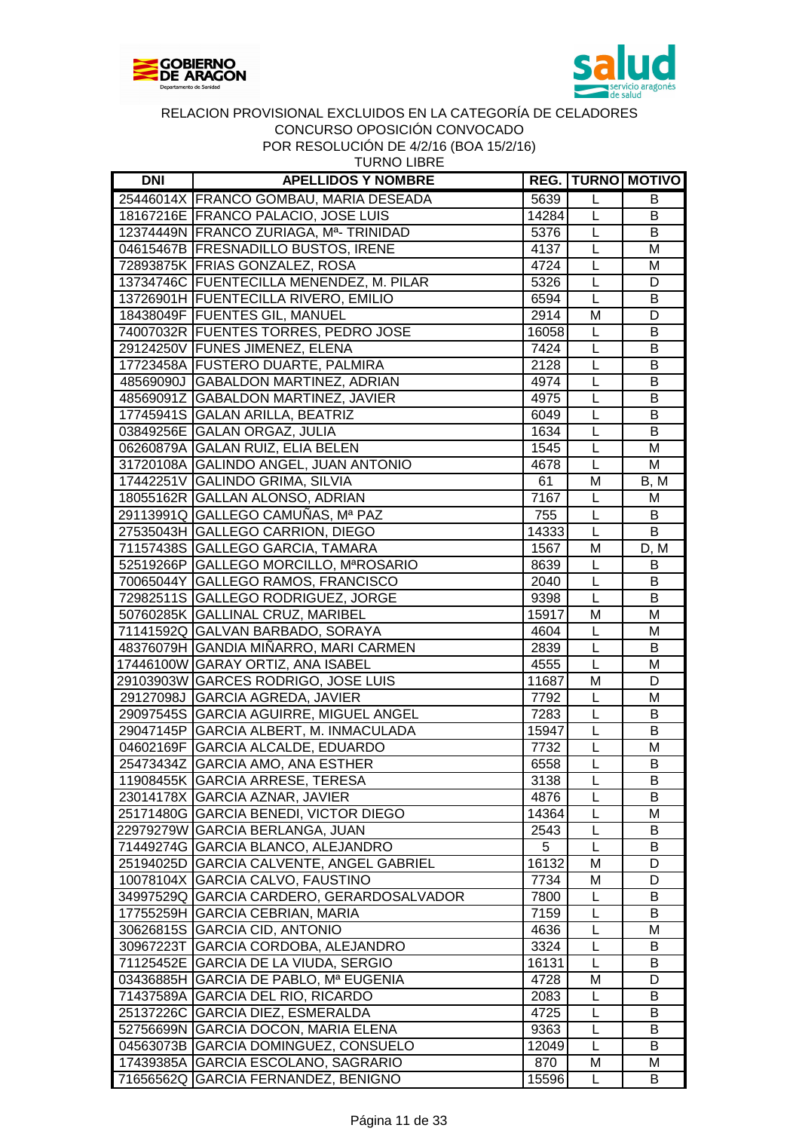



TURNO LIBRE

| <b>DNI</b> | <b>APELLIDOS Y NOMBRE</b>                 |       |                | <b>REG.   TURNO   MOTIVO  </b> |
|------------|-------------------------------------------|-------|----------------|--------------------------------|
|            | 25446014X FRANCO GOMBAU, MARIA DESEADA    | 5639  | L              | B                              |
|            | 18167216E FRANCO PALACIO, JOSE LUIS       | 14284 | L              | B                              |
|            | 12374449N FRANCO ZURIAGA, Ma-TRINIDAD     | 5376  | $\mathsf{L}$   | В                              |
|            | 04615467B FRESNADILLO BUSTOS, IRENE       | 4137  | L              | M                              |
|            | 72893875K FRIAS GONZALEZ, ROSA            | 4724  | L              | M                              |
|            | 13734746C FUENTECILLA MENENDEZ, M. PILAR  | 5326  | $\mathsf{L}$   | D                              |
|            | 13726901H FUENTECILLA RIVERO, EMILIO      | 6594  | $\mathsf{L}$   | B                              |
|            | 18438049F FUENTES GIL, MANUEL             | 2914  | M              | D                              |
|            | 74007032R FUENTES TORRES, PEDRO JOSE      | 16058 | $\mathsf L$    | B                              |
|            | 29124250V FUNES JIMENEZ, ELENA            | 7424  | L              | B                              |
|            | 17723458A FUSTERO DUARTE, PALMIRA         | 2128  | $\mathsf L$    | В                              |
|            | 48569090J GABALDON MARTINEZ, ADRIAN       | 4974  | L              | В                              |
|            | 48569091Z GABALDON MARTINEZ, JAVIER       | 4975  | $\mathsf{L}$   | В                              |
|            | 17745941S GALAN ARILLA, BEATRIZ           | 6049  | $\overline{L}$ | B                              |
|            | 03849256E GALAN ORGAZ, JULIA              | 1634  | $\mathsf{L}%$  | B                              |
|            | 06260879A GALAN RUIZ, ELIA BELEN          | 1545  | $\mathsf{L}$   | M                              |
|            | 31720108A GALINDO ANGEL, JUAN ANTONIO     | 4678  | $\mathsf L$    | M                              |
|            | 17442251V GALINDO GRIMA, SILVIA           | 61    | M              | B, M                           |
|            | 18055162R GALLAN ALONSO, ADRIAN           | 7167  | L              | M                              |
|            | 29113991Q GALLEGO CAMUÑAS, Mª PAZ         | 755   | L              | В                              |
|            | 27535043H GALLEGO CARRION, DIEGO          | 14333 | $\mathsf{L}$   | B                              |
|            |                                           | 1567  | M              |                                |
|            | 71157438S GALLEGO GARCIA, TAMARA          |       |                | D, M                           |
|            | 52519266P GALLEGO MORCILLO, MªROSARIO     | 8639  | $\mathsf{L}$   | B                              |
|            | 70065044Y GALLEGO RAMOS, FRANCISCO        | 2040  | $\overline{L}$ | B                              |
|            | 72982511S GALLEGO RODRIGUEZ, JORGE        | 9398  | $\overline{L}$ | B                              |
|            | 50760285K GALLINAL CRUZ, MARIBEL          | 15917 | M              | M                              |
|            | 71141592Q GALVAN BARBADO, SORAYA          | 4604  | $\mathsf{L}$   | M                              |
|            | 48376079H GANDIA MIÑARRO, MARI CARMEN     | 2839  | L              | B                              |
|            | 17446100W GARAY ORTIZ, ANA ISABEL         | 4555  | L              | M                              |
|            | 29103903W GARCES RODRIGO, JOSE LUIS       | 11687 | M              | D                              |
|            | 29127098J GARCIA AGREDA, JAVIER           | 7792  | L              | M                              |
|            | 29097545S GARCIA AGUIRRE, MIGUEL ANGEL    | 7283  | $\mathsf{L}$   | B                              |
|            | 29047145P GARCIA ALBERT, M. INMACULADA    | 15947 | $\mathsf{L}$   | B                              |
|            | 04602169F GARCIA ALCALDE, EDUARDO         | 7732  | L              | M                              |
|            | 25473434Z GARCIA AMO, ANA ESTHER          | 6558  | L              | B                              |
|            | 11908455K   GARCIA ARRESE, TERESA         | 3138  | L              | в                              |
|            | 23014178X GARCIA AZNAR, JAVIER            | 4876  | L              | B                              |
|            | 25171480G GARCIA BENEDI, VICTOR DIEGO     | 14364 | L              | M                              |
|            | 22979279W GARCIA BERLANGA, JUAN           | 2543  | L              | В                              |
|            | 71449274G GARCIA BLANCO, ALEJANDRO        | 5     | L              | B                              |
|            | 25194025D GARCIA CALVENTE, ANGEL GABRIEL  | 16132 | M              | D                              |
|            | 10078104X GARCIA CALVO, FAUSTINO          | 7734  | M              | D                              |
|            | 34997529Q GARCIA CARDERO, GERARDOSALVADOR | 7800  | L              | B                              |
|            | 17755259H GARCIA CEBRIAN, MARIA           | 7159  | L              | B                              |
|            | 30626815S GARCIA CID, ANTONIO             | 4636  | L              | М                              |
|            | 30967223T GARCIA CORDOBA, ALEJANDRO       | 3324  | L              | B                              |
|            | 71125452E GARCIA DE LA VIUDA, SERGIO      | 16131 | L              | B                              |
|            | 03436885H GARCIA DE PABLO, Mª EUGENIA     | 4728  | M              | D                              |
|            | 71437589A GARCIA DEL RIO, RICARDO         | 2083  | L              | В                              |
|            | 25137226C GARCIA DIEZ, ESMERALDA          | 4725  | L              | B                              |
|            | 52756699N GARCIA DOCON, MARIA ELENA       | 9363  | L              | В                              |
|            | 04563073B GARCIA DOMINGUEZ, CONSUELO      | 12049 | L              | B                              |
|            | 17439385A GARCIA ESCOLANO, SAGRARIO       | 870   | M              | M                              |
|            | 71656562Q GARCIA FERNANDEZ, BENIGNO       | 15596 | L              | В                              |
|            |                                           |       |                |                                |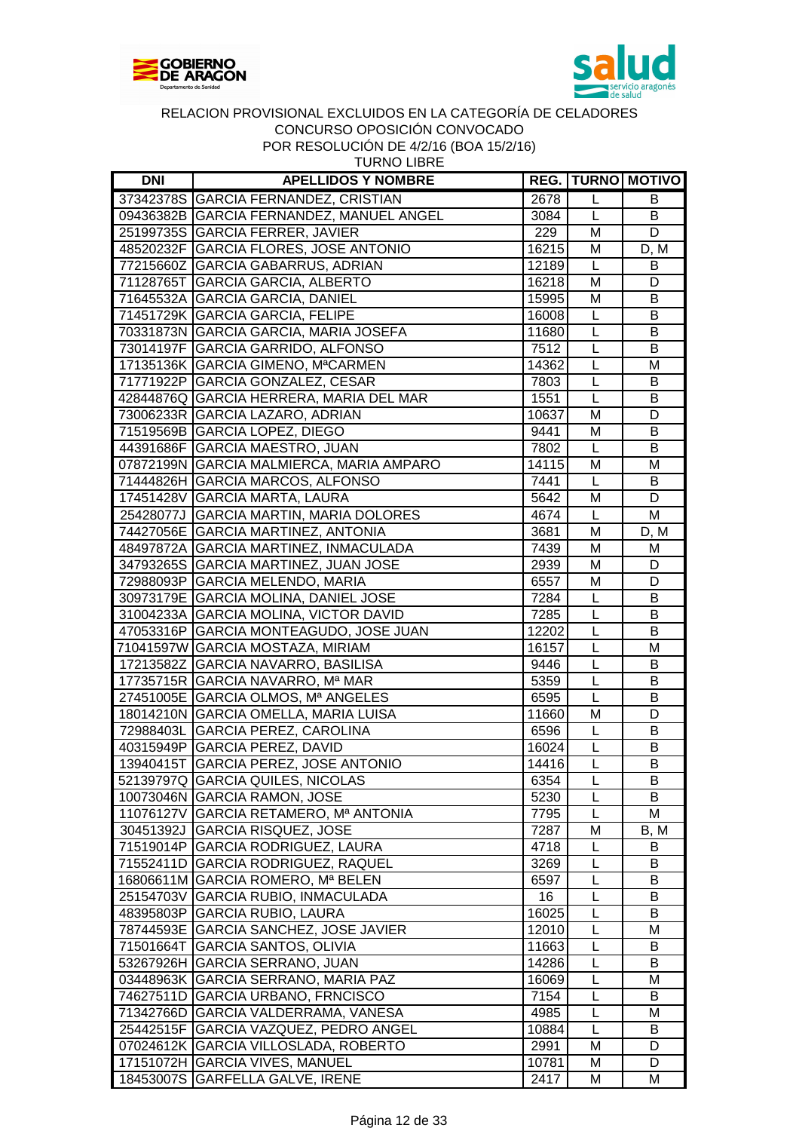



| <b>TURNO LIBRE</b> |
|--------------------|
|--------------------|

| <b>DNI</b> | <b>APELLIDOS Y NOMBRE</b>                      |       |                | <b>REG.   TURNO   MOTIVO</b> |
|------------|------------------------------------------------|-------|----------------|------------------------------|
|            | 37342378S GARCIA FERNANDEZ, CRISTIAN           | 2678  | L              | B                            |
|            | 09436382B GARCIA FERNANDEZ, MANUEL ANGEL       | 3084  | L              | B                            |
|            | 25199735S GARCIA FERRER, JAVIER                | 229   | M              | D                            |
|            | 48520232F GARCIA FLORES, JOSE ANTONIO          | 16215 | M              | D, M                         |
|            | 77215660Z GARCIA GABARRUS, ADRIAN              | 12189 | L              | B                            |
|            | 71128765T GARCIA GARCIA, ALBERTO               | 16218 | M              | D                            |
|            | 71645532A GARCIA GARCIA, DANIEL                | 15995 | M              | B                            |
|            | 71451729K GARCIA GARCIA, FELIPE                | 16008 | $\mathsf{L}$   | B                            |
|            | 70331873N GARCIA GARCIA, MARIA JOSEFA          | 11680 | $\mathsf L$    | B                            |
|            | 73014197F GARCIA GARRIDO, ALFONSO              | 7512  | L              | B                            |
|            | 17135136K GARCIA GIMENO, M <sup>a</sup> CARMEN | 14362 | $\mathsf{L}$   | M                            |
|            | 71771922P GARCIA GONZALEZ, CESAR               | 7803  | L              | В                            |
|            | 42844876Q GARCIA HERRERA, MARIA DEL MAR        | 1551  | L              | В                            |
|            | 73006233R GARCIA LAZARO, ADRIAN                | 10637 | M              | D                            |
|            | 71519569B GARCIA LOPEZ, DIEGO                  | 9441  | M              | B                            |
|            | 44391686F GARCIA MAESTRO, JUAN                 | 7802  | L              | B                            |
|            | 07872199N GARCIA MALMIERCA, MARIA AMPARO       | 14115 | M              | M                            |
|            | 71444826H GARCIA MARCOS, ALFONSO               | 7441  | L              | B                            |
|            |                                                |       | M              | D                            |
|            | 17451428V GARCIA MARTA, LAURA                  | 5642  |                |                              |
|            | 25428077J GARCIA MARTIN, MARIA DOLORES         | 4674  | L              | M                            |
|            | 74427056E GARCIA MARTINEZ, ANTONIA             | 3681  | M              | D, M                         |
|            | 48497872A GARCIA MARTINEZ, INMACULADA          | 7439  | M              | M                            |
|            | 34793265S GARCIA MARTINEZ, JUAN JOSE           | 2939  | M              | D                            |
|            | 72988093P GARCIA MELENDO, MARIA                | 6557  | M              | D                            |
|            | 30973179E GARCIA MOLINA, DANIEL JOSE           | 7284  | $\mathsf L$    | B                            |
|            | 31004233A GARCIA MOLINA, VICTOR DAVID          | 7285  | L              | B                            |
|            | 47053316P GARCIA MONTEAGUDO, JOSE JUAN         | 12202 | $\overline{L}$ | B                            |
|            | 71041597W GARCIA MOSTAZA, MIRIAM               | 16157 | L              | M                            |
|            | 17213582Z GARCIA NAVARRO, BASILISA             | 9446  | L              | В                            |
|            | 17735715R GARCIA NAVARRO, Mª MAR               | 5359  | L              | В                            |
|            | 27451005E GARCIA OLMOS, Mª ANGELES             | 6595  | $\overline{L}$ | B                            |
|            | 18014210N GARCIA OMELLA, MARIA LUISA           | 11660 | M              | D                            |
|            | 72988403L GARCIA PEREZ, CAROLINA               | 6596  | L              | B                            |
|            | 40315949P GARCIA PEREZ, DAVID                  | 16024 | L              | B                            |
|            | 13940415T GARCIA PEREZ, JOSE ANTONIO           | 14416 | L              | B                            |
|            | 52139797Q  GARCIA QUILES, NICOLAS              | 6354  | L              | В                            |
|            | 10073046N GARCIA RAMON, JOSE                   | 5230  | L              | B                            |
|            | 11076127V GARCIA RETAMERO, Mª ANTONIA          | 7795  | L              | Μ                            |
|            | 30451392J GARCIA RISQUEZ, JOSE                 | 7287  | M              | B, M                         |
|            | 71519014P GARCIA RODRIGUEZ, LAURA              | 4718  | L              | B                            |
|            | 71552411D GARCIA RODRIGUEZ, RAQUEL             | 3269  | L              | B                            |
|            | 16806611M GARCIA ROMERO, Mª BELEN              | 6597  | L              | В                            |
|            | 25154703V GARCIA RUBIO, INMACULADA             | 16    | L              | B                            |
|            | 48395803P GARCIA RUBIO, LAURA                  | 16025 | L              | B                            |
|            | 78744593E GARCIA SANCHEZ, JOSE JAVIER          | 12010 | L              | М                            |
|            | 71501664T GARCIA SANTOS, OLIVIA                | 11663 | L              | B                            |
|            | 53267926H GARCIA SERRANO, JUAN                 | 14286 | L              | B                            |
|            | 03448963K GARCIA SERRANO, MARIA PAZ            | 16069 | L              | M                            |
|            | 74627511D GARCIA URBANO, FRNCISCO              | 7154  | L              | B                            |
|            | 71342766D GARCIA VALDERRAMA, VANESA            | 4985  | L              | M                            |
|            | 25442515F GARCIA VAZQUEZ, PEDRO ANGEL          | 10884 | L              | B                            |
|            | 07024612K GARCIA VILLOSLADA, ROBERTO           | 2991  | M              | D                            |
|            | 17151072H GARCIA VIVES, MANUEL                 | 10781 | M              | D                            |
|            | 18453007S GARFELLA GALVE, IRENE                | 2417  | М              | M                            |
|            |                                                |       |                |                              |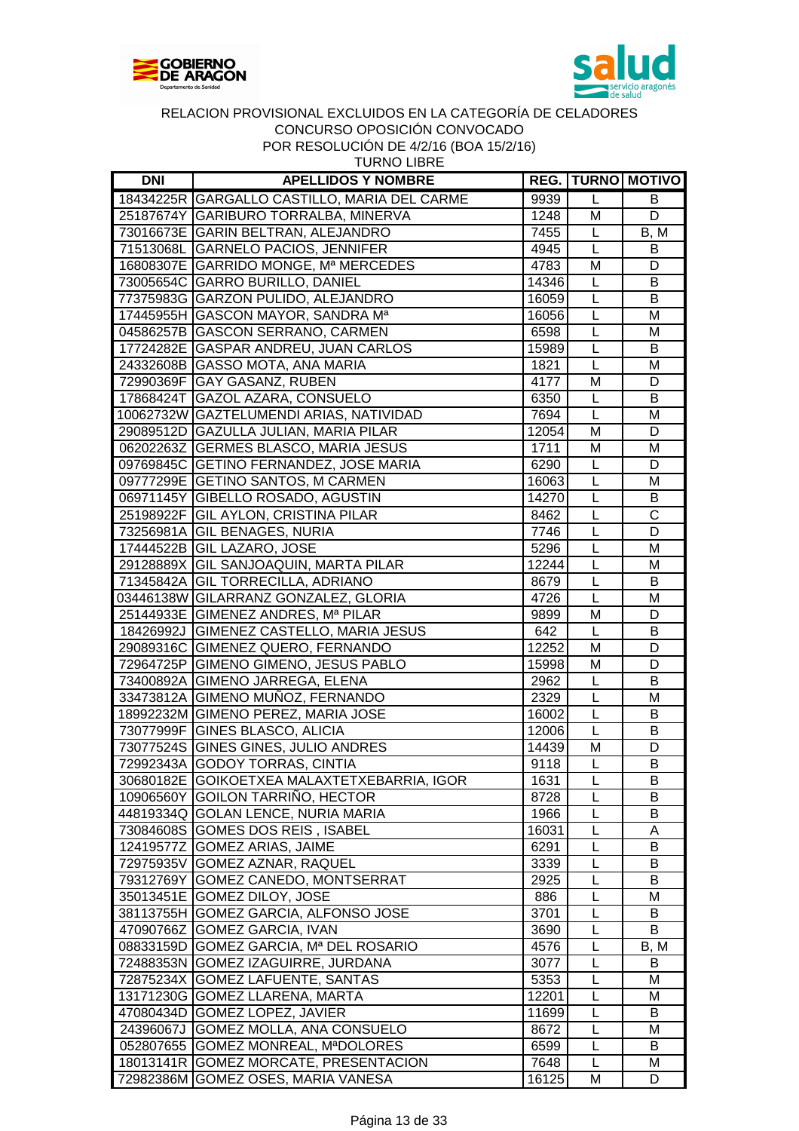



| <b>DNI</b> | <b>APELLIDOS Y NOMBRE</b>                    |       |   | <b>REG. TURNO MOTIVO</b> |
|------------|----------------------------------------------|-------|---|--------------------------|
|            | 18434225R GARGALLO CASTILLO, MARIA DEL CARME | 9939  | L | В                        |
|            | 25187674Y GARIBURO TORRALBA, MINERVA         | 1248  | M | D                        |
|            | 73016673E GARIN BELTRAN, ALEJANDRO           | 7455  | L | B, M                     |
|            | 71513068L GARNELO PACIOS, JENNIFER           | 4945  | L | B                        |
|            | 16808307E GARRIDO MONGE, Mª MERCEDES         | 4783  | M | D                        |
|            | 73005654C GARRO BURILLO, DANIEL              | 14346 | L | B                        |
|            | 77375983G GARZON PULIDO, ALEJANDRO           | 16059 | L | B                        |
|            | 17445955H GASCON MAYOR, SANDRA Ma            | 16056 | L | M                        |
|            | 04586257B GASCON SERRANO, CARMEN             | 6598  | L | M                        |
|            | 17724282E GASPAR ANDREU, JUAN CARLOS         | 15989 | L | B                        |
|            | 24332608B GASSO MOTA, ANA MARIA              | 1821  | L | M                        |
|            | 72990369F GAY GASANZ, RUBEN                  | 4177  | M | D                        |
|            | 17868424T GAZOL AZARA, CONSUELO              | 6350  | L | B                        |
|            | 10062732W GAZTELUMENDI ARIAS, NATIVIDAD      | 7694  | L | M                        |
|            | 29089512D GAZULLA JULIAN, MARIA PILAR        | 12054 | M | D                        |
|            | 06202263Z GERMES BLASCO, MARIA JESUS         | 1711  | M | M                        |
|            | 09769845C GETINO FERNANDEZ, JOSE MARIA       | 6290  | L | D                        |
|            | 09777299E GETINO SANTOS, M CARMEN            | 16063 | L | M                        |
|            | 06971145Y GIBELLO ROSADO, AGUSTIN            | 14270 | L | B                        |
|            | 25198922F GIL AYLON, CRISTINA PILAR          | 8462  | L | $\overline{\text{c}}$    |
|            | 73256981A GIL BENAGES, NURIA                 | 7746  | L | D                        |
|            | 17444522B GIL LAZARO, JOSE                   | 5296  | L | M                        |
|            | 29128889X GIL SANJOAQUIN, MARTA PILAR        | 12244 | L | M                        |
|            | 71345842A GIL TORRECILLA, ADRIANO            | 8679  | L | B                        |
|            | 03446138W GILARRANZ GONZALEZ, GLORIA         | 4726  | L | M                        |
|            | 25144933E GIMENEZ ANDRES, Mª PILAR           | 9899  | M | D                        |
|            | 18426992J GIMENEZ CASTELLO, MARIA JESUS      | 642   | L | B                        |
|            | 29089316C GIMENEZ QUERO, FERNANDO            | 12252 | M | D                        |
|            | 72964725P GIMENO GIMENO, JESUS PABLO         | 15998 | M | D                        |
|            | 73400892A GIMENO JARREGA, ELENA              | 2962  | L | B                        |
|            | 33473812A GIMENO MUÑOZ, FERNANDO             | 2329  | L | M                        |
|            | 18992232M GIMENO PEREZ, MARIA JOSE           | 16002 | L | B                        |
|            | 73077999F GINES BLASCO, ALICIA               | 12006 | L | B                        |
|            | 73077524S GINES GINES, JULIO ANDRES          | 14439 | M | D                        |
|            | 72992343A GODOY TORRAS, CINTIA               | 9118  | L | B                        |
|            | 30680182E GOIKOETXEA MALAXTETXEBARRIA, IGOR  | 1631  | L | B                        |
|            | 10906560Y GOILON TARRINO, HECTOR             | 8728  | L | B                        |
|            | 44819334Q GOLAN LENCE, NURIA MARIA           | 1966  | L | B                        |
|            | 73084608S GOMES DOS REIS, ISABEL             | 16031 | L | A                        |
|            | 12419577Z GOMEZ ARIAS, JAIME                 | 6291  | L | B                        |
|            | 72975935V GOMEZ AZNAR, RAQUEL                | 3339  | L | B                        |
|            | 79312769Y GOMEZ CANEDO, MONTSERRAT           | 2925  | L | B                        |
|            | 35013451E GOMEZ DILOY, JOSE                  | 886   | L | м                        |
|            | 38113755H GOMEZ GARCIA, ALFONSO JOSE         | 3701  | L | B                        |
|            | 47090766Z GOMEZ GARCIA, IVAN                 | 3690  | L | B                        |
|            | 08833159D GOMEZ GARCIA, Mª DEL ROSARIO       | 4576  | L | B, M                     |
|            | 72488353N GOMEZ IZAGUIRRE, JURDANA           | 3077  | L | B                        |
|            | 72875234X GOMEZ LAFUENTE, SANTAS             | 5353  | L | M                        |
|            | 13171230G GOMEZ LLARENA, MARTA               | 12201 | L | M                        |
|            | 47080434D GOMEZ LOPEZ, JAVIER                | 11699 | L | B                        |
|            | 24396067J GOMEZ MOLLA, ANA CONSUELO          | 8672  | L | M                        |
|            | 052807655 GOMEZ MONREAL, MªDOLORES           | 6599  | L | B                        |
|            | 18013141R GOMEZ MORCATE, PRESENTACION        | 7648  | L | M                        |

72982386M GOMEZ OSES, MARIA VANESA 16125 M D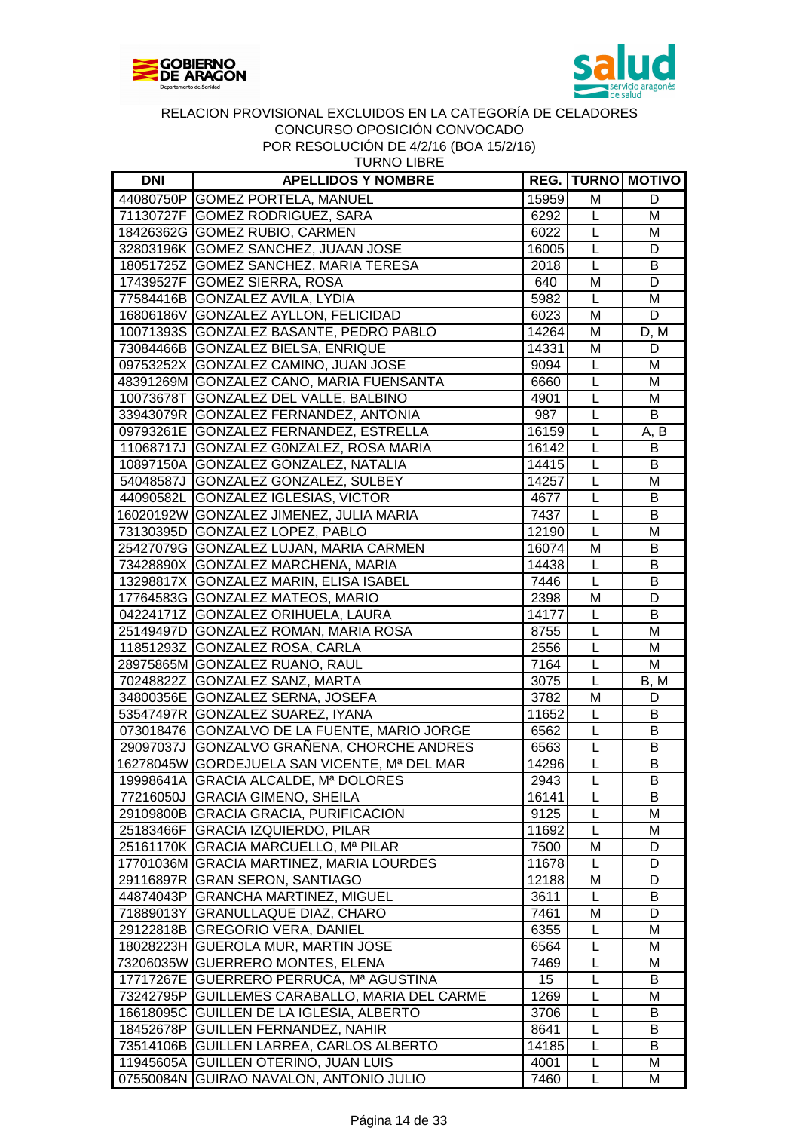



| <b>DNI</b> | <b>APELLIDOS Y NOMBRE</b>                      |       |                | <b>REG.   TURNO   MOTIVO</b> |
|------------|------------------------------------------------|-------|----------------|------------------------------|
|            | 44080750P GOMEZ PORTELA, MANUEL                | 15959 | M              | D                            |
|            | 71130727F GOMEZ RODRIGUEZ, SARA                | 6292  | L              | M                            |
|            | 18426362G GOMEZ RUBIO, CARMEN                  | 6022  | L              | M                            |
|            | 32803196K GOMEZ SANCHEZ, JUAAN JOSE            | 16005 | L              | D                            |
|            | 18051725Z GOMEZ SANCHEZ, MARIA TERESA          | 2018  | L              | В                            |
|            | 17439527F GOMEZ SIERRA, ROSA                   | 640   | M              | D                            |
|            | 77584416B GONZALEZ AVILA, LYDIA                | 5982  | L              | M                            |
|            | 16806186V GONZALEZ AYLLON, FELICIDAD           | 6023  | M              | D                            |
|            | 10071393S GONZALEZ BASANTE, PEDRO PABLO        | 14264 | M              | D, M                         |
|            | 73084466B GONZALEZ BIELSA, ENRIQUE             | 14331 | M              | D                            |
|            | 09753252X GONZALEZ CAMINO, JUAN JOSE           | 9094  | L              | M                            |
|            | 48391269M GONZALEZ CANO, MARIA FUENSANTA       | 6660  | L              | M                            |
|            | 10073678T GONZALEZ DEL VALLE, BALBINO          | 4901  | L              | M                            |
|            | 33943079R GONZALEZ FERNANDEZ, ANTONIA          | 987   | L              | B                            |
|            | 09793261E GONZALEZ FERNANDEZ, ESTRELLA         | 16159 | L              | A, B                         |
|            | 11068717J GONZALEZ GONZALEZ, ROSA MARIA        | 16142 | L              | B                            |
|            | 10897150A GONZALEZ GONZALEZ, NATALIA           | 14415 | L              | B                            |
|            | 54048587J GONZALEZ GONZALEZ, SULBEY            | 14257 | L              | M                            |
|            | 44090582L GONZALEZ IGLESIAS, VICTOR            | 4677  | L              | B                            |
|            | 16020192W GONZALEZ JIMENEZ, JULIA MARIA        | 7437  | $\overline{L}$ | B                            |
|            | 73130395D GONZALEZ LOPEZ, PABLO                | 12190 | L              | M                            |
|            | 25427079G GONZALEZ LUJAN, MARIA CARMEN         | 16074 | M              | B                            |
|            | 73428890X GONZALEZ MARCHENA, MARIA             | 14438 | L              | В                            |
|            | 13298817X GONZALEZ MARIN, ELISA ISABEL         | 7446  | $\overline{L}$ | B                            |
|            |                                                |       |                |                              |
|            | 17764583G GONZALEZ MATEOS, MARIO               | 2398  | M              | D                            |
|            | 04224171Z GONZALEZ ORIHUELA, LAURA             | 14177 | L              | B                            |
|            | 25149497D GONZALEZ ROMAN, MARIA ROSA           | 8755  | $\overline{L}$ | M                            |
|            | 11851293Z GONZALEZ ROSA, CARLA                 | 2556  | L              | M                            |
|            | 28975865M GONZALEZ RUANO, RAUL                 | 7164  | L              | M                            |
|            | 70248822Z GONZALEZ SANZ, MARTA                 | 3075  | L              | B, M                         |
|            | 34800356E GONZALEZ SERNA, JOSEFA               | 3782  | M              | D                            |
|            | 53547497R GONZALEZ SUAREZ, IYANA               | 11652 | L              | B                            |
|            | 073018476 GONZALVO DE LA FUENTE, MARIO JORGE   | 6562  | L              | B                            |
|            | 29097037J GONZALVO GRAÑENA, CHORCHE ANDRES     | 6563  | L              | B                            |
|            | 16278045W GORDEJUELA SAN VICENTE, Mª DEL MAR   | 14296 | $\overline{L}$ | B                            |
|            | 19998641A GRACIA ALCALDE, Mª DOLORES           | 2943  | L              | B                            |
|            | 77216050J GRACIA GIMENO, SHEILA                | 16141 | L              | B                            |
|            | 29109800B GRACIA GRACIA, PURIFICACION          | 9125  | L              | M                            |
|            | 25183466F GRACIA IZQUIERDO, PILAR              | 11692 | L              | M                            |
|            | 25161170K GRACIA MARCUELLO, Mª PILAR           | 7500  | M              | D                            |
|            | 17701036M GRACIA MARTINEZ, MARIA LOURDES       | 11678 | L              | D                            |
|            | 29116897R GRAN SERON, SANTIAGO                 | 12188 | M              | D                            |
|            | 44874043P GRANCHA MARTINEZ, MIGUEL             | 3611  | L              | В                            |
|            | 71889013Y GRANULLAQUE DIAZ, CHARO              | 7461  | М              | D                            |
|            | 29122818B GREGORIO VERA, DANIEL                | 6355  | L              | M                            |
|            | 18028223H GUEROLA MUR, MARTIN JOSE             | 6564  | L              | M                            |
|            | 73206035W GUERRERO MONTES, ELENA               | 7469  | L              | M                            |
|            | 17717267E GUERRERO PERRUCA, Mª AGUSTINA        | 15    | L              | B                            |
|            | 73242795P GUILLEMES CARABALLO, MARIA DEL CARME | 1269  | L              | M                            |
|            | 16618095C GUILLEN DE LA IGLESIA, ALBERTO       | 3706  | L              | B                            |
|            | 18452678P GUILLEN FERNANDEZ, NAHIR             | 8641  | L              | В                            |
|            | 73514106B GUILLEN LARREA, CARLOS ALBERTO       | 14185 | L              | B                            |
|            | 11945605A GUILLEN OTERINO, JUAN LUIS           | 4001  | L              | м                            |
|            | 07550084N GUIRAO NAVALON, ANTONIO JULIO        | 7460  | L              | м                            |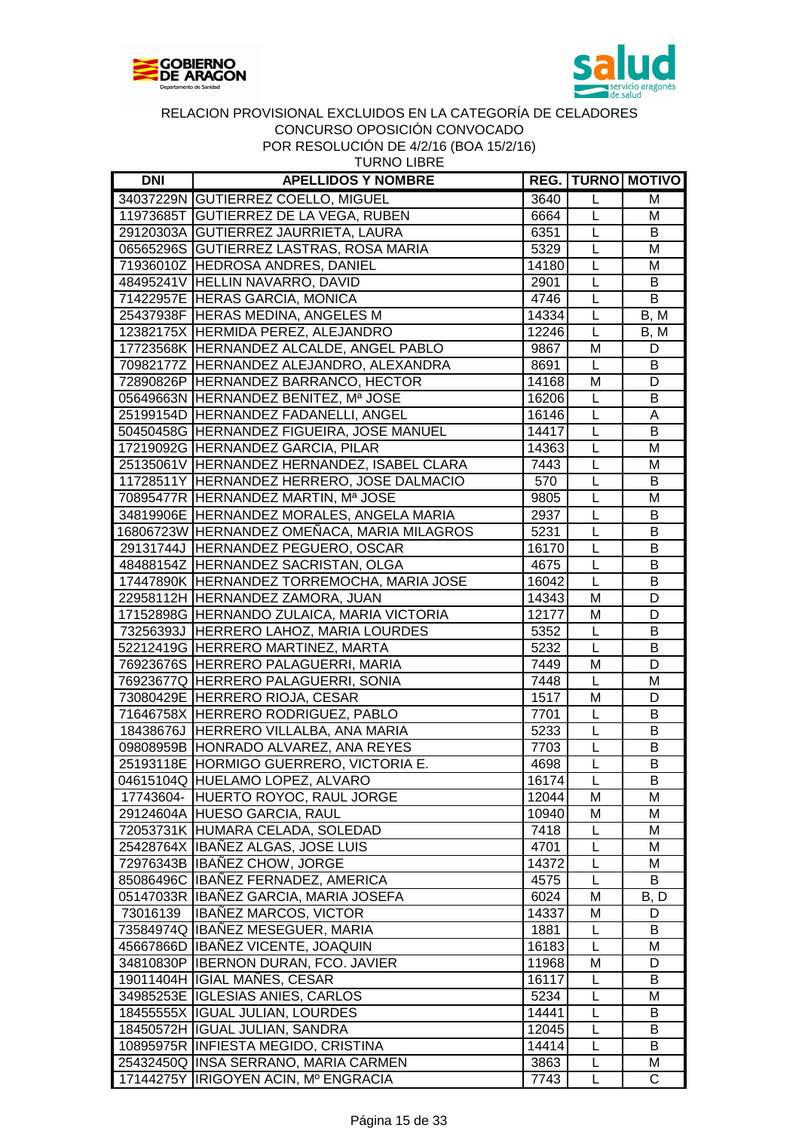



| <b>DNI</b> | <b>APELLIDOS Y NOMBRE</b>                   |       |                | <b>REG.   TURNO   MOTIVO  </b> |
|------------|---------------------------------------------|-------|----------------|--------------------------------|
|            | 34037229N GUTIERREZ COELLO, MIGUEL          | 3640  | L              | M                              |
|            | 11973685T GUTIERREZ DE LA VEGA, RUBEN       | 6664  | L              | M                              |
|            | 29120303A GUTIERREZ JAURRIETA, LAURA        | 6351  | $\overline{L}$ | B                              |
|            | 06565296S GUTIERREZ LASTRAS, ROSA MARIA     | 5329  | $\overline{L}$ | M                              |
|            | 71936010Z HEDROSA ANDRES, DANIEL            | 14180 | L              | M                              |
|            | 48495241V HELLIN NAVARRO, DAVID             | 2901  | L              | B                              |
|            | 71422957E HERAS GARCIA, MONICA              | 4746  | $\overline{L}$ | $\overline{B}$                 |
|            | 25437938F HERAS MEDINA, ANGELES M           | 14334 | L              | $\overline{B}$ , M             |
|            | 12382175X HERMIDA PEREZ, ALEJANDRO          | 12246 | L              | B, M                           |
|            | 17723568K HERNANDEZ ALCALDE, ANGEL PABLO    | 9867  | M              | D                              |
|            | 70982177Z HERNANDEZ ALEJANDRO, ALEXANDRA    | 8691  | L              | B                              |
|            | 72890826P HERNANDEZ BARRANCO, HECTOR        | 14168 | M              | D                              |
|            | 05649663N HERNANDEZ BENITEZ, Mª JOSE        | 16206 | L              | B                              |
|            | 25199154D HERNANDEZ FADANELLI, ANGEL        | 16146 | L              | А                              |
|            | 50450458G HERNANDEZ FIGUEIRA, JOSE MANUEL   | 14417 | L              | B                              |
|            | 17219092G HERNANDEZ GARCIA, PILAR           | 14363 | L              | M                              |
|            | 25135061V HERNANDEZ HERNANDEZ, ISABEL CLARA | 7443  | $\overline{L}$ | M                              |
|            | 11728511Y HERNANDEZ HERRERO, JOSE DALMACIO  | 570   | L              | B                              |
|            | 70895477R HERNANDEZ MARTIN, Mª JOSE         | 9805  | $\overline{L}$ | M                              |
|            | 34819906E HERNANDEZ MORALES, ANGELA MARIA   | 2937  | L              | B                              |
|            | 16806723W HERNANDEZ OMEÑACA, MARIA MILAGROS | 5231  | L              | B                              |
|            | 29131744J HERNANDEZ PEGUERO, OSCAR          | 16170 | L              | B                              |
|            | 48488154Z HERNANDEZ SACRISTAN, OLGA         | 4675  | $\overline{L}$ | B                              |
|            | 17447890K HERNANDEZ TORREMOCHA, MARIA JOSE  | 16042 | $\overline{L}$ | B                              |
|            | 22958112H HERNANDEZ ZAMORA, JUAN            | 14343 | M              | D                              |
|            | 17152898G HERNANDO ZULAICA, MARIA VICTORIA  | 12177 | M              | D                              |
|            | 73256393J HERRERO LAHOZ, MARIA LOURDES      | 5352  | L              | B                              |
|            | 52212419G HERRERO MARTINEZ, MARTA           | 5232  | L              | $\overline{B}$                 |
|            | 76923676S HERRERO PALAGUERRI, MARIA         | 7449  | M              | D                              |
|            | 76923677Q HERRERO PALAGUERRI, SONIA         | 7448  | L              | M                              |
|            | 73080429E HERRERO RIOJA, CESAR              | 1517  | M              | D                              |
|            | 71646758X HERRERO RODRIGUEZ, PABLO          | 7701  | L              | B                              |
|            | 18438676J HERRERO VILLALBA, ANA MARIA       | 5233  | L              | B                              |
|            | 09808959B HONRADO ALVAREZ, ANA REYES        | 7703  | L              | B                              |
|            | 25193118E HORMIGO GUERRERO, VICTORIA E.     | 4698  | $\overline{L}$ | B                              |
|            | 04615104Q HUELAMO LOPEZ, ALVARO             | 16174 | L              | B                              |
|            | 17743604- HUERTO ROYOC, RAUL JORGE          | 12044 | M              | Μ                              |
|            | 29124604A HUESO GARCIA, RAUL                | 10940 | M              | M                              |
|            | 72053731K HUMARA CELADA, SOLEDAD            | 7418  | L              | M                              |
|            | 25428764X IBAÑEZ ALGAS, JOSE LUIS           | 4701  | L              | M                              |
|            | 72976343B IBANEZ CHOW, JORGE                | 14372 | L              | M                              |
|            | 85086496C IBANEZ FERNADEZ, AMERICA          | 4575  | L              | В                              |
|            | 05147033R IBAÑEZ GARCIA, MARIA JOSEFA       | 6024  | M              | B, D                           |
| 73016139   | <b>IBAÑEZ MARCOS, VICTOR</b>                | 14337 | M              | D                              |
|            | 73584974Q IBAÑEZ MESEGUER, MARIA            | 1881  | L              | B                              |
|            | 45667866D IBAÑEZ VICENTE, JOAQUIN           | 16183 | L              | M                              |
|            | 34810830P   IBERNON DURAN, FCO. JAVIER      | 11968 | M              | D                              |
|            | 19011404H IGIAL MAÑES, CESAR                | 16117 | L              | B                              |
|            | 34985253E IGLESIAS ANIES, CARLOS            | 5234  | L              | M                              |
|            | 18455555X IGUAL JULIAN, LOURDES             | 14441 | L              | В                              |
|            | 18450572H IGUAL JULIAN, SANDRA              | 12045 | L              | B                              |
|            | 10895975R INFIESTA MEGIDO, CRISTINA         | 14414 | L              | B                              |
|            | 25432450Q INSA SERRANO, MARIA CARMEN        | 3863  | L              | M                              |
| 17144275Y  | IRIGOYEN ACIN, Mº ENGRACIA                  | 7743  | L              | C                              |
|            |                                             |       |                |                                |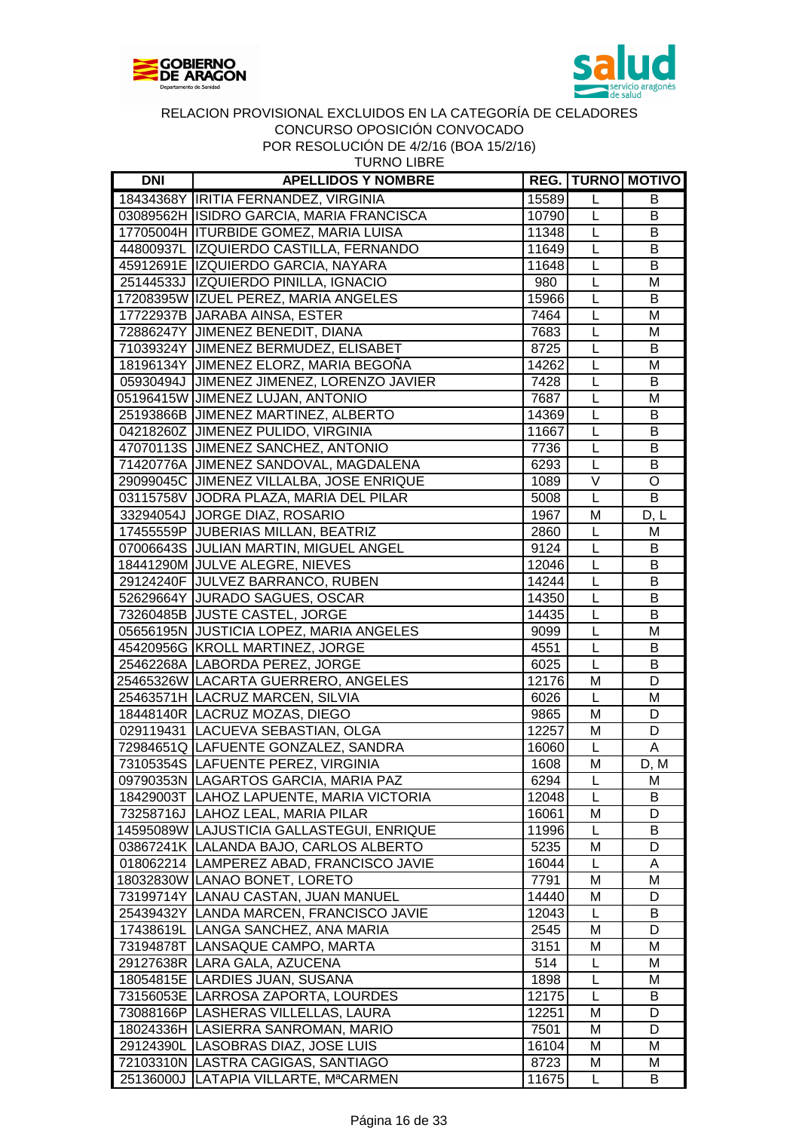



|  |  |  |  |  | <b>TURNO LIBRE</b> |  |
|--|--|--|--|--|--------------------|--|
|  |  |  |  |  |                    |  |
|  |  |  |  |  |                    |  |

| DNI | <b>APELLIDOS Y NOMBRE</b>                  |       |                | <b>REG.   TURNO   MOTIVO  </b> |
|-----|--------------------------------------------|-------|----------------|--------------------------------|
|     | 18434368Y IRITIA FERNANDEZ, VIRGINIA       | 15589 | L              | B                              |
|     | 03089562H ISIDRO GARCIA, MARIA FRANCISCA   | 10790 | L              | B                              |
|     | 17705004H ITURBIDE GOMEZ, MARIA LUISA      | 11348 | L              | B                              |
|     | 44800937L IZQUIERDO CASTILLA, FERNANDO     | 11649 | L              | B                              |
|     | 45912691E IZQUIERDO GARCIA, NAYARA         | 11648 | L              | B                              |
|     | 25144533J IZQUIERDO PINILLA, IGNACIO       | 980   | L              | M                              |
|     | 17208395W IZUEL PEREZ, MARIA ANGELES       | 15966 | L              | В                              |
|     | 17722937B JARABA AINSA, ESTER              | 7464  | L              | M                              |
|     | 72886247Y JIMENEZ BENEDIT, DIANA           | 7683  | L              | M                              |
|     | 71039324Y JIMENEZ BERMUDEZ, ELISABET       | 8725  | L              | B                              |
|     | 18196134Y JIMENEZ ELORZ, MARIA BEGOÑA      | 14262 | L              | M                              |
|     | 05930494J JIMENEZ JIMENEZ, LORENZO JAVIER  | 7428  | L              | B                              |
|     | 05196415W JIMENEZ LUJAN, ANTONIO           | 7687  | L              | M                              |
|     | 25193866B JIMENEZ MARTINEZ, ALBERTO        | 14369 | L              | В                              |
|     | 04218260Z JIMENEZ PULIDO, VIRGINIA         | 11667 | L              | В                              |
|     | 47070113S JIMENEZ SANCHEZ, ANTONIO         | 7736  | L              | В                              |
|     | 71420776A JIMENEZ SANDOVAL, MAGDALENA      | 6293  | $\overline{L}$ | B                              |
|     | 29099045C JIMENEZ VILLALBA, JOSE ENRIQUE   | 1089  | V              | $\circ$                        |
|     | 03115758V JODRA PLAZA, MARIA DEL PILAR     | 5008  | $\mathsf L$    | B                              |
|     | 33294054J JORGE DIAZ, ROSARIO              | 1967  | M              | D, L                           |
|     | 17455559P JUBERIAS MILLAN, BEATRIZ         | 2860  | L              | M                              |
|     | 07006643S JJULIAN MARTIN, MIGUEL ANGEL     | 9124  | L              | B                              |
|     | 18441290M JULVE ALEGRE, NIEVES             | 12046 | L              | В                              |
|     | 29124240F JULVEZ BARRANCO, RUBEN           | 14244 | L              | В                              |
|     | 52629664Y JURADO SAGUES, OSCAR             |       | L              | B                              |
|     |                                            | 14350 | L              | B                              |
|     | 73260485B JJUSTE CASTEL, JORGE             | 14435 | $\overline{L}$ |                                |
|     | 05656195N JUSTICIA LOPEZ, MARIA ANGELES    | 9099  |                | M                              |
|     | 45420956G KROLL MARTINEZ, JORGE            | 4551  | $\overline{L}$ | B                              |
|     | 25462268A LABORDA PEREZ, JORGE             | 6025  | $\overline{L}$ | B                              |
|     | 25465326W LACARTA GUERRERO, ANGELES        | 12176 | M              | D                              |
|     | 25463571H LACRUZ MARCEN, SILVIA            | 6026  | L              | M                              |
|     | 18448140R LACRUZ MOZAS, DIEGO              | 9865  | M              | D                              |
|     | 029119431 LACUEVA SEBASTIAN, OLGA          | 12257 | M              | D                              |
|     | 72984651Q LAFUENTE GONZALEZ, SANDRA        | 16060 | $\mathsf{L}$   | $\overline{A}$                 |
|     | 73105354S LAFUENTE PEREZ, VIRGINIA         | 1608  | M              | D, M                           |
|     | 09790353N LAGARTOS GARCIA, MARIA PAZ       | 6294  | $\mathsf{L}$   | M                              |
|     | 18429003T   LAHOZ LAPUENTE, MARIA VICTORIA | 12048 | L              | B                              |
|     | 73258716J  LAHOZ LEAL, MARIA PILAR         | 16061 | M              | D                              |
|     | 14595089W LAJUSTICIA GALLASTEGUI, ENRIQUE  | 11996 | L              | В                              |
|     | 03867241K LALANDA BAJO, CARLOS ALBERTO     | 5235  | M              | D                              |
|     | 018062214 LAMPEREZ ABAD, FRANCISCO JAVIE   | 16044 | L              | A                              |
|     | 18032830W LANAO BONET, LORETO              | 7791  | M              | M                              |
|     | 73199714Y LANAU CASTAN, JUAN MANUEL        | 14440 | M              | D                              |
|     | 25439432Y LANDA MARCEN, FRANCISCO JAVIE    | 12043 | L              | В                              |
|     | 17438619L LANGA SANCHEZ, ANA MARIA         | 2545  | M              | D                              |
|     | 73194878T LANSAQUE CAMPO, MARTA            | 3151  | M              | М                              |
|     | 29127638R LARA GALA, AZUCENA               | 514   | L              | м                              |
|     | 18054815E LARDIES JUAN, SUSANA             | 1898  | L              | м                              |
|     | 73156053E LARROSA ZAPORTA, LOURDES         | 12175 | L              | B                              |
|     | 73088166P   LASHERAS VILLELLAS, LAURA      | 12251 | M              | D                              |
|     | 18024336H LASIERRA SANROMAN, MARIO         | 7501  | M              | D                              |
|     | 29124390L LASOBRAS DIAZ, JOSE LUIS         | 16104 | M              | M                              |
|     | 72103310N LASTRA CAGIGAS, SANTIAGO         | 8723  | М              | M                              |
|     | 25136000J LATAPIA VILLARTE, MªCARMEN       | 11675 | L              | B                              |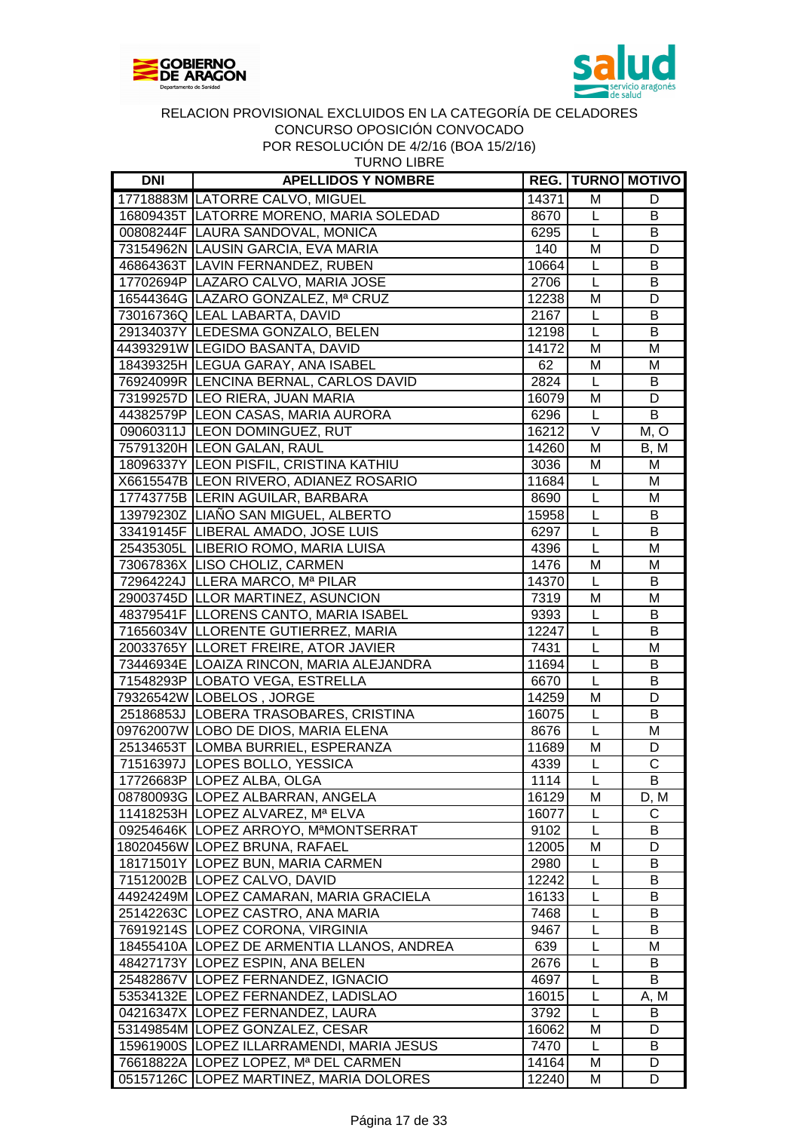



| <b>DNI</b> | <b>APELLIDOS Y NOMBRE</b>                  |       |                   | <b>REG.   TURNO   MOTIVO  </b> |
|------------|--------------------------------------------|-------|-------------------|--------------------------------|
|            | 17718883M LATORRE CALVO, MIGUEL            | 14371 | M                 | D                              |
|            | 16809435T LATORRE MORENO, MARIA SOLEDAD    | 8670  | L                 | B                              |
|            | 00808244F LAURA SANDOVAL, MONICA           | 6295  | L                 | B                              |
|            | 73154962N LAUSIN GARCIA, EVA MARIA         | 140   | M                 | D                              |
|            | 46864363T LAVIN FERNANDEZ, RUBEN           | 10664 | L                 | В                              |
|            | 17702694P LAZARO CALVO, MARIA JOSE         | 2706  | L                 | В                              |
|            | 16544364G LAZARO GONZALEZ, Mª CRUZ         | 12238 | M                 | D                              |
|            | 73016736Q LEAL LABARTA, DAVID              | 2167  | L                 | B                              |
|            | 29134037Y LEDESMA GONZALO, BELEN           | 12198 | L                 | B                              |
|            | 44393291W LEGIDO BASANTA, DAVID            | 14172 | M                 | M                              |
|            | 18439325H LEGUA GARAY, ANA ISABEL          | 62    | M                 | M                              |
|            | 76924099R  LENCINA BERNAL, CARLOS DAVID    | 2824  | L                 | B                              |
|            | 73199257D LEO RIERA, JUAN MARIA            | 16079 | M                 | D                              |
|            | 44382579P LEON CASAS, MARIA AURORA         | 6296  | L                 | B                              |
|            | 09060311J LEON DOMINGUEZ, RUT              | 16212 | $\overline{\vee}$ | M, O                           |
|            | 75791320H LEON GALAN, RAUL                 | 14260 | M                 | B, M                           |
|            | 18096337Y LEON PISFIL, CRISTINA KATHIU     | 3036  | M                 | M                              |
|            | X6615547B LEON RIVERO, ADIANEZ ROSARIO     | 11684 | L                 | M                              |
|            | 17743775B LERIN AGUILAR, BARBARA           | 8690  | L                 | M                              |
|            | 13979230Z LIAÑO SAN MIGUEL, ALBERTO        | 15958 | L                 | В                              |
|            | 33419145F LIBERAL AMADO, JOSE LUIS         | 6297  | L                 | B                              |
|            | 25435305L LIBERIO ROMO, MARIA LUISA        | 4396  | L                 | M                              |
|            | 73067836X LISO CHOLIZ, CARMEN              | 1476  | M                 | M                              |
|            | 72964224J LLERA MARCO, Mª PILAR            | 14370 | L                 | B                              |
|            | 29003745D LLOR MARTINEZ, ASUNCION          | 7319  | M                 | M                              |
|            | 48379541F LLORENS CANTO, MARIA ISABEL      | 9393  | L                 | B                              |
|            | 71656034V LLORENTE GUTIERREZ, MARIA        | 12247 | L                 | $\overline{B}$                 |
|            | 20033765Y LLORET FREIRE, ATOR JAVIER       | 7431  | L                 | M                              |
|            | 73446934E LOAIZA RINCON, MARIA ALEJANDRA   | 11694 | L                 | В                              |
|            | 71548293P LOBATO VEGA, ESTRELLA            | 6670  | L                 | В                              |
|            | 79326542W LOBELOS, JORGE                   | 14259 | M                 | D                              |
|            | 25186853J LOBERA TRASOBARES, CRISTINA      | 16075 | L                 | B                              |
|            | 09762007W LOBO DE DIOS, MARIA ELENA        | 8676  | L                 | M                              |
|            | 25134653T LOMBA BURRIEL, ESPERANZA         | 11689 | M                 | D                              |
|            | 71516397J LOPES BOLLO, YESSICA             | 4339  | $\overline{L}$    | $\overline{\text{c}}$          |
|            | 17726683P LOPEZ ALBA, OLGA                 | 1114  | L                 | B                              |
|            | 08780093G LOPEZ ALBARRAN, ANGELA           | 16129 | M                 | D, M                           |
|            | 11418253H LOPEZ ALVAREZ, Mª ELVA           | 16077 | L                 | С                              |
|            | 09254646K LOPEZ ARROYO, MªMONTSERRAT       | 9102  | L                 | B                              |
|            | 18020456W LOPEZ BRUNA, RAFAEL              | 12005 | M                 | D                              |
|            | 18171501Y LOPEZ BUN, MARIA CARMEN          | 2980  | L                 | B                              |
|            | 71512002B LOPEZ CALVO, DAVID               | 12242 | L                 | В                              |
|            | 44924249M LOPEZ CAMARAN, MARIA GRACIELA    | 16133 | L                 | B                              |
|            | 25142263C LOPEZ CASTRO, ANA MARIA          | 7468  | L                 | B                              |
|            | 76919214S LOPEZ CORONA, VIRGINIA           | 9467  | L                 | B                              |
|            | 18455410A LOPEZ DE ARMENTIA LLANOS, ANDREA | 639   | L                 | M                              |
|            | 48427173Y LOPEZ ESPIN, ANA BELEN           | 2676  | L                 | B                              |
|            | 25482867V LOPEZ FERNANDEZ, IGNACIO         | 4697  | L                 | B                              |
|            | 53534132E LOPEZ FERNANDEZ, LADISLAO        | 16015 | L                 | A, M                           |
|            | 04216347X LOPEZ FERNANDEZ, LAURA           | 3792  | L                 | B                              |
|            | 53149854M LOPEZ GONZALEZ, CESAR            | 16062 | M                 | D                              |
|            | 15961900S LOPEZ ILLARRAMENDI, MARIA JESUS  | 7470  | L                 | B                              |
|            | 76618822A LOPEZ LOPEZ, Mª DEL CARMEN       | 14164 | M                 | D                              |
|            | 05157126C LOPEZ MARTINEZ, MARIA DOLORES    | 12240 | M                 | D                              |
|            |                                            |       |                   |                                |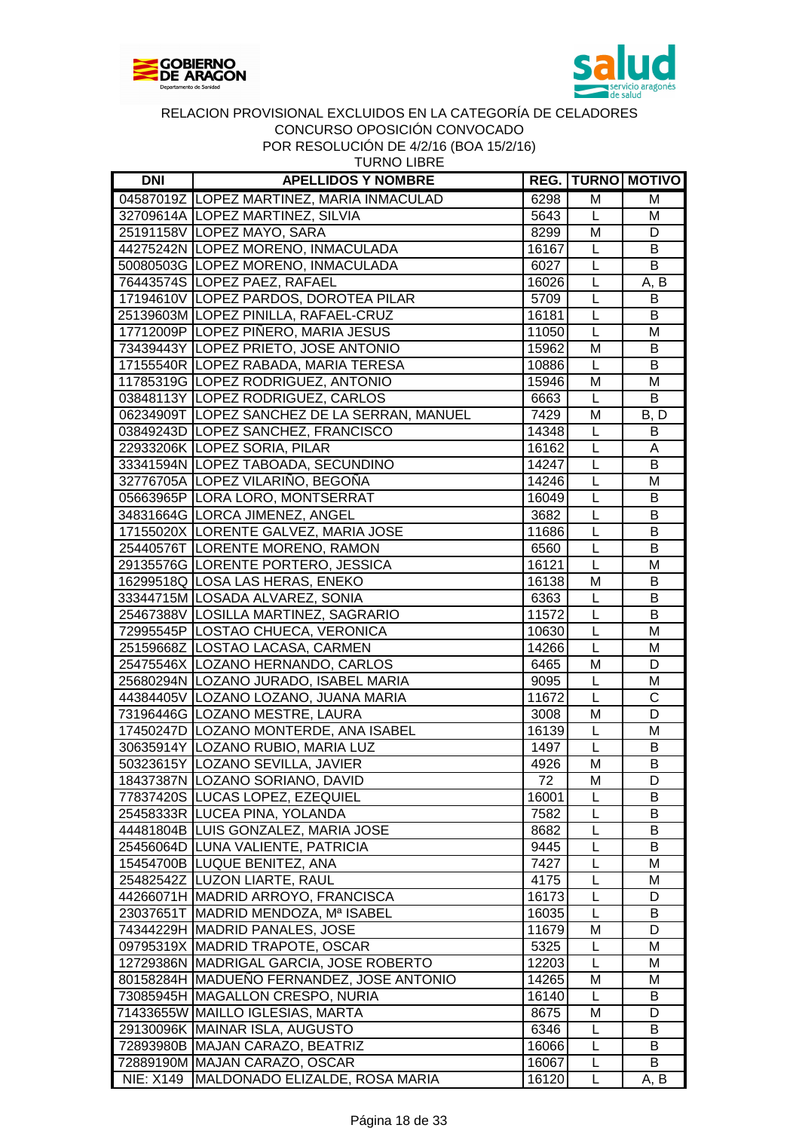



TURNO LIBRE

| <b>DNI</b>       | <b>APELLIDOS Y NOMBRE</b>                    |       |                | <b>REG. TURNO MOTIVO</b> |
|------------------|----------------------------------------------|-------|----------------|--------------------------|
|                  | 04587019Z LOPEZ MARTINEZ, MARIA INMACULAD    | 6298  | M              | м                        |
|                  | 32709614A LOPEZ MARTINEZ, SILVIA             | 5643  | L              | M                        |
|                  | 25191158V LOPEZ MAYO, SARA                   | 8299  | M              | D                        |
|                  | 44275242N LOPEZ MORENO, INMACULADA           | 16167 | L              | B                        |
|                  | 50080503G LOPEZ MORENO, INMACULADA           | 6027  | L              | B                        |
|                  | 76443574S LOPEZ PAEZ, RAFAEL                 | 16026 | L              | A, B                     |
|                  | 17194610V LOPEZ PARDOS, DOROTEA PILAR        | 5709  | L              | B                        |
|                  | 25139603M LOPEZ PINILLA, RAFAEL-CRUZ         | 16181 | L              | B                        |
|                  | 17712009P LOPEZ PIÑERO, MARIA JESUS          | 11050 | $\overline{L}$ | M                        |
|                  | 73439443Y LOPEZ PRIETO, JOSE ANTONIO         | 15962 | M              | B                        |
|                  | 17155540R LOPEZ RABADA, MARIA TERESA         | 10886 | L              | B                        |
|                  | 11785319G LOPEZ RODRIGUEZ, ANTONIO           | 15946 | M              | M                        |
|                  | 03848113Y LOPEZ RODRIGUEZ, CARLOS            | 6663  | L              | B                        |
|                  | 06234909T LOPEZ SANCHEZ DE LA SERRAN, MANUEL | 7429  | M              | B, D                     |
|                  | 03849243D LOPEZ SANCHEZ, FRANCISCO           | 14348 | L              | B                        |
|                  | 22933206K LOPEZ SORIA, PILAR                 | 16162 | L              | Α                        |
|                  | 33341594N LOPEZ TABOADA, SECUNDINO           | 14247 | L              | B                        |
|                  | 32776705A LOPEZ VILARIÑO, BEGOÑA             | 14246 | L              | M                        |
|                  | 05663965P LORA LORO, MONTSERRAT              | 16049 | L              | B                        |
|                  | 34831664G LORCA JIMENEZ, ANGEL               | 3682  | L              | B                        |
|                  | 17155020X LORENTE GALVEZ, MARIA JOSE         | 11686 | L              | B                        |
|                  | 25440576T LORENTE MORENO, RAMON              | 6560  | L              | B                        |
|                  | 29135576G LORENTE PORTERO, JESSICA           | 16121 | L              | M                        |
|                  | 16299518Q LOSA LAS HERAS, ENEKO              | 16138 | M              | B                        |
|                  | 33344715M LOSADA ALVAREZ, SONIA              | 6363  | L              | B                        |
|                  | 25467388V LOSILLA MARTINEZ, SAGRARIO         | 11572 | $\overline{L}$ | $\overline{B}$           |
|                  | 72995545P LOSTAO CHUECA, VERONICA            | 10630 | L              | M                        |
|                  | 25159668Z LOSTAO LACASA, CARMEN              | 14266 | L              | M                        |
|                  | 25475546X LOZANO HERNANDO, CARLOS            | 6465  | M              | D                        |
|                  | 25680294N LOZANO JURADO, ISABEL MARIA        | 9095  | L              | M                        |
|                  | 44384405V LOZANO LOZANO, JUANA MARIA         | 11672 | L              | $\overline{\text{C}}$    |
|                  | 73196446G LOZANO MESTRE, LAURA               | 3008  | M              | $\overline{D}$           |
|                  | 17450247D LOZANO MONTERDE, ANA ISABEL        | 16139 | L              | M                        |
|                  | 30635914Y LOZANO RUBIO, MARIA LUZ            | 1497  | L              | B                        |
|                  | 50323615Y LOZANO SEVILLA, JAVIER             | 4926  | M              | B                        |
|                  | 18437387N LOZANO SORIANO, DAVID              | 72    | Μ              | D                        |
|                  | 77837420S LUCAS LOPEZ, EZEQUIEL              | 16001 | L              | B                        |
|                  | 25458333R LUCEA PINA, YOLANDA                | 7582  | L              | B                        |
|                  | 44481804B LUIS GONZALEZ, MARIA JOSE          | 8682  | L              | B                        |
|                  | 25456064D LUNA VALIENTE, PATRICIA            | 9445  | L              | В                        |
|                  | 15454700B LUQUE BENITEZ, ANA                 | 7427  | L              | M                        |
|                  | 25482542Z LUZON LIARTE, RAUL                 | 4175  | L              | м                        |
|                  | 44266071H MADRID ARROYO, FRANCISCA           | 16173 | L              | D                        |
|                  | 23037651T MADRID MENDOZA, Mª ISABEL          | 16035 | L              | B                        |
|                  | 74344229H MADRID PANALES, JOSE               | 11679 | M              | D                        |
|                  | 09795319X   MADRID TRAPOTE, OSCAR            | 5325  | L              | M                        |
|                  | 12729386N MADRIGAL GARCIA, JOSE ROBERTO      |       | L              | M                        |
|                  |                                              | 12203 |                |                          |
|                  | 80158284H MADUENO FERNANDEZ, JOSE ANTONIO    | 14265 | M              | M                        |
|                  | 73085945H MAGALLON CRESPO, NURIA             | 16140 | L              | B                        |
|                  | 71433655W MAILLO IGLESIAS, MARTA             | 8675  | M              | D                        |
|                  | 29130096K MAINAR ISLA, AUGUSTO               | 6346  | L              | B                        |
|                  | 72893980B MAJAN CARAZO, BEATRIZ              | 16066 | L              | В                        |
|                  | 72889190M MAJAN CARAZO, OSCAR                | 16067 | L              | B                        |
| <b>NIE: X149</b> | MALDONADO ELIZALDE, ROSA MARIA               | 16120 | L              | A, B                     |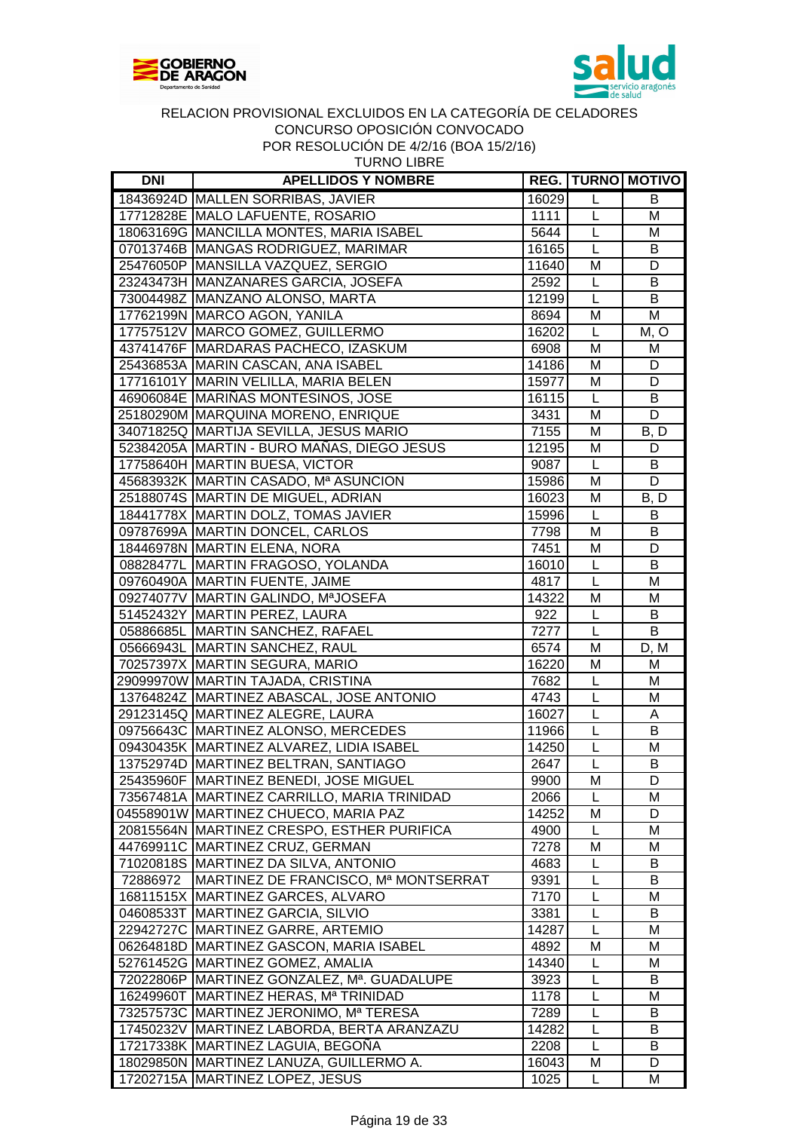



| <b>DNI</b> | <b>APELLIDOS Y NOMBRE</b>                       |       |                | <b>REG. TURNO MOTIVO</b> |
|------------|-------------------------------------------------|-------|----------------|--------------------------|
|            | 18436924D MALLEN SORRIBAS, JAVIER               | 16029 | L              | B                        |
|            | 17712828E MALO LAFUENTE, ROSARIO                | 1111  | $\mathsf L$    | M                        |
|            | 18063169G MANCILLA MONTES, MARIA ISABEL         | 5644  | L              | M                        |
|            | 07013746B MANGAS RODRIGUEZ, MARIMAR             | 16165 | L              | B                        |
|            | 25476050P MANSILLA VAZQUEZ, SERGIO              | 11640 | M              | D                        |
|            | 23243473H MANZANARES GARCIA, JOSEFA             | 2592  | L              | B                        |
|            | 73004498Z MANZANO ALONSO, MARTA                 | 12199 | L              | В                        |
|            | 17762199N MARCO AGON, YANILA                    | 8694  | M              | M                        |
|            | 17757512V MARCO GOMEZ, GUILLERMO                | 16202 | $\mathsf{L}$   | M, O                     |
|            | 43741476F MARDARAS PACHECO, IZASKUM             | 6908  | M              | M                        |
|            | 25436853A MARIN CASCAN, ANA ISABEL              | 14186 | M              | D                        |
|            | 17716101Y MARIN VELILLA, MARIA BELEN            | 15977 | M              | D                        |
|            | 46906084E MARIÑAS MONTESINOS, JOSE              | 16115 | L              | B                        |
|            | 25180290M MARQUINA MORENO, ENRIQUE              | 3431  | M              | D                        |
|            | 34071825Q MARTIJA SEVILLA, JESUS MARIO          | 7155  | M              | B, D                     |
|            | 52384205A MARTIN - BURO MAÑAS, DIEGO JESUS      | 12195 | M              | D                        |
|            | 17758640H MARTIN BUESA, VICTOR                  | 9087  | $\mathsf{L}$   | B                        |
|            | 45683932K MARTIN CASADO, Mª ASUNCION            | 15986 | M              | D                        |
|            | 25188074S MARTIN DE MIGUEL, ADRIAN              | 16023 | M              | B, D                     |
|            | 18441778X MARTIN DOLZ, TOMAS JAVIER             | 15996 | $\mathsf L$    | B                        |
|            | 09787699A MARTIN DONCEL, CARLOS                 | 7798  | M              | B                        |
|            | 18446978N MARTIN ELENA, NORA                    | 7451  | M              | D                        |
|            | 08828477L MARTIN FRAGOSO, YOLANDA               | 16010 | L              | В                        |
|            | 09760490A MARTIN FUENTE, JAIME                  | 4817  | L              | M                        |
|            | 09274077V MARTIN GALINDO, MªJOSEFA              | 14322 | M              | M                        |
|            | 51452432Y MARTIN PEREZ, LAURA                   | 922   | L              | B                        |
|            | 05886685L MARTIN SANCHEZ, RAFAEL                | 7277  | $\overline{L}$ | $\overline{B}$           |
|            | 05666943L MARTIN SANCHEZ, RAUL                  | 6574  | M              | D, M                     |
|            | 70257397X MARTIN SEGURA, MARIO                  | 16220 | M              | M                        |
|            | 29099970W MARTIN TAJADA, CRISTINA               | 7682  | L              | M                        |
|            | 13764824Z MARTINEZ ABASCAL, JOSE ANTONIO        | 4743  | L              | M                        |
|            | 29123145Q MARTINEZ ALEGRE, LAURA                | 16027 | L              | A                        |
|            | 09756643C MARTINEZ ALONSO, MERCEDES             | 11966 | L              | B                        |
|            | 09430435K MARTINEZ ALVAREZ, LIDIA ISABEL        | 14250 | L              | M                        |
|            | 13752974D MARTINEZ BELTRAN, SANTIAGO            | 2647  | L              | B                        |
|            | 25435960F MARTINEZ BENEDI, JOSE MIGUEL          | 9900  | М              | D                        |
|            | 73567481A MARTINEZ CARRILLO, MARIA TRINIDAD     | 2066  | L              | M                        |
|            | 04558901W MARTINEZ CHUECO, MARIA PAZ            | 14252 | М              | D                        |
|            | 20815564N MARTINEZ CRESPO, ESTHER PURIFICA      | 4900  | L              | м                        |
|            | 44769911C MARTINEZ CRUZ, GERMAN                 | 7278  | M              | м                        |
|            | 71020818S MARTINEZ DA SILVA, ANTONIO            | 4683  | L              | B                        |
|            | 72886972   MARTINEZ DE FRANCISCO, Mª MONTSERRAT | 9391  | L              | B                        |
|            | 16811515X MARTINEZ GARCES, ALVARO               | 7170  | L              | M                        |
|            | 04608533T MARTINEZ GARCIA, SILVIO               | 3381  | L              | В                        |
|            | 22942727C MARTINEZ GARRE, ARTEMIO               | 14287 | L              | м                        |
|            | 06264818D MARTINEZ GASCON, MARIA ISABEL         | 4892  | M              | м                        |
|            | 52761452G MARTINEZ GOMEZ, AMALIA                | 14340 | L              | M                        |
|            | 72022806P   MARTINEZ GONZALEZ, Mª. GUADALUPE    | 3923  | L              | В                        |
|            | 16249960T MARTINEZ HERAS, Mª TRINIDAD           | 1178  | L              | M                        |
|            | 73257573C MARTINEZ JERONIMO, Mª TERESA          | 7289  | L              | B                        |
|            | 17450232V MARTINEZ LABORDA, BERTA ARANZAZU      | 14282 | L              | B                        |
|            | 17217338K MARTINEZ LAGUIA, BEGOÑA               | 2208  | L              | B                        |
|            | 18029850N MARTINEZ LANUZA, GUILLERMO A.         | 16043 | M              | D                        |

17202715A MARTINEZ LOPEZ, JESUS 1025 | L M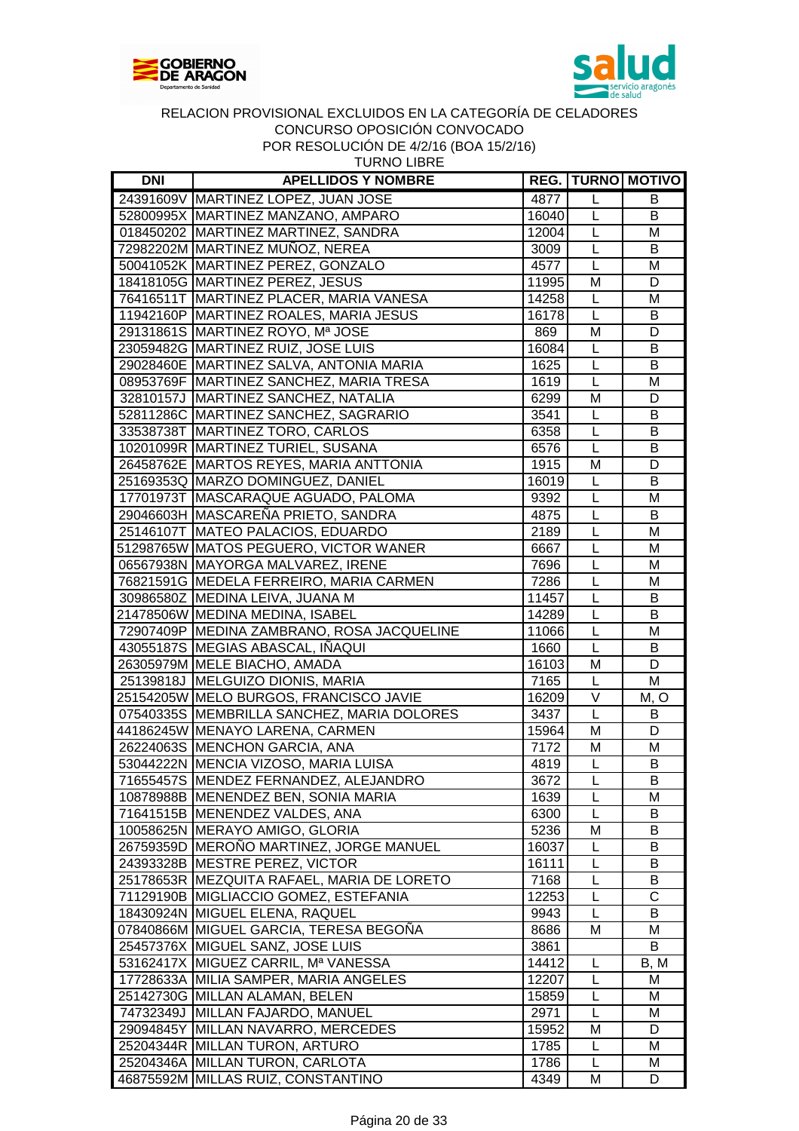



| <b>TURNO LIBRE</b> |
|--------------------|
|--------------------|

| <b>DNI</b> | <b>APELLIDOS Y NOMBRE</b>                                                     |              |                         | <b>REG. TURNO MOTIVO</b> |
|------------|-------------------------------------------------------------------------------|--------------|-------------------------|--------------------------|
|            | 24391609V MARTINEZ LOPEZ, JUAN JOSE                                           | 4877         | L                       | B                        |
|            | 52800995X MARTINEZ MANZANO, AMPARO                                            | 16040        | L                       | В                        |
|            | 018450202 MARTINEZ MARTINEZ, SANDRA                                           | 12004        | L                       | M                        |
|            | 72982202M MARTINEZ MUÑOZ, NEREA                                               | 3009         | L                       | B                        |
|            | 50041052K MARTINEZ PEREZ, GONZALO                                             | 4577         | L                       | M                        |
|            | 18418105G MARTINEZ PEREZ, JESUS                                               | 11995        | M                       | D                        |
|            | 76416511T MARTINEZ PLACER, MARIA VANESA                                       | 14258        | L                       | M                        |
|            | 11942160P MARTINEZ ROALES, MARIA JESUS                                        | 16178        | $\overline{L}$          | B                        |
|            | 29131861S MARTINEZ ROYO, Mª JOSE                                              | 869          | M                       | D                        |
|            | 23059482G MARTINEZ RUIZ, JOSE LUIS                                            | 16084        | L                       | B                        |
|            | 29028460E MARTINEZ SALVA, ANTONIA MARIA                                       | 1625         | L                       | B                        |
|            | 08953769F MARTINEZ SANCHEZ, MARIA TRESA                                       | 1619         | L                       | M                        |
|            | 32810157J MARTINEZ SANCHEZ, NATALIA                                           | 6299         | M                       | D                        |
|            | 52811286C MARTINEZ SANCHEZ, SAGRARIO                                          | 3541         | L                       | B                        |
|            | 33538738T MARTINEZ TORO, CARLOS                                               | 6358         | L                       | $\overline{B}$           |
|            | 10201099R MARTINEZ TURIEL, SUSANA                                             | 6576         | L                       | B                        |
|            | 26458762E MARTOS REYES, MARIA ANTTONIA                                        | 1915         | M                       | D                        |
|            | 25169353Q MARZO DOMINGUEZ, DANIEL                                             | 16019        | L                       | B                        |
|            | 17701973T MASCARAQUE AGUADO, PALOMA                                           | 9392         | L                       | M                        |
|            | 29046603H MASCAREÑA PRIETO, SANDRA                                            | 4875         | L                       | B                        |
|            | 25146107T MATEO PALACIOS, EDUARDO                                             | 2189         | L                       | M                        |
|            | 51298765W MATOS PEGUERO, VICTOR WANER                                         | 6667         | L                       | M                        |
|            | 06567938N MAYORGA MALVAREZ, IRENE                                             | 7696         | $\overline{L}$          | M                        |
|            | 76821591G MEDELA FERREIRO, MARIA CARMEN                                       | 7286         | $\overline{L}$          | M                        |
|            | 30986580Z MEDINA LEIVA, JUANA M                                               | 11457        | $\overline{L}$          | B                        |
|            | 21478506W MEDINA MEDINA, ISABEL                                               | 14289        | $\overline{L}$          | $\overline{B}$           |
|            | 72907409P MEDINA ZAMBRANO, ROSA JACQUELINE                                    | 11066        | $\overline{\mathsf{L}}$ | M                        |
|            | 43055187S MEGIAS ABASCAL, IÑAQUI                                              | 1660         | $\overline{\mathsf{L}}$ | B                        |
|            | 26305979M MELE BIACHO, AMADA                                                  | 16103        | M                       | D                        |
|            | 25139818J MELGUIZO DIONIS, MARIA                                              | 7165         | $\overline{L}$          | M                        |
|            | 25154205W MELO BURGOS, FRANCISCO JAVIE                                        | 16209        | $\overline{\vee}$       | M, O                     |
|            | 07540335S MEMBRILLA SANCHEZ, MARIA DOLORES                                    | 3437         | $\overline{L}$          | B                        |
|            | 44186245W MENAYO LARENA, CARMEN                                               | 15964        | M                       | D                        |
|            | 26224063S MENCHON GARCIA, ANA                                                 | 7172         | M                       | M                        |
|            | 53044222N MENCIA VIZOSO, MARIA LUISA                                          | 4819         | L                       | B                        |
|            |                                                                               | 3672         |                         |                          |
|            | 71655457S  MENDEZ FERNANDEZ, ALEJANDRO<br>10878988B MENENDEZ BEN, SONIA MARIA |              | L<br>L                  | в                        |
|            | 71641515B MENENDEZ VALDES, ANA                                                | 1639<br>6300 | L                       | M<br>В                   |
|            | 10058625N MERAYO AMIGO, GLORIA                                                | 5236         | M                       | В                        |
|            | 26759359D MEROÑO MARTINEZ, JORGE MANUEL                                       |              | L                       | В                        |
|            | 24393328B MESTRE PEREZ, VICTOR                                                | 16037        | L                       | B                        |
|            | 25178653R MEZQUITA RAFAEL, MARIA DE LORETO                                    | 16111        | L                       | B                        |
|            |                                                                               | 7168         |                         |                          |
|            | 71129190B MIGLIACCIO GOMEZ, ESTEFANIA                                         | 12253        | L                       | C                        |
|            | 18430924N MIGUEL ELENA, RAQUEL                                                | 9943         | L                       | B                        |
|            | 07840866M MIGUEL GARCIA, TERESA BEGOÑA                                        | 8686         | м                       | M                        |
|            | 25457376X MIGUEL SANZ, JOSE LUIS                                              | 3861         |                         | B                        |
|            | 53162417X MIGUEZ CARRIL, Mª VANESSA                                           | 14412        | L                       | B, M                     |
|            | 17728633A MILIA SAMPER, MARIA ANGELES                                         | 12207        | L                       | M                        |
|            | 25142730G MILLAN ALAMAN, BELEN                                                | 15859        | L                       | м                        |
|            | 74732349J   MILLAN FAJARDO, MANUEL                                            | 2971         | L                       | M                        |
|            | 29094845Y MILLAN NAVARRO, MERCEDES                                            | 15952        | M                       | D                        |
|            | 25204344R MILLAN TURON, ARTURO                                                | 1785         | L                       | M                        |
|            | 25204346A MILLAN TURON, CARLOTA                                               | 1786         | L                       | M                        |
|            | 46875592M MILLAS RUIZ, CONSTANTINO                                            | 4349         | M                       | D                        |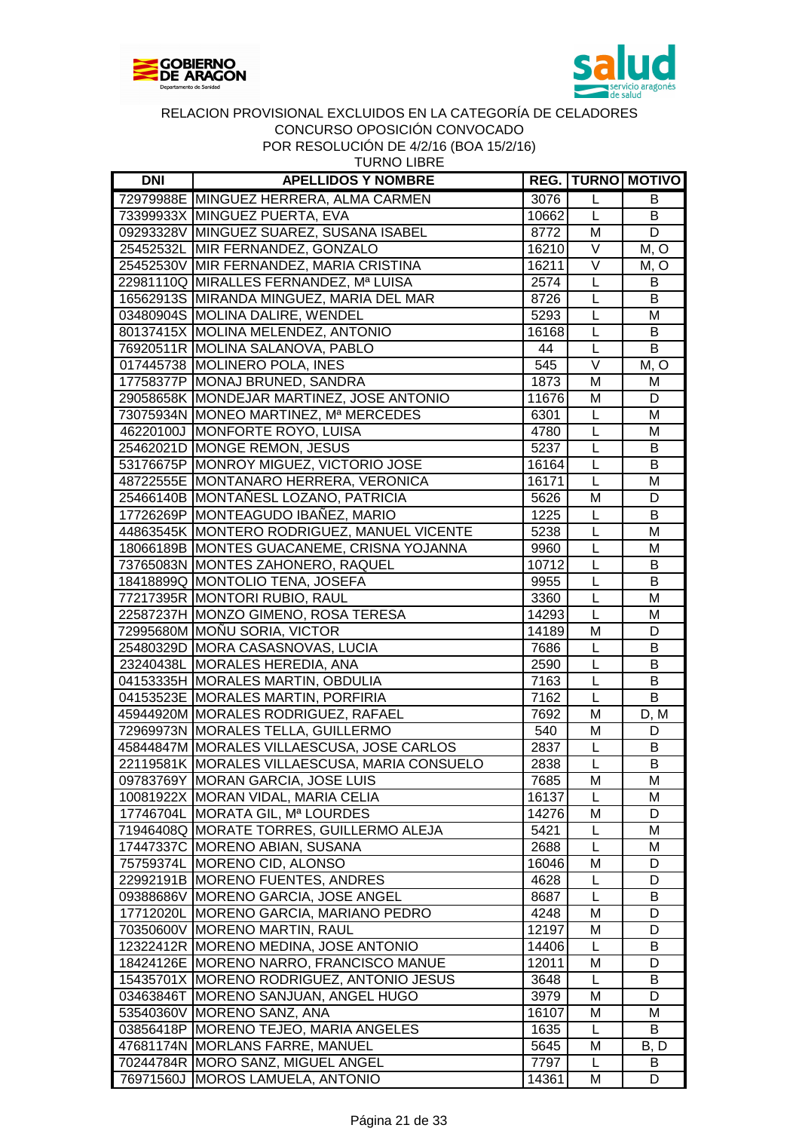



TURNO LIBRE

| <b>DNI</b> | <b>APELLIDOS Y NOMBRE</b>                     |       |                                  | <b>REG.   TURNO   MOTIVO</b> |
|------------|-----------------------------------------------|-------|----------------------------------|------------------------------|
|            | 72979988E MINGUEZ HERRERA, ALMA CARMEN        | 3076  | L                                | B                            |
|            | 73399933X MINGUEZ PUERTA, EVA                 | 10662 | L                                | B                            |
|            | 09293328V MINGUEZ SUAREZ, SUSANA ISABEL       | 8772  | M                                | D                            |
|            | 25452532L MIR FERNANDEZ, GONZALO              | 16210 | V                                | M, O                         |
|            | 25452530V MIR FERNANDEZ, MARIA CRISTINA       | 16211 | V                                | M, O                         |
|            | 22981110Q MIRALLES FERNANDEZ, Mª LUISA        | 2574  | $\mathsf L$                      | B                            |
|            | 16562913S MIRANDA MINGUEZ, MARIA DEL MAR      | 8726  | L                                | B                            |
|            | 03480904S MOLINA DALIRE, WENDEL               | 5293  | $\mathsf L$                      | M                            |
|            | 80137415X MOLINA MELENDEZ, ANTONIO            | 16168 | L                                | B                            |
|            | 76920511R MOLINA SALANOVA, PABLO              | 44    | $\mathsf{L}$                     | B                            |
|            | 017445738 MOLINERO POLA, INES                 | 545   | $\overline{\vee}$                | M, O                         |
|            | 17758377P MONAJ BRUNED, SANDRA                | 1873  | M                                | M                            |
|            | 29058658K MONDEJAR MARTINEZ, JOSE ANTONIO     | 11676 | M                                | D                            |
|            | 73075934N MONEO MARTINEZ, Mª MERCEDES         | 6301  | L                                | M                            |
|            | 46220100J MONFORTE ROYO, LUISA                | 4780  | $\mathsf{L}%$                    | M                            |
|            | 25462021D MONGE REMON, JESUS                  | 5237  | L                                | B                            |
|            | 53176675P MONROY MIGUEZ, VICTORIO JOSE        | 16164 | L                                | B                            |
|            | 48722555E MONTANARO HERRERA, VERONICA         | 16171 | L                                | M                            |
|            | 25466140B MONTAÑESL LOZANO, PATRICIA          | 5626  | M                                | D                            |
|            | 17726269P MONTEAGUDO IBAÑEZ, MARIO            | 1225  | L                                | В                            |
|            | 44863545K MONTERO RODRIGUEZ, MANUEL VICENTE   | 5238  | L                                | M                            |
|            | 18066189B MONTES GUACANEME, CRISNA YOJANNA    | 9960  | L                                | M                            |
|            | 73765083N MONTES ZAHONERO, RAQUEL             | 10712 | L                                | B                            |
|            | 18418899Q MONTOLIO TENA, JOSEFA               | 9955  | L                                | B                            |
|            |                                               |       | L                                | M                            |
|            | 77217395R MONTORI RUBIO, RAUL                 | 3360  | $\overline{L}$                   |                              |
|            | 22587237H MONZO GIMENO, ROSA TERESA           | 14293 |                                  | M                            |
|            | 72995680M MOÑU SORIA, VICTOR                  | 14189 | M                                | D                            |
|            | 25480329D MORA CASASNOVAS, LUCIA              | 7686  | L                                | B                            |
|            | 23240438L MORALES HEREDIA, ANA                | 2590  | L                                | B                            |
|            | 04153335H MORALES MARTIN, OBDULIA             | 7163  | $\overline{L}$<br>$\overline{L}$ | B                            |
|            | 04153523E MORALES MARTIN, PORFIRIA            | 7162  |                                  | $\overline{B}$               |
|            | 45944920M MORALES RODRIGUEZ, RAFAEL           | 7692  | M                                | D, M                         |
|            | 72969973N MORALES TELLA, GUILLERMO            | 540   | M                                | D                            |
|            | 45844847M MORALES VILLAESCUSA, JOSE CARLOS    | 2837  | L                                | B                            |
|            | 22119581K MORALES VILLAESCUSA, MARIA CONSUELO | 2838  | L                                | B                            |
|            | 09783769Y MORAN GARCIA, JOSE LUIS             | 7685  | M                                | м                            |
|            | 10081922X MORAN VIDAL, MARIA CELIA            | 16137 | L                                | М                            |
|            | 17746704L MORATA GIL, Mª LOURDES              | 14276 | M                                | D                            |
|            | 71946408Q MORATE TORRES, GUILLERMO ALEJA      | 5421  | L                                | M                            |
|            | 17447337C MORENO ABIAN, SUSANA                | 2688  | L                                | M                            |
|            | 75759374L MORENO CID, ALONSO                  | 16046 | M                                | D                            |
|            | 22992191B MORENO FUENTES, ANDRES              | 4628  | L                                | D                            |
|            | 09388686V MORENO GARCIA, JOSE ANGEL           | 8687  | L                                | B                            |
| 17712020L  | <b>MORENO GARCIA, MARIANO PEDRO</b>           | 4248  | M                                | D                            |
|            | 70350600V   MORENO MARTIN, RAUL               | 12197 | M                                | D                            |
|            | 12322412R MORENO MEDINA, JOSE ANTONIO         | 14406 | L                                | B                            |
|            | 18424126E MORENO NARRO, FRANCISCO MANUE       | 12011 | M                                | D                            |
|            | 15435701X MORENO RODRIGUEZ, ANTONIO JESUS     | 3648  | L                                | В                            |
|            | 03463846T MORENO SANJUAN, ANGEL HUGO          | 3979  | M                                | D                            |
|            | 53540360V MORENO SANZ, ANA                    | 16107 | M                                | M                            |
|            | 03856418P   MORENO TEJEO, MARIA ANGELES       | 1635  | L                                | B                            |
|            | 47681174N MORLANS FARRE, MANUEL               | 5645  | M                                | B, D                         |
|            | 70244784R MORO SANZ, MIGUEL ANGEL             | 7797  | L.                               | B                            |
|            | 76971560J MOROS LAMUELA, ANTONIO              | 14361 | M                                | D                            |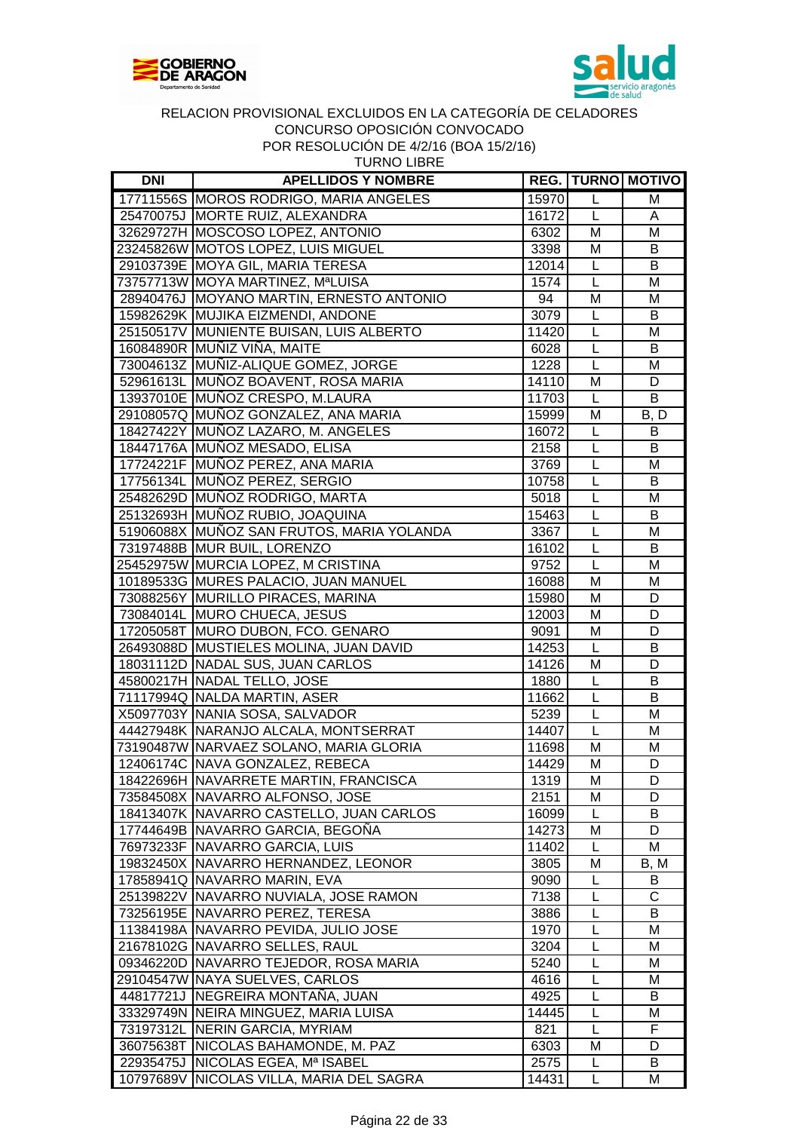



| <b>TURNO LIBRE</b> |
|--------------------|
|--------------------|

| DNI | <b>APELLIDOS Y NOMBRE</b>                 |                |                | <b>REG.   TURNO   MOTIVO</b> |
|-----|-------------------------------------------|----------------|----------------|------------------------------|
|     | 17711556S MOROS RODRIGO, MARIA ANGELES    | 15970          | L              | M                            |
|     | 25470075J MORTE RUIZ, ALEXANDRA           | 16172          | L              | A                            |
|     | 32629727H MOSCOSO LOPEZ, ANTONIO          | 6302           | M              | M                            |
|     | 23245826W MOTOS LOPEZ, LUIS MIGUEL        | 3398           | M              | B                            |
|     | 29103739E MOYA GIL, MARIA TERESA          | 12014          | L              | B                            |
|     | 73757713W MOYA MARTINEZ, MªLUISA          | 1574           | L              | M                            |
|     | 28940476J MOYANO MARTIN, ERNESTO ANTONIO  | 94             | M              | M                            |
|     | 15982629K MUJIKA EIZMENDI, ANDONE         | 3079           | L              | B                            |
|     | 25150517V MUNIENTE BUISAN, LUIS ALBERTO   | 11420          | L              | M                            |
|     | 16084890R MUÑIZ VIÑA, MAITE               | 6028           | L              | B                            |
|     | 73004613Z MUÑIZ-ALIQUE GOMEZ, JORGE       | 1228           | L              | M                            |
|     | 52961613L MUÑOZ BOAVENT, ROSA MARIA       | 14110          | M              | D                            |
|     | 13937010E MUÑOZ CRESPO, M.LAURA           | 11703          | L              | B                            |
|     | 29108057Q MUÑOZ GONZALEZ, ANA MARIA       | 15999          | M              | B, D                         |
|     | 18427422Y MUÑOZ LAZARO, M. ANGELES        | 16072          | L              | В                            |
|     | 18447176A MUÑOZ MESADO, ELISA             | 2158           | L              | B                            |
|     | 17724221F MUÑOZ PEREZ, ANA MARIA          | 3769           | L              | M                            |
|     | 17756134L MUÑOZ PEREZ, SERGIO             | 10758          | L              | B                            |
|     | 25482629D MUÑOZ RODRIGO, MARTA            | 5018           | L              | M                            |
|     | 25132693H MUÑOZ RUBIO, JOAQUINA           | 15463          | L              | B                            |
|     | 51906088X MUNOZ SAN FRUTOS, MARIA YOLANDA | 3367           | L              | M                            |
|     | 73197488B MUR BUIL, LORENZO               | 16102          | L              | B                            |
|     | 25452975W MURCIA LOPEZ, M CRISTINA        | 9752           | L              | M                            |
|     | 10189533G MURES PALACIO, JUAN MANUEL      | 16088          | M              | M                            |
|     | 73088256Y MURILLO PIRACES, MARINA         | 15980          | M              | D                            |
|     | 73084014L MURO CHUECA, JESUS              | 12003          | M              | D                            |
|     | 17205058T MURO DUBON, FCO. GENARO         | 9091           | M              | D                            |
|     | 26493088D MUSTIELES MOLINA, JUAN DAVID    | 14253          | $\overline{L}$ | B                            |
|     | 18031112D NADAL SUS, JUAN CARLOS          | 14126          | M              | D                            |
|     | 45800217H NADAL TELLO, JOSE               | 1880           | L              | B                            |
|     | 71117994Q NALDA MARTIN, ASER              | 11662          | L              | B                            |
|     | X5097703Y NANIA SOSA, SALVADOR            | 5239           |                |                              |
|     |                                           |                | L<br>L         | M                            |
|     | 44427948K NARANJO ALCALA, MONTSERRAT      | 14407          | M              | M<br>M                       |
|     | 73190487W NARVAEZ SOLANO, MARIA GLORIA    | 11698<br>14429 | M              | D                            |
|     | 12406174C NAVA GONZALEZ, REBECA           | 1319           | $\overline{M}$ | $\overline{D}$               |
|     | 18422696H NAVARRETE MARTIN, FRANCISCA     |                |                |                              |
|     | 73584508X   NAVARRO ALFONSO, JOSE         | 2151           | М              | D                            |
|     | 18413407K NAVARRO CASTELLO, JUAN CARLOS   | 16099          |                | B                            |
|     | 17744649B NAVARRO GARCIA, BEGONA          | 14273          | M              | D                            |
|     | 76973233F NAVARRO GARCIA, LUIS            | 11402          | L              | Μ                            |
|     | 19832450X NAVARRO HERNANDEZ, LEONOR       | 3805           | M              | B, M                         |
|     | 17858941Q NAVARRO MARIN, EVA              | 9090           | L              | В                            |
|     | 25139822V NAVARRO NUVIALA, JOSE RAMON     | 7138           | L              | С                            |
|     | 73256195E NAVARRO PEREZ, TERESA           | 3886           | L              | B                            |
|     | 11384198A NAVARRO PEVIDA, JULIO JOSE      | 1970           | L              | M                            |
|     | 21678102G NAVARRO SELLES, RAUL            | 3204           | L              | м                            |
|     | 09346220D NAVARRO TEJEDOR, ROSA MARIA     | 5240           | L              | м                            |
|     | 29104547W NAYA SUELVES, CARLOS            | 4616           | L              | M                            |
|     | 44817721J NEGREIRA MONTAÑA, JUAN          | 4925           | L              | B                            |
|     | 33329749N NEIRA MINGUEZ, MARIA LUISA      | 14445          | L              | M                            |
|     | 73197312L NERIN GARCIA, MYRIAM            | 821            | L              | F                            |
|     | 36075638T NICOLAS BAHAMONDE, M. PAZ       | 6303           | М              | D                            |
|     | 22935475J NICOLAS EGEA, Mª ISABEL         | 2575           | L              | B                            |
|     | 10797689V  NICOLAS VILLA, MARIA DEL SAGRA | 14431          | L              | M                            |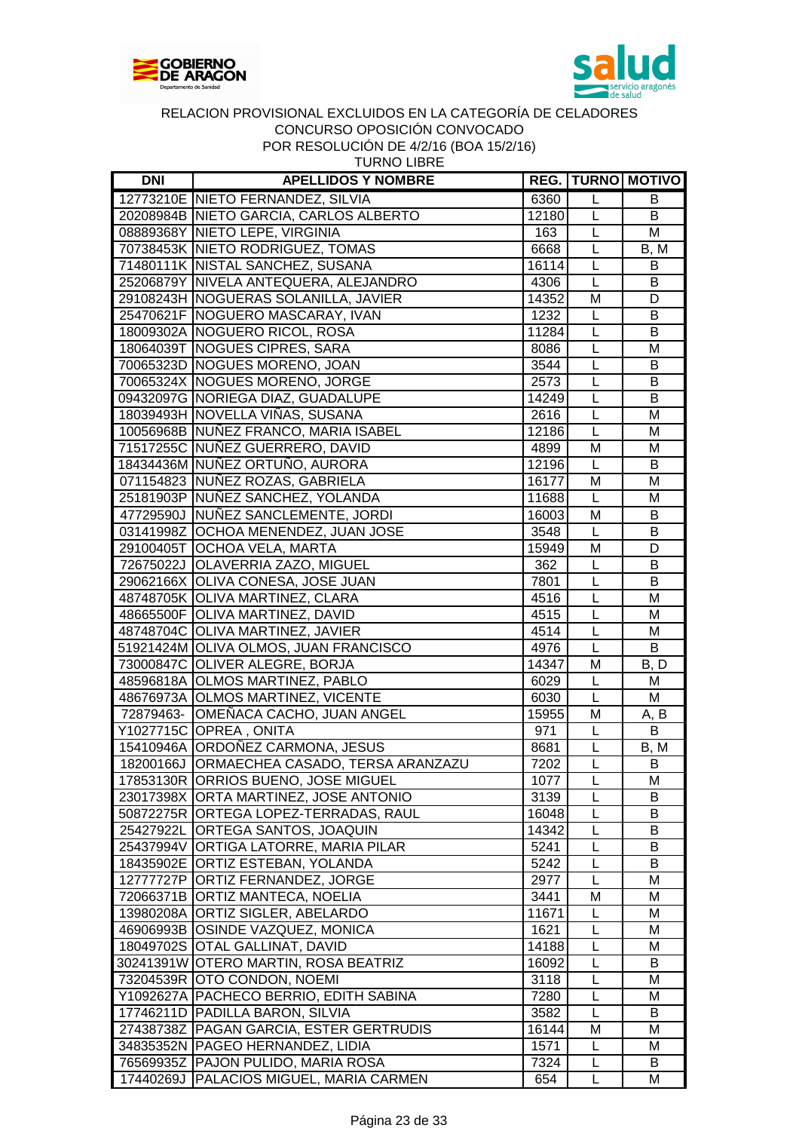



| <b>DNI</b> | <b>APELLIDOS Y NOMBRE</b>                  |       |                         | <b>REG. TURNO MOTIVO</b> |
|------------|--------------------------------------------|-------|-------------------------|--------------------------|
|            | 12773210E NIETO FERNANDEZ, SILVIA          | 6360  | L                       | B                        |
|            | 20208984B NIETO GARCIA, CARLOS ALBERTO     | 12180 | L                       | B                        |
|            | 08889368Y NIETO LEPE, VIRGINIA             | 163   | $\overline{L}$          | M                        |
|            | 70738453K NIETO RODRIGUEZ, TOMAS           | 6668  | L                       | B, M                     |
|            | 71480111K NISTAL SANCHEZ, SUSANA           | 16114 | L                       | B                        |
|            | 25206879Y NIVELA ANTEQUERA, ALEJANDRO      | 4306  | L                       | B                        |
|            | 29108243H NOGUERAS SOLANILLA, JAVIER       | 14352 | M                       | D                        |
|            | 25470621F NOGUERO MASCARAY, IVAN           | 1232  | L                       | B                        |
|            | 18009302A NOGUERO RICOL, ROSA              | 11284 | L                       | $\overline{B}$           |
|            | 18064039T NOGUES CIPRES, SARA              | 8086  | L                       | M                        |
|            | 70065323D NOGUES MORENO, JOAN              | 3544  | L                       | B                        |
|            | 70065324X NOGUES MORENO, JORGE             | 2573  | L                       | B                        |
|            | 09432097G NORIEGA DIAZ, GUADALUPE          | 14249 | L                       | B                        |
|            | 18039493H NOVELLA VIÑAS, SUSANA            | 2616  | L                       | M                        |
|            | 10056968B NUÑEZ FRANCO, MARIA ISABEL       | 12186 | L                       | M                        |
|            | 71517255C NUÑEZ GUERRERO, DAVID            | 4899  | M                       | M                        |
|            | 18434436M NUÑEZ ORTUÑO, AURORA             | 12196 | L                       | B                        |
|            | 071154823 NUÑEZ ROZAS, GABRIELA            | 16177 | M                       | M                        |
|            | 25181903P NUÑEZ SANCHEZ, YOLANDA           | 11688 | L                       | M                        |
|            | 47729590J NUÑEZ SANCLEMENTE, JORDI         | 16003 | M                       | B                        |
|            | 03141998Z OCHOA MENENDEZ, JUAN JOSE        | 3548  | L                       | B                        |
|            |                                            |       |                         |                          |
|            | 29100405T OCHOA VELA, MARTA                | 15949 | M<br>L                  | D<br>B                   |
|            | 72675022J OLAVERRIA ZAZO, MIGUEL           | 362   |                         |                          |
|            | 29062166X OLIVA CONESA, JOSE JUAN          | 7801  | L                       | B                        |
|            | 48748705K OLIVA MARTINEZ, CLARA            | 4516  | L                       | M                        |
|            | 48665500F OLIVA MARTINEZ, DAVID            | 4515  | L                       | M                        |
|            | 48748704C OLIVA MARTINEZ, JAVIER           | 4514  | L                       | M                        |
|            | 51921424M OLIVA OLMOS, JUAN FRANCISCO      | 4976  | L                       | B                        |
|            | 73000847C OLIVER ALEGRE, BORJA             | 14347 | M                       | B, D                     |
|            | 48596818A OLMOS MARTINEZ, PABLO            | 6029  | L                       | M                        |
|            | 48676973A OLMOS MARTINEZ, VICENTE          | 6030  | L                       | M                        |
|            | 72879463- OMEÑACA CACHO, JUAN ANGEL        | 15955 | M                       | A, B                     |
|            | Y1027715C OPREA, ONITA                     | 971   | L                       | B                        |
|            | 15410946A ORDOÑEZ CARMONA, JESUS           | 8681  | L                       | B, M                     |
|            | 18200166J ORMAECHEA CASADO, TERSA ARANZAZU | 7202  | $\overline{\mathsf{L}}$ | B                        |
|            | 17853130R ORRIOS BUENO, JOSE MIGUEL        | 1077  | L                       | Μ                        |
|            | 23017398X ORTA MARTINEZ, JOSE ANTONIO      | 3139  | L                       | В                        |
|            | 50872275R ORTEGA LOPEZ-TERRADAS, RAUL      | 16048 | L                       | B                        |
|            | 25427922L ORTEGA SANTOS, JOAQUIN           | 14342 | L                       | B                        |
|            | 25437994V ORTIGA LATORRE, MARIA PILAR      | 5241  | L                       | B                        |
|            | 18435902E ORTIZ ESTEBAN, YOLANDA           | 5242  | L                       | B                        |
|            | 12777727P ORTIZ FERNANDEZ, JORGE           | 2977  | L                       | M                        |
|            | 72066371B ORTIZ MANTECA, NOELIA            | 3441  | M                       | M                        |
|            | 13980208A ORTIZ SIGLER, ABELARDO           | 11671 | L                       | Μ                        |
|            | 46906993B OSINDE VAZQUEZ, MONICA           | 1621  | L                       | M                        |
|            | 18049702S OTAL GALLINAT, DAVID             | 14188 | L                       | M                        |
|            | 30241391W OTERO MARTIN, ROSA BEATRIZ       | 16092 | L                       | B                        |
|            | 73204539R OTO CONDON, NOEMI                | 3118  | L                       | M                        |
|            | Y1092627A   PACHECO BERRIO, EDITH SABINA   | 7280  | L                       | M                        |
|            | 17746211D PADILLA BARON, SILVIA            | 3582  | L                       | B                        |
|            | 27438738Z   PAGAN GARCIA, ESTER GERTRUDIS  | 16144 | M                       | M                        |
|            | 34835352N   PAGEO HERNANDEZ, LIDIA         | 1571  | L                       | м                        |
|            | 76569935Z   PAJON PULIDO, MARIA ROSA       | 7324  | L                       | B                        |
| 17440269J  | <b>PALACIOS MIGUEL, MARIA CARMEN</b>       | 654   | L                       | M                        |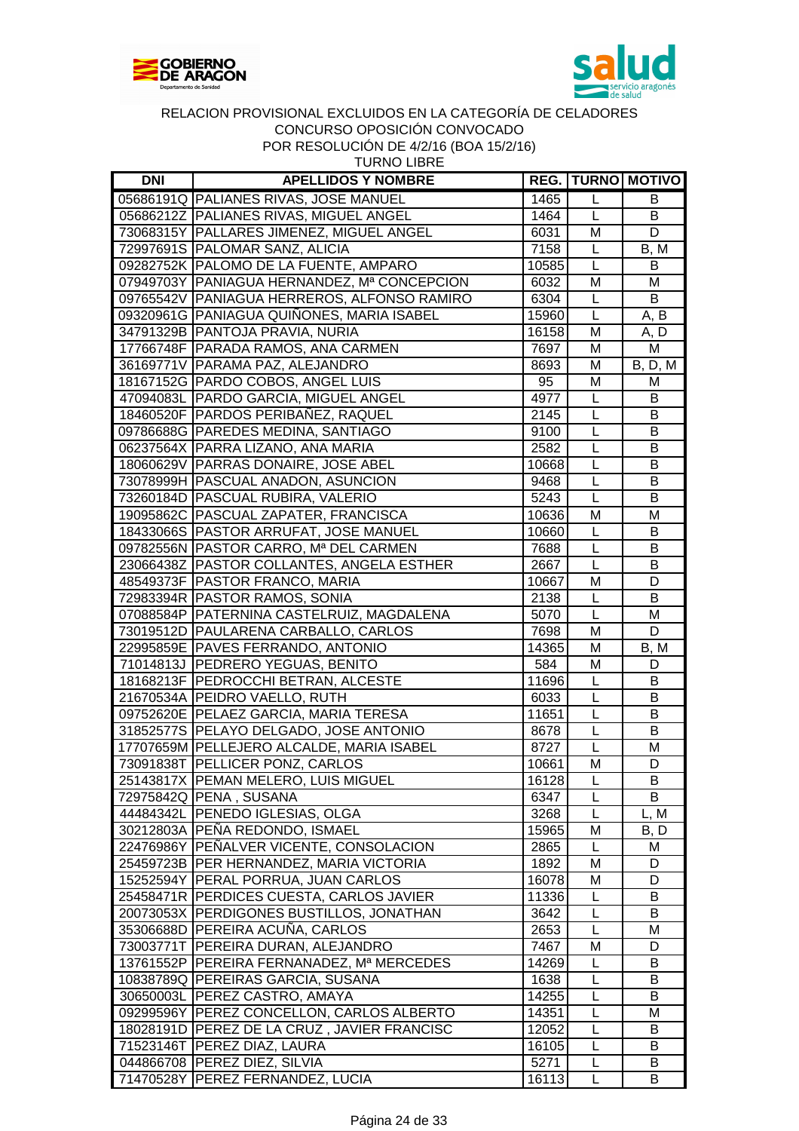



| URNO LIBRE |  |
|------------|--|
|------------|--|

| <b>DNI</b> | <b>APELLIDOS Y NOMBRE</b>                   |       |                | <b>REG.   TURNO   MOTIVO</b>   |
|------------|---------------------------------------------|-------|----------------|--------------------------------|
|            | 05686191Q PALIANES RIVAS, JOSE MANUEL       | 1465  | L              | B                              |
|            | 05686212Z PALIANES RIVAS, MIGUEL ANGEL      | 1464  | L              | B                              |
|            | 73068315Y   PALLARES JIMENEZ, MIGUEL ANGEL  | 6031  | M              | D                              |
|            | 72997691S PALOMAR SANZ, ALICIA              | 7158  | L              | B, M                           |
|            | 09282752K   PALOMO DE LA FUENTE, AMPARO     | 10585 | $\mathsf{L}$   | B                              |
|            | 07949703Y PANIAGUA HERNANDEZ, Mª CONCEPCION | 6032  | M              | M                              |
|            | 09765542V PANIAGUA HERREROS, ALFONSO RAMIRO | 6304  | $\mathsf{L}$   | B                              |
|            | 09320961G PANIAGUA QUIÑONES, MARIA ISABEL   | 15960 | $\overline{L}$ | A, B                           |
|            | 34791329B PANTOJA PRAVIA, NURIA             | 16158 | M              | A, D                           |
|            | 17766748F PARADA RAMOS, ANA CARMEN          | 7697  | M              | М                              |
|            | 36169771V PARAMA PAZ, ALEJANDRO             | 8693  | M              | <b>B</b> , <b>D</b> , <b>M</b> |
|            | 18167152G   PARDO COBOS, ANGEL LUIS         | 95    | M              | M                              |
|            | 47094083L PARDO GARCIA, MIGUEL ANGEL        | 4977  | $\mathsf{L}$   | B                              |
|            | 18460520F PARDOS PERIBAÑEZ, RAQUEL          | 2145  | $\mathsf{L}%$  | B                              |
|            | 09786688G PAREDES MEDINA, SANTIAGO          | 9100  | L              | B                              |
|            | 06237564X PARRA LIZANO, ANA MARIA           | 2582  | $\mathsf{L}$   | B                              |
|            | 18060629V PARRAS DONAIRE, JOSE ABEL         | 10668 | L              | B                              |
|            | 73078999H   PASCUAL ANADON, ASUNCION        | 9468  | $\mathsf{L}$   | B                              |
|            | 73260184D   PASCUAL RUBIRA, VALERIO         | 5243  | L              | B                              |
|            | 19095862C PASCUAL ZAPATER, FRANCISCA        | 10636 | M              | M                              |
|            | 18433066S   PASTOR ARRUFAT, JOSE MANUEL     | 10660 | L              | B                              |
|            | 09782556N PASTOR CARRO, Mª DEL CARMEN       | 7688  | $\mathsf{L}%$  | B                              |
|            | 23066438Z PASTOR COLLANTES, ANGELA ESTHER   | 2667  | $\overline{L}$ | B                              |
|            | 48549373F PASTOR FRANCO, MARIA              | 10667 | M              | D                              |
|            | 72983394R PASTOR RAMOS, SONIA               | 2138  | $\mathsf{L}$   | B                              |
|            | 07088584P   PATERNINA CASTELRUIZ, MAGDALENA | 5070  | $\overline{L}$ | M                              |
|            | 73019512D PAULARENA CARBALLO, CARLOS        | 7698  | M              | D                              |
|            | 22995859E PAVES FERRANDO, ANTONIO           | 14365 | M              | B, M                           |
|            | 71014813J PEDRERO YEGUAS, BENITO            | 584   | M              | D                              |
|            | 18168213F PEDROCCHI BETRAN, ALCESTE         | 11696 | L              | B                              |
|            | 21670534A PEIDRO VAELLO, RUTH               | 6033  | $\mathsf{L}$   | B                              |
|            | 09752620E PELAEZ GARCIA, MARIA TERESA       | 11651 | L              | $\overline{\mathsf{B}}$        |
|            | 31852577S   PELAYO DELGADO, JOSE ANTONIO    | 8678  | $\mathsf{L}$   | B                              |
|            | 17707659M PELLEJERO ALCALDE, MARIA ISABEL   | 8727  | L              | M                              |
|            | 73091838T PELLICER PONZ, CARLOS             | 10661 | M              | D                              |
|            | 25143817X   PEMAN MELERO, LUIS MIGUEL       | 16128 | L              | в                              |
|            | 72975842Q PENA, SUSANA                      | 6347  | L              | B                              |
|            | 44484342L PENEDO IGLESIAS, OLGA             | 3268  | L              | L, M                           |
|            | 30212803A PEÑA REDONDO, ISMAEL              | 15965 | M              | B, D                           |
|            | 22476986Y PENALVER VICENTE, CONSOLACION     | 2865  | $\mathsf{L}$   | м                              |
|            | 25459723B   PER HERNANDEZ, MARIA VICTORIA   | 1892  | M              | D                              |
|            | 15252594Y PERAL PORRUA, JUAN CARLOS         | 16078 | M              | D                              |
|            | 25458471R PERDICES CUESTA, CARLOS JAVIER    | 11336 | L              | B                              |
|            | 20073053X PERDIGONES BUSTILLOS, JONATHAN    | 3642  | L              | B                              |
|            | 35306688D PEREIRA ACUÑA, CARLOS             | 2653  | L              | M                              |
|            | 73003771T PEREIRA DURAN, ALEJANDRO          | 7467  | M              | D                              |
|            | 13761552P   PEREIRA FERNANADEZ, Mª MERCEDES | 14269 | L              | В                              |
|            | 10838789Q PEREIRAS GARCIA, SUSANA           | 1638  | L              | В                              |
|            | 30650003L   PEREZ CASTRO, AMAYA             | 14255 | L              | B                              |
|            | 09299596Y   PEREZ CONCELLON, CARLOS ALBERTO | 14351 | L              | Μ                              |
|            | 18028191D PEREZ DE LA CRUZ, JAVIER FRANCISC | 12052 | L              | B                              |
|            | 71523146T   PEREZ DIAZ, LAURA               | 16105 | L              | B                              |
|            | 044866708 PEREZ DIEZ, SILVIA                | 5271  | L              | B                              |
|            | 71470528Y   PEREZ FERNANDEZ, LUCIA          | 16113 | $\mathsf{L}$   | B                              |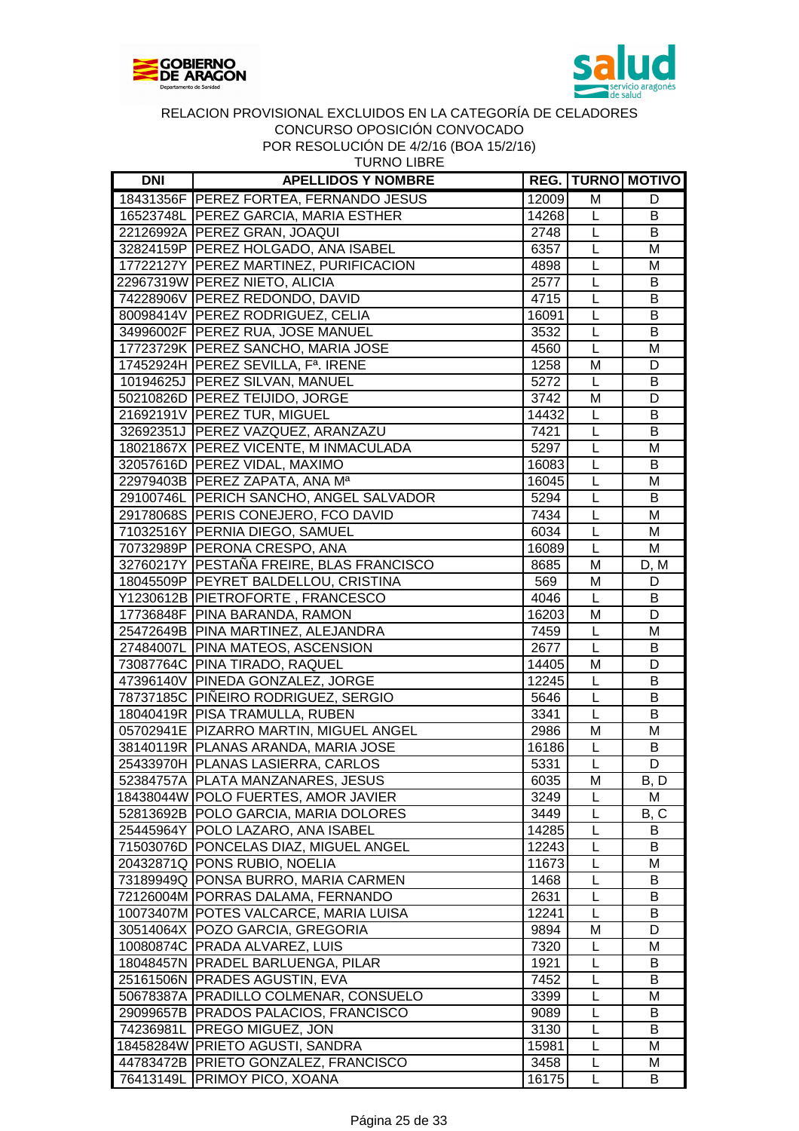



| 2001011 DL 7/2/10 100 |  |
|-----------------------|--|
| <b>TURNO LIBRE</b>    |  |

| <b>DNI</b> | <b>APELLIDOS Y NOMBRE</b>                |               |                              | <b>REG. TURNO MOTIVO</b> |
|------------|------------------------------------------|---------------|------------------------------|--------------------------|
|            | 18431356F PEREZ FORTEA, FERNANDO JESUS   | 12009         | M                            | D                        |
|            | 16523748L PEREZ GARCIA, MARIA ESTHER     | 14268         | L                            | В                        |
|            | 22126992A PEREZ GRAN, JOAQUI             | 2748          | L                            | B                        |
|            | 32824159P PEREZ HOLGADO, ANA ISABEL      | 6357          | L                            | M                        |
|            | 17722127Y PEREZ MARTINEZ, PURIFICACION   | 4898          | $\mathsf{L}$                 | M                        |
|            | 22967319W PEREZ NIETO, ALICIA            | 2577          | $\mathsf{L}$                 | B                        |
|            | 74228906V PEREZ REDONDO, DAVID           | 4715          | $\mathsf L$                  | B                        |
|            | 80098414V PEREZ RODRIGUEZ, CELIA         | 16091         | L                            | B                        |
|            | 34996002F PEREZ RUA, JOSE MANUEL         | 3532          | $\mathsf{L}$                 | B                        |
|            | 17723729K   PEREZ SANCHO, MARIA JOSE     | 4560          | $\mathsf{L}$                 | M                        |
|            | 17452924H PEREZ SEVILLA, Fª. IRENE       | 1258          | M                            | D                        |
|            | 10194625J   PEREZ SILVAN, MANUEL         | 5272          | $\mathsf{L}$                 | B                        |
|            | 50210826D PEREZ TEIJIDO, JORGE           | 3742          | M                            | D                        |
|            | 21692191V   PEREZ TUR, MIGUEL            | 14432         | $\mathsf{L}$                 | B                        |
|            | 32692351J   PEREZ VAZQUEZ, ARANZAZU      | 7421          | $\mathsf{L}$                 | B                        |
|            | 18021867X   PEREZ VICENTE, M INMACULADA  | 5297          | L                            | M                        |
|            | 32057616D PEREZ VIDAL, MAXIMO            | 16083         | $\mathsf{L}$                 | B                        |
|            | 22979403B PEREZ ZAPATA, ANA Ma           | 16045         | L                            | M                        |
|            | 29100746L PERICH SANCHO, ANGEL SALVADOR  | 5294          | L                            | B                        |
|            | 29178068S PERIS CONEJERO, FCO DAVID      | 7434          | $\mathsf{L}$                 | M                        |
|            | 71032516Y PERNIA DIEGO, SAMUEL           | 6034          | $\mathsf{L}$                 | M                        |
|            | 70732989P PERONA CRESPO, ANA             | 16089         | $\overline{L}$               | M                        |
|            | 32760217Y PESTAÑA FREIRE, BLAS FRANCISCO | 8685          | M                            |                          |
|            | 18045509P PEYRET BALDELLOU, CRISTINA     | 569           | M                            | D, M<br>D                |
|            | Y1230612B PIETROFORTE, FRANCESCO         |               | $\mathsf{L}$                 |                          |
|            | 17736848F PINA BARANDA, RAMON            | 4046<br>16203 | M                            | В<br>D                   |
|            | 25472649B PINA MARTINEZ, ALEJANDRA       | 7459          | L                            | M                        |
|            | 27484007L PINA MATEOS, ASCENSION         | 2677          | $\overline{L}$               | B                        |
|            | 73087764C PINA TIRADO, RAQUEL            | 14405         | M                            | D                        |
|            | 47396140V PINEDA GONZALEZ, JORGE         | 12245         | L                            | B                        |
|            | 78737185C PIÑEIRO RODRIGUEZ, SERGIO      | 5646          |                              | $\overline{B}$           |
|            | 18040419R   PISA TRAMULLA, RUBEN         | 3341          | $\mathsf{L}$<br>$\mathsf{L}$ | B                        |
|            | 05702941E   PIZARRO MARTIN, MIGUEL ANGEL | 2986          | M                            | M                        |
|            |                                          |               |                              |                          |
|            | 38140119R   PLANAS ARANDA, MARIA JOSE    | 16186         | L                            | B                        |
|            | 25433970H PLANAS LASIERRA, CARLOS        | 5331          | L                            | D                        |
|            | 52384757A   PLATA MANZANARES, JESUS      | 6035          | M                            | B, D                     |
|            | 18438044W POLO FUERTES, AMOR JAVIER      | 3249          | $\mathsf{L}$                 | M                        |
|            | 52813692B POLO GARCIA, MARIA DOLORES     | 3449          | L                            | B, C                     |
|            | 25445964Y   POLO LAZARO, ANA ISABEL      | 14285         | L                            | B                        |
|            | 71503076D PONCELAS DIAZ, MIGUEL ANGEL    | 12243         | L                            | B                        |
|            | 20432871Q PONS RUBIO, NOELIA             | 11673         | L                            | м                        |
|            | 73189949Q PONSA BURRO, MARIA CARMEN      | 1468          | L                            | B                        |
|            | 72126004M PORRAS DALAMA, FERNANDO        | 2631          | L                            | B                        |
|            | 10073407M POTES VALCARCE, MARIA LUISA    | 12241         | L                            | B                        |
|            | 30514064X POZO GARCIA, GREGORIA          | 9894          | M                            | D                        |
|            | 10080874C PRADA ALVAREZ, LUIS            | 7320          | L                            | M                        |
|            | 18048457N   PRADEL BARLUENGA, PILAR      | 1921          | L                            | B                        |
|            | 25161506N PRADES AGUSTIN, EVA            | 7452          | L                            | B                        |
|            | 50678387A   PRADILLO COLMENAR, CONSUELO  | 3399          | L                            | Μ                        |
|            | 29099657B   PRADOS PALACIOS, FRANCISCO   | 9089          | L                            | B                        |
|            | 74236981L PREGO MIGUEZ, JON              | 3130          | L                            | B                        |
|            | 18458284W PRIETO AGUSTI, SANDRA          | 15981         | L                            | M                        |
|            | 44783472B PRIETO GONZALEZ, FRANCISCO     | 3458          | L                            | M                        |
|            | 76413149L PRIMOY PICO, XOANA             | 16175         | L                            | В                        |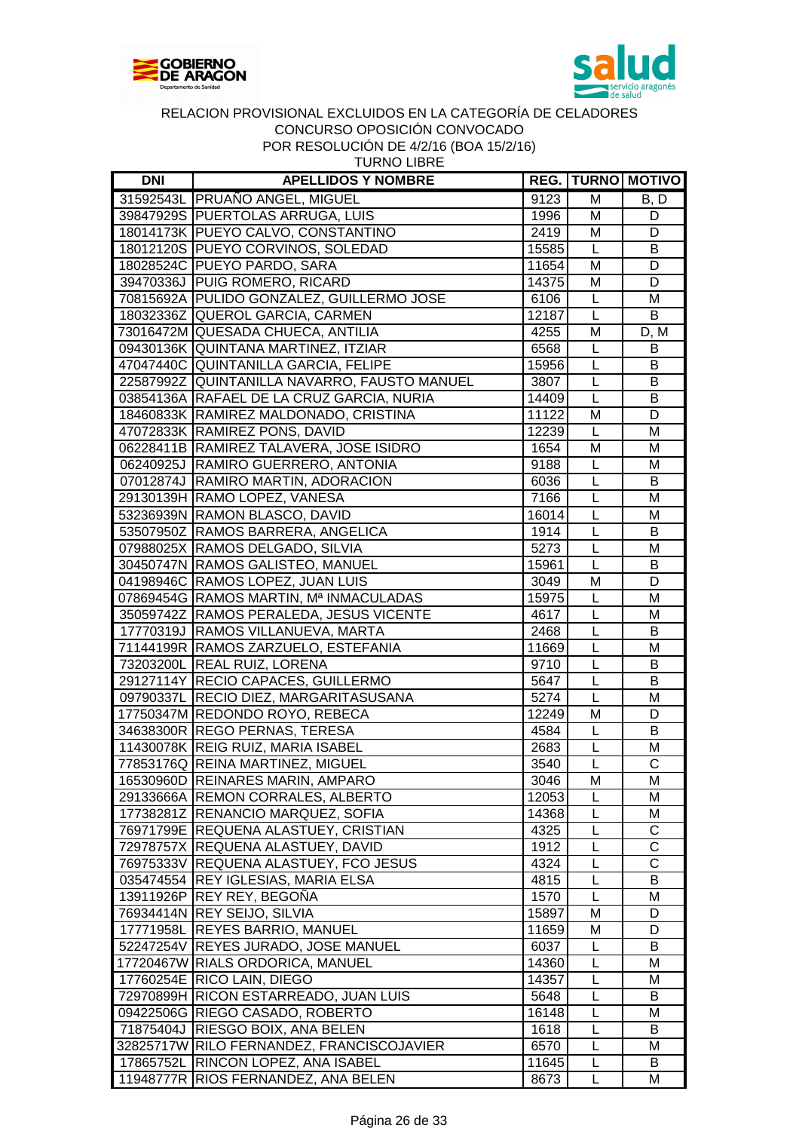



|            | I ON INLOULDUIUN DE 4/2/10 (DUA 19/2/10)<br><b>TURNO LIBRE</b> |       |                         |                          |
|------------|----------------------------------------------------------------|-------|-------------------------|--------------------------|
| <b>DNI</b> | <b>APELLIDOS Y NOMBRE</b>                                      |       |                         | <b>REG. TURNO MOTIVO</b> |
|            | 31592543L PRUAÑO ANGEL, MIGUEL                                 | 9123  | M                       | B, D                     |
|            | 39847929S PUERTOLAS ARRUGA, LUIS                               | 1996  | M                       | D                        |
|            | 18014173K PUEYO CALVO, CONSTANTINO                             | 2419  | M                       | D                        |
|            | 18012120S PUEYO CORVINOS, SOLEDAD                              | 15585 | L                       | B                        |
|            | 18028524C PUEYO PARDO, SARA                                    | 11654 | M                       | D                        |
|            | 39470336J PUIG ROMERO, RICARD                                  | 14375 | M                       | D                        |
|            | 70815692A PULIDO GONZALEZ, GUILLERMO JOSE                      | 6106  | L                       | M                        |
|            | 18032336Z QUEROL GARCIA, CARMEN                                | 12187 | $\overline{L}$          | B                        |
|            | 73016472M QUESADA CHUECA, ANTILIA                              | 4255  | M                       | D, M                     |
|            | 09430136K QUINTANA MARTINEZ, ITZIAR                            | 6568  | L                       | B                        |
|            | 47047440C QUINTANILLA GARCIA, FELIPE                           | 15956 | L                       | В                        |
|            | 22587992Z QUINTANILLA NAVARRO, FAUSTO MANUEL                   | 3807  | $\overline{L}$          | $\overline{B}$           |
|            | 03854136A RAFAEL DE LA CRUZ GARCIA, NURIA                      | 14409 | $\mathsf{L}$            | B                        |
|            | 18460833K RAMIREZ MALDONADO, CRISTINA                          | 11122 | M                       | D                        |
|            | 47072833K RAMIREZ PONS, DAVID                                  | 12239 | L                       | M                        |
|            | 06228411B RAMIREZ TALAVERA, JOSE ISIDRO                        | 1654  | M                       | M                        |
|            | 06240925J RAMIRO GUERRERO, ANTONIA                             | 9188  | L                       | M                        |
|            | 07012874J RAMIRO MARTIN, ADORACION                             | 6036  | L                       | B                        |
|            | 29130139H RAMO LOPEZ, VANESA                                   | 7166  | L                       | M                        |
|            | 53236939N RAMON BLASCO, DAVID                                  | 16014 | L                       | M                        |
|            | 53507950Z RAMOS BARRERA, ANGELICA                              | 1914  | L                       | B                        |
|            | 07988025X RAMOS DELGADO, SILVIA                                | 5273  | L                       | M                        |
|            | 30450747N RAMOS GALISTEO, MANUEL                               | 15961 | $\overline{\mathsf{L}}$ | B                        |
|            | 04198946C RAMOS LOPEZ, JUAN LUIS                               | 3049  | M                       | D                        |
|            | 07869454G RAMOS MARTIN, Mª INMACULADAS                         | 15975 | L                       | M                        |
|            | 35059742Z RAMOS PERALEDA, JESUS VICENTE                        | 4617  | L                       | M                        |
|            | 17770319J RAMOS VILLANUEVA, MARTA                              | 2468  | L                       | В                        |
|            | 71144199R RAMOS ZARZUELO, ESTEFANIA                            | 11669 | L                       | M                        |
|            | 73203200L REAL RUIZ, LORENA                                    | 9710  | L                       | B                        |
|            | 29127114Y RECIO CAPACES, GUILLERMO                             | 5647  | L                       | $\overline{B}$           |
|            | 09790337L RECIO DIEZ, MARGARITASUSANA                          | 5274  | L                       | M                        |
|            | 17750347M REDONDO ROYO, REBECA                                 | 12249 | M                       | D                        |
|            | 34638300R REGO PERNAS, TERESA                                  | 4584  | L                       | $\overline{B}$           |
|            | 11430078K REIG RUIZ, MARIA ISABEL                              | 2683  |                         | M                        |
|            | 77853176Q REINA MARTINEZ, MIGUEL                               | 3540  | L                       | С                        |
|            | 16530960D REINARES MARIN, AMPARO                               | 3046  | M                       | Μ                        |
|            | 29133666A REMON CORRALES, ALBERTO                              | 12053 | L                       | M                        |
|            | 17738281Z RENANCIO MARQUEZ, SOFIA                              | 14368 | L                       | M                        |
|            | 76971799E REQUENA ALASTUEY, CRISTIAN                           | 4325  | L                       | C                        |
|            | 72978757X REQUENA ALASTUEY, DAVID                              | 1912  | L                       | C                        |
|            | 76975333V REQUENA ALASTUEY, FCO JESUS                          | 4324  | L                       | C                        |
|            | 035474554 REY IGLESIAS, MARIA ELSA                             | 4815  | L                       | В                        |
|            | 13911926P REY REY, BEGOÑA                                      | 1570  | L                       | M                        |
|            | 76934414N REY SEIJO, SILVIA                                    | 15897 | M                       | D                        |
|            | 17771958L REYES BARRIO, MANUEL                                 | 11659 | M                       | D                        |
|            | 52247254V REYES JURADO, JOSE MANUEL                            | 6037  | L                       | В                        |
|            | 17720467W RIALS ORDORICA, MANUEL                               | 14360 | L                       | M                        |
|            | 17760254E RICO LAIN, DIEGO                                     | 14357 | L                       | M                        |
|            | 72970899H RICON ESTARREADO, JUAN LUIS                          | 5648  | L                       | B                        |
|            | 09422506G RIEGO CASADO, ROBERTO                                | 16148 | L                       | M                        |
|            | 71875404J RIESGO BOIX, ANA BELEN                               | 1618  | L                       | В                        |
|            |                                                                |       |                         |                          |

32825717W RILO FERNANDEZ, FRANCISCOJAVIER 6570 L M 17865752L RINCON LOPEZ, ANA ISABEL 11645 L B 11948777R RIOS FERNANDEZ, ANA BELEN 8673 L M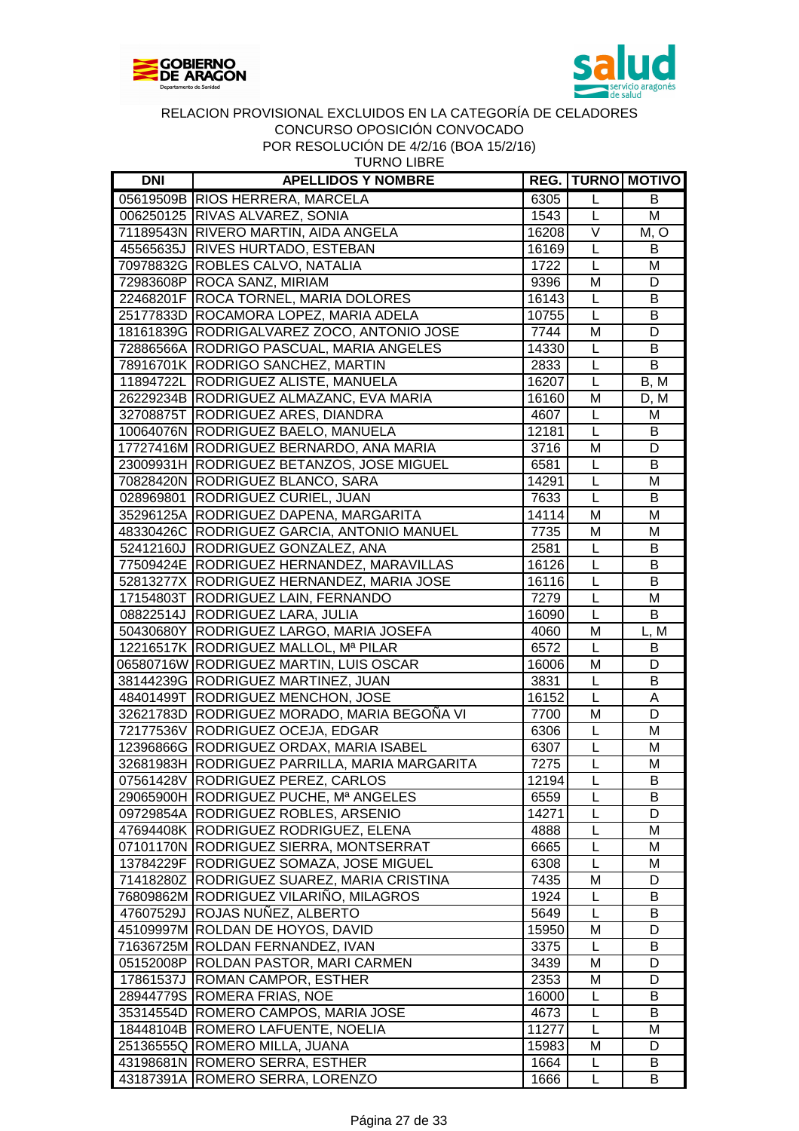



| <b>TURNO LIBRE</b> |
|--------------------|
|--------------------|

| <b>DNI</b> | <b>APELLIDOS Y NOMBRE</b>                     |       |                     | <b>REG.   TURNO   MOTIVO  </b> |
|------------|-----------------------------------------------|-------|---------------------|--------------------------------|
|            | 05619509B RIOS HERRERA, MARCELA               | 6305  | L                   | B                              |
|            | 006250125 RIVAS ALVAREZ, SONIA                | 1543  | L                   | M                              |
|            | 71189543N RIVERO MARTIN, AIDA ANGELA          | 16208 | $\vee$              | M, O                           |
|            | 45565635J RIVES HURTADO, ESTEBAN              | 16169 | L                   | B                              |
|            | 70978832G ROBLES CALVO, NATALIA               | 1722  | L                   | M                              |
|            | 72983608P ROCA SANZ, MIRIAM                   | 9396  | M                   | D                              |
|            | 22468201F ROCA TORNEL, MARIA DOLORES          | 16143 | L                   | В                              |
|            | 25177833D ROCAMORA LOPEZ, MARIA ADELA         | 10755 | L                   | В                              |
|            | 18161839G RODRIGALVAREZ ZOCO, ANTONIO JOSE    | 7744  | M                   | D                              |
|            | 72886566A RODRIGO PASCUAL, MARIA ANGELES      | 14330 | L                   | B                              |
|            | 78916701K RODRIGO SANCHEZ, MARTIN             | 2833  | L                   | B                              |
|            | 11894722L RODRIGUEZ ALISTE, MANUELA           | 16207 | L                   | B, M                           |
|            | 26229234B RODRIGUEZ ALMAZANC, EVA MARIA       | 16160 | M                   | D, M                           |
|            | 32708875T RODRIGUEZ ARES, DIANDRA             | 4607  | L                   | M                              |
|            | 10064076N RODRIGUEZ BAELO, MANUELA            | 12181 | L                   | В                              |
|            | 17727416M RODRIGUEZ BERNARDO, ANA MARIA       | 3716  | M                   | D                              |
|            | 23009931H RODRIGUEZ BETANZOS, JOSE MIGUEL     | 6581  | L                   | B                              |
|            | 70828420N RODRIGUEZ BLANCO, SARA              | 14291 | $\mathsf L$         | M                              |
|            | 028969801 RODRIGUEZ CURIEL, JUAN              | 7633  | L                   | B                              |
|            | 35296125A RODRIGUEZ DAPENA, MARGARITA         | 14114 | M                   | M                              |
|            | 48330426C RODRIGUEZ GARCIA, ANTONIO MANUEL    | 7735  | M                   | M                              |
|            | 52412160J RODRIGUEZ GONZALEZ, ANA             | 2581  |                     | B                              |
|            | 77509424E RODRIGUEZ HERNANDEZ, MARAVILLAS     | 16126 | L                   |                                |
|            |                                               |       | L                   | В                              |
|            | 52813277X RODRIGUEZ HERNANDEZ, MARIA JOSE     | 16116 | L                   | B                              |
|            | 17154803T RODRIGUEZ LAIN, FERNANDO            | 7279  | L<br>$\mathsf{L}$   | M                              |
|            | 08822514J RODRIGUEZ LARA, JULIA               | 16090 |                     | B                              |
|            | 50430680Y RODRIGUEZ LARGO, MARIA JOSEFA       | 4060  | M<br>$\overline{L}$ | L, M                           |
|            | 12216517K RODRIGUEZ MALLOL, Mª PILAR          | 6572  |                     | B                              |
|            | 06580716W RODRIGUEZ MARTIN, LUIS OSCAR        | 16006 | M                   | D                              |
|            | 38144239G RODRIGUEZ MARTINEZ, JUAN            | 3831  | L                   | B                              |
|            | 48401499T RODRIGUEZ MENCHON, JOSE             | 16152 | L                   | A                              |
|            | 32621783D RODRIGUEZ MORADO, MARIA BEGOÑA VI   | 7700  | M                   | D                              |
|            | 72177536V RODRIGUEZ OCEJA, EDGAR              | 6306  | L                   | M                              |
|            | 12396866G RODRIGUEZ ORDAX, MARIA ISABEL       | 6307  | L                   | M                              |
|            | 32681983H RODRIGUEZ PARRILLA, MARIA MARGARITA | 7275  | L                   | M                              |
|            | 07561428V RODRIGUEZ PEREZ, CARLOS             | 12194 | $\overline{L}$      | $\overline{B}$                 |
|            | 29065900H RODRIGUEZ PUCHE, Mª ANGELES         | 6559  | L                   | B                              |
|            | 09729854A RODRIGUEZ ROBLES, ARSENIO           | 14271 | L                   | D                              |
|            | 47694408K RODRIGUEZ RODRIGUEZ, ELENA          | 4888  | L                   | M                              |
|            | 07101170N RODRIGUEZ SIERRA, MONTSERRAT        | 6665  | L                   | Μ                              |
|            | 13784229F RODRIGUEZ SOMAZA, JOSE MIGUEL       | 6308  | L                   | M                              |
|            | 71418280Z RODRIGUEZ SUAREZ, MARIA CRISTINA    | 7435  | M                   | D                              |
|            | 76809862M RODRIGUEZ VILARIÑO, MILAGROS        | 1924  | L                   | B                              |
|            | 47607529J ROJAS NUÑEZ, ALBERTO                | 5649  | L                   | В                              |
|            | 45109997M ROLDAN DE HOYOS, DAVID              | 15950 | M                   | D                              |
|            | 71636725M ROLDAN FERNANDEZ, IVAN              | 3375  | L                   | B                              |
|            | 05152008P ROLDAN PASTOR, MARI CARMEN          | 3439  | M                   | D                              |
|            | 17861537J ROMAN CAMPOR, ESTHER                | 2353  | M                   | D                              |
|            | 28944779S ROMERA FRIAS, NOE                   | 16000 | L                   | B                              |
|            | 35314554D ROMERO CAMPOS, MARIA JOSE           | 4673  | L                   | B                              |
|            | 18448104B ROMERO LAFUENTE, NOELIA             | 11277 | L                   | M                              |
|            | 25136555Q ROMERO MILLA, JUANA                 | 15983 | M                   | D                              |
|            | 43198681N ROMERO SERRA, ESTHER                | 1664  | L                   | B                              |
|            | 43187391A ROMERO SERRA, LORENZO               | 1666  | L                   | В                              |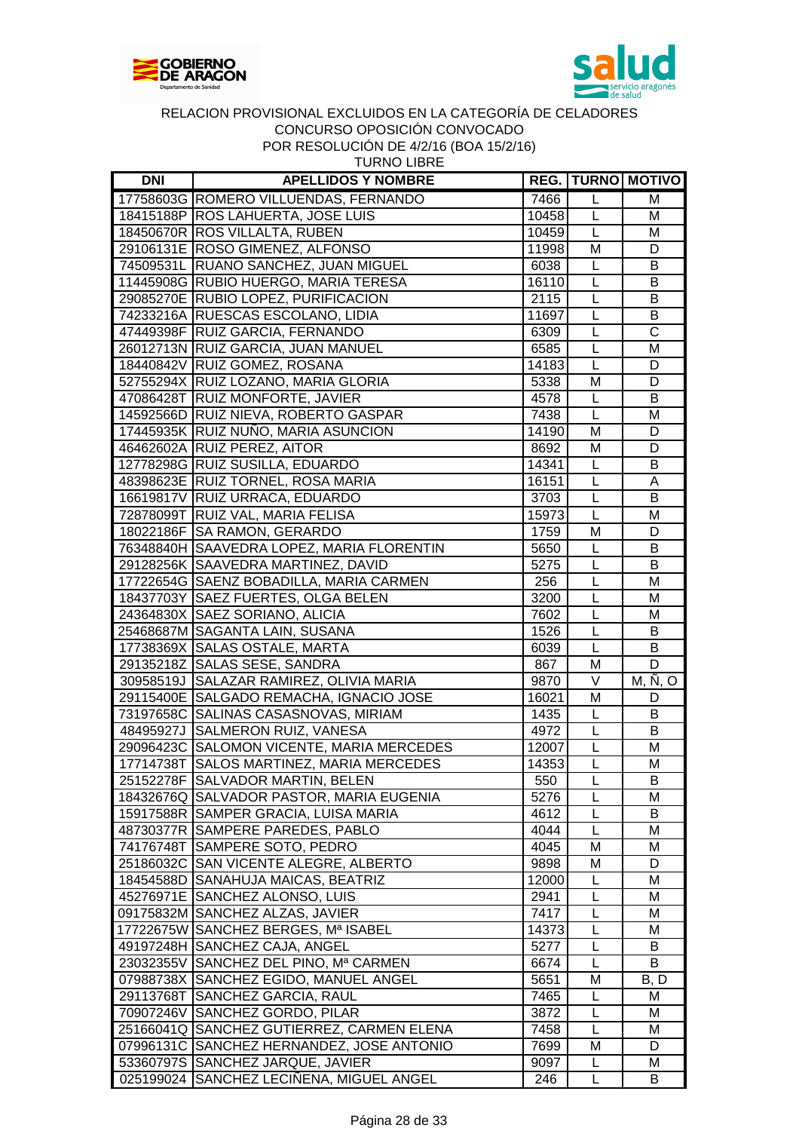



| <b>DNI</b> | <b>APELLIDOS Y NOMBRE</b>                 |       |                   | <b>REG. TURNO MOTIVO</b> |
|------------|-------------------------------------------|-------|-------------------|--------------------------|
|            | 17758603G ROMERO VILLUENDAS, FERNANDO     | 7466  | L                 | M                        |
|            | 18415188P ROS LAHUERTA, JOSE LUIS         | 10458 | L                 | M                        |
|            | 18450670R ROS VILLALTA, RUBEN             | 10459 | L                 | M                        |
|            | 29106131E ROSO GIMENEZ, ALFONSO           | 11998 | M                 | D                        |
|            | 74509531L RUANO SANCHEZ, JUAN MIGUEL      | 6038  | L                 | B                        |
|            | 11445908G RUBIO HUERGO, MARIA TERESA      | 16110 | L                 | B                        |
|            | 29085270E RUBIO LOPEZ, PURIFICACION       | 2115  | L                 | B                        |
|            | 74233216A RUESCAS ESCOLANO, LIDIA         | 11697 | L                 | B                        |
|            | 47449398F RUIZ GARCIA, FERNANDO           | 6309  | L                 | $\overline{C}$           |
|            | 26012713N RUIZ GARCIA, JUAN MANUEL        | 6585  | $\overline{L}$    | $\overline{\mathsf{M}}$  |
|            | 18440842V RUIZ GOMEZ, ROSANA              | 14183 | $\mathsf{L}$      | D                        |
|            | 52755294X RUIZ LOZANO, MARIA GLORIA       | 5338  | M                 | D                        |
|            | 47086428T RUIZ MONFORTE, JAVIER           | 4578  | L                 | B                        |
|            | 14592566D RUIZ NIEVA, ROBERTO GASPAR      | 7438  | L                 | M                        |
|            | 17445935K RUIZ NUÑO, MARIA ASUNCION       | 14190 | M                 | D                        |
|            | 46462602A RUIZ PEREZ, AITOR               | 8692  | M                 | D                        |
|            | 12778298G RUIZ SUSILLA, EDUARDO           | 14341 | L                 | B                        |
|            | 48398623E RUIZ TORNEL, ROSA MARIA         | 16151 | L                 | A                        |
|            | 16619817V RUIZ URRACA, EDUARDO            | 3703  | $\mathsf{L}$      | B                        |
|            | 72878099T RUIZ VAL, MARIA FELISA          | 15973 | $\overline{L}$    | M                        |
|            | 18022186F SA RAMON, GERARDO               | 1759  | M                 | D                        |
|            | 76348840H SAAVEDRA LOPEZ, MARIA FLORENTIN | 5650  | L                 | B                        |
|            | 29128256K SAAVEDRA MARTINEZ, DAVID        | 5275  | L                 | B                        |
|            | 17722654G SAENZ BOBADILLA, MARIA CARMEN   | 256   | L                 | M                        |
|            | 18437703Y SAEZ FUERTES, OLGA BELEN        | 3200  | L                 | M                        |
|            | 24364830X SAEZ SORIANO, ALICIA            | 7602  | $\overline{L}$    | M                        |
|            | 25468687M SAGANTA LAIN, SUSANA            | 1526  | $\overline{L}$    | B                        |
|            | 17738369X SALAS OSTALE, MARTA             | 6039  | $\overline{L}$    | B                        |
|            | 29135218Z SALAS SESE, SANDRA              | 867   | M                 | $\overline{D}$           |
|            | 30958519J SALAZAR RAMIREZ, OLIVIA MARIA   | 9870  | $\overline{\vee}$ | M, N, O                  |
|            | 29115400E SALGADO REMACHA, IGNACIO JOSE   | 16021 | M                 | D                        |
|            | 73197658C SALINAS CASASNOVAS, MIRIAM      | 1435  | L                 | B                        |
|            | 48495927J SALMERON RUIZ, VANESA           | 4972  | L                 | B                        |
|            | 29096423C SALOMON VICENTE, MARIA MERCEDES | 12007 | L                 | M                        |
|            | 17714738T SALOS MARTINEZ, MARIA MERCEDES  | 14353 | $\overline{L}$    | M                        |
|            | 25152278F SALVADOR MARTIN, BELEN          | 550   | L                 | B                        |
|            | 18432676Q SALVADOR PASTOR, MARIA EUGENIA  | 5276  | L                 | M                        |
|            | 15917588R SAMPER GRACIA, LUISA MARIA      | 4612  | L                 | B                        |
|            | 48730377R SAMPERE PAREDES, PABLO          | 4044  | L                 | M                        |
| 74176748T  | SAMPERE SOTO, PEDRO                       | 4045  | M                 | M                        |
|            | 25186032C SAN VICENTE ALEGRE, ALBERTO     | 9898  | M                 | D                        |
|            | 18454588D SANAHUJA MAICAS, BEATRIZ        | 12000 | L                 | M                        |
|            | 45276971E SANCHEZ ALONSO, LUIS            | 2941  | L                 | M                        |
|            | 09175832M SANCHEZ ALZAS, JAVIER           | 7417  | L                 | M                        |
|            | 17722675W SANCHEZ BERGES, Mª ISABEL       | 14373 | L                 | M                        |
|            | 49197248H SANCHEZ CAJA, ANGEL             | 5277  | L                 | B                        |
|            | 23032355V SANCHEZ DEL PINO, Mª CARMEN     | 6674  | L                 | B                        |
|            | 07988738X SANCHEZ EGIDO, MANUEL ANGEL     | 5651  | M                 | B, D                     |
|            | 29113768T SANCHEZ GARCIA, RAUL            | 7465  | L                 | M                        |
|            | 70907246V SANCHEZ GORDO, PILAR            | 3872  | L                 | M                        |
|            | 25166041Q SANCHEZ GUTIERREZ, CARMEN ELENA | 7458  | L                 | M                        |
|            | 07996131C SANCHEZ HERNANDEZ, JOSE ANTONIO | 7699  | M                 | D                        |
|            | 53360797S SANCHEZ JARQUE, JAVIER          | 9097  | L                 | M                        |
|            | 025199024 SANCHEZ LECIÑENA, MIGUEL ANGEL  | 246   | L                 | B                        |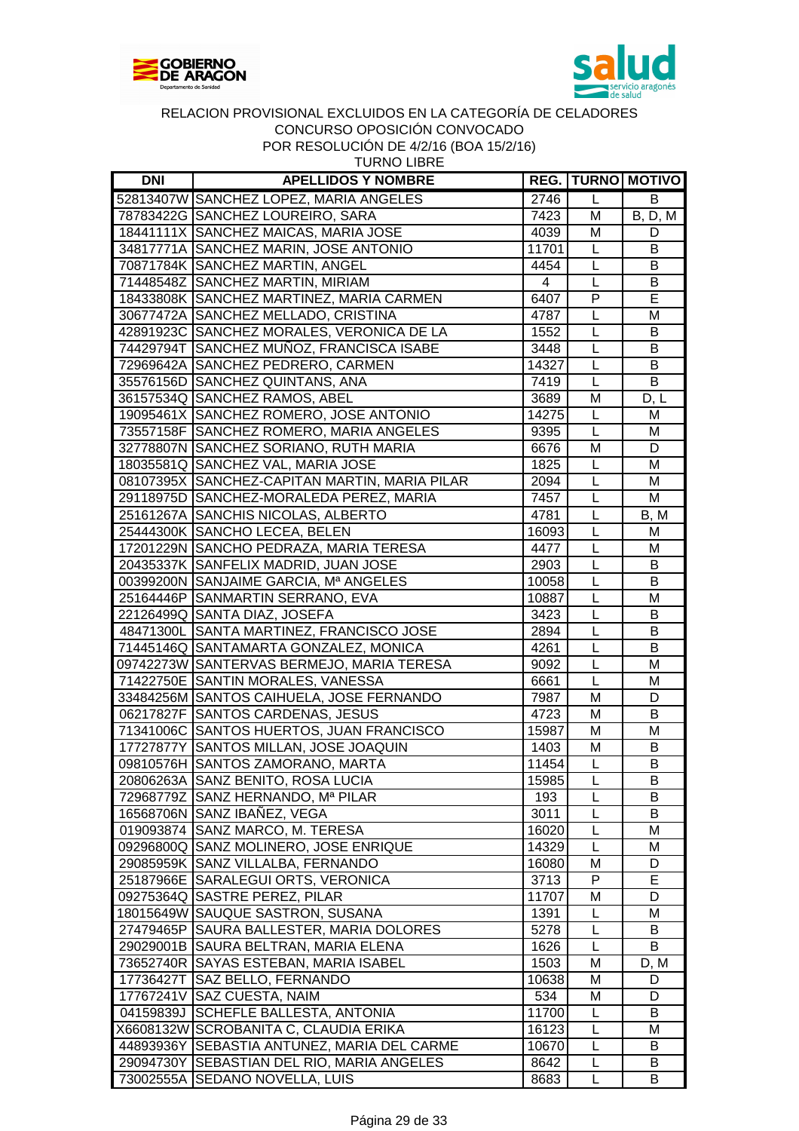



| TURNO LIBR |
|------------|
|------------|

| <b>DNI</b> | <b>APELLIDOS Y NOMBRE</b>                     |       |   | <b>REG.   TURNO   MOTIVO</b>   |
|------------|-----------------------------------------------|-------|---|--------------------------------|
|            | 52813407W SANCHEZ LOPEZ, MARIA ANGELES        | 2746  | L | B                              |
|            | 78783422G SANCHEZ LOUREIRO, SARA              | 7423  | M | <b>B</b> , <b>D</b> , <b>M</b> |
|            | 18441111X SANCHEZ MAICAS, MARIA JOSE          | 4039  | M | D                              |
|            | 34817771A SANCHEZ MARIN, JOSE ANTONIO         | 11701 | L | B                              |
|            | 70871784K SANCHEZ MARTIN, ANGEL               | 4454  | L | B                              |
|            | 71448548Z SANCHEZ MARTIN, MIRIAM              | 4     | L | B                              |
|            | 18433808K SANCHEZ MARTINEZ, MARIA CARMEN      | 6407  | P | E                              |
|            | 30677472A SANCHEZ MELLADO, CRISTINA           | 4787  | L | M                              |
|            | 42891923C SANCHEZ MORALES, VERONICA DE LA     | 1552  | L | B                              |
|            | 74429794T SANCHEZ MUÑOZ, FRANCISCA ISABE      | 3448  | L | B                              |
|            | 72969642A SANCHEZ PEDRERO, CARMEN             | 14327 | L | B                              |
|            | 35576156D SANCHEZ QUINTANS, ANA               | 7419  | L | B                              |
|            | 36157534Q SANCHEZ RAMOS, ABEL                 | 3689  | M | D, L                           |
|            | 19095461X SANCHEZ ROMERO, JOSE ANTONIO        | 14275 | L | M                              |
|            | 73557158F SANCHEZ ROMERO, MARIA ANGELES       | 9395  | L | M                              |
|            | 32778807N SANCHEZ SORIANO, RUTH MARIA         | 6676  | M | D                              |
|            | 18035581Q SANCHEZ VAL, MARIA JOSE             | 1825  | L | M                              |
|            | 08107395X SANCHEZ-CAPITAN MARTIN, MARIA PILAR | 2094  | L | M                              |
|            | 29118975D SANCHEZ-MORALEDA PEREZ, MARIA       | 7457  | L | M                              |
|            | 25161267A SANCHIS NICOLAS, ALBERTO            | 4781  | L | B, M                           |
|            | 25444300K SANCHO LECEA, BELEN                 | 16093 | L | M                              |
|            | 17201229N SANCHO PEDRAZA, MARIA TERESA        | 4477  | L | M                              |
|            | 20435337K SANFELIX MADRID, JUAN JOSE          | 2903  | L | B                              |
|            | 00399200N SANJAIME GARCIA, Mª ANGELES         | 10058 | L | B                              |
|            | 25164446P SANMARTIN SERRANO, EVA              | 10887 | L | M                              |
|            | 22126499Q SANTA DIAZ, JOSEFA                  | 3423  | L | B                              |
|            | 48471300L SANTA MARTINEZ, FRANCISCO JOSE      | 2894  | L | B                              |
|            | 71445146Q SANTAMARTA GONZALEZ, MONICA         | 4261  | L | B                              |
|            | 09742273W SANTERVAS BERMEJO, MARIA TERESA     | 9092  | L | M                              |
|            | 71422750E SANTIN MORALES, VANESSA             | 6661  | L | M                              |
|            | 33484256M SANTOS CAIHUELA, JOSE FERNANDO      | 7987  | M | D                              |
|            | 06217827F SANTOS CARDENAS, JESUS              | 4723  | M | B                              |
|            | 71341006C SANTOS HUERTOS, JUAN FRANCISCO      | 15987 | M | M                              |
|            | 17727877Y SANTOS MILLAN, JOSE JOAQUIN         | 1403  | M | B                              |
|            | 09810576H SANTOS ZAMORANO, MARTA              | 11454 | L | B                              |
|            | 20806263A SANZ BENITO, ROSA LUCIA             | 15985 | L | $\overline{B}$                 |
|            | 72968779Z SANZ HERNANDO, Mª PILAR             | 193   | L | В                              |
|            | 16568706N SANZ IBANEZ, VEGA                   | 3011  | L | В                              |
|            | 019093874 SANZ MARCO, M. TERESA               | 16020 | L | M                              |
|            | 09296800Q SANZ MOLINERO, JOSE ENRIQUE         | 14329 | L | M                              |
|            | 29085959K SANZ VILLALBA, FERNANDO             | 16080 | M | D                              |
|            | 25187966E SARALEGUI ORTS, VERONICA            | 3713  | P | Е                              |
|            | 09275364Q SASTRE PEREZ, PILAR                 | 11707 | M | D                              |
|            | 18015649W SAUQUE SASTRON, SUSANA              | 1391  | L | м                              |
|            | 27479465P SAURA BALLESTER, MARIA DOLORES      | 5278  | L | В                              |
|            | 29029001B SAURA BELTRAN, MARIA ELENA          | 1626  | L | B                              |
|            | 73652740R SAYAS ESTEBAN, MARIA ISABEL         | 1503  | М | D, M                           |
|            | 17736427T SAZ BELLO, FERNANDO                 | 10638 | М | D                              |
|            | 17767241V SAZ CUESTA, NAIM                    | 534   | M | D                              |
|            | 04159839J SCHEFLE BALLESTA, ANTONIA           | 11700 | L | В                              |
|            | X6608132W SCROBANITA C, CLAUDIA ERIKA         | 16123 | L | M                              |
|            | 44893936Y SEBASTIA ANTUNEZ, MARIA DEL CARME   | 10670 | L | B                              |
|            | 29094730Y SEBASTIAN DEL RIO, MARIA ANGELES    | 8642  | L | В                              |
|            | 73002555A SEDANO NOVELLA, LUIS                | 8683  | L | В                              |
|            |                                               |       |   |                                |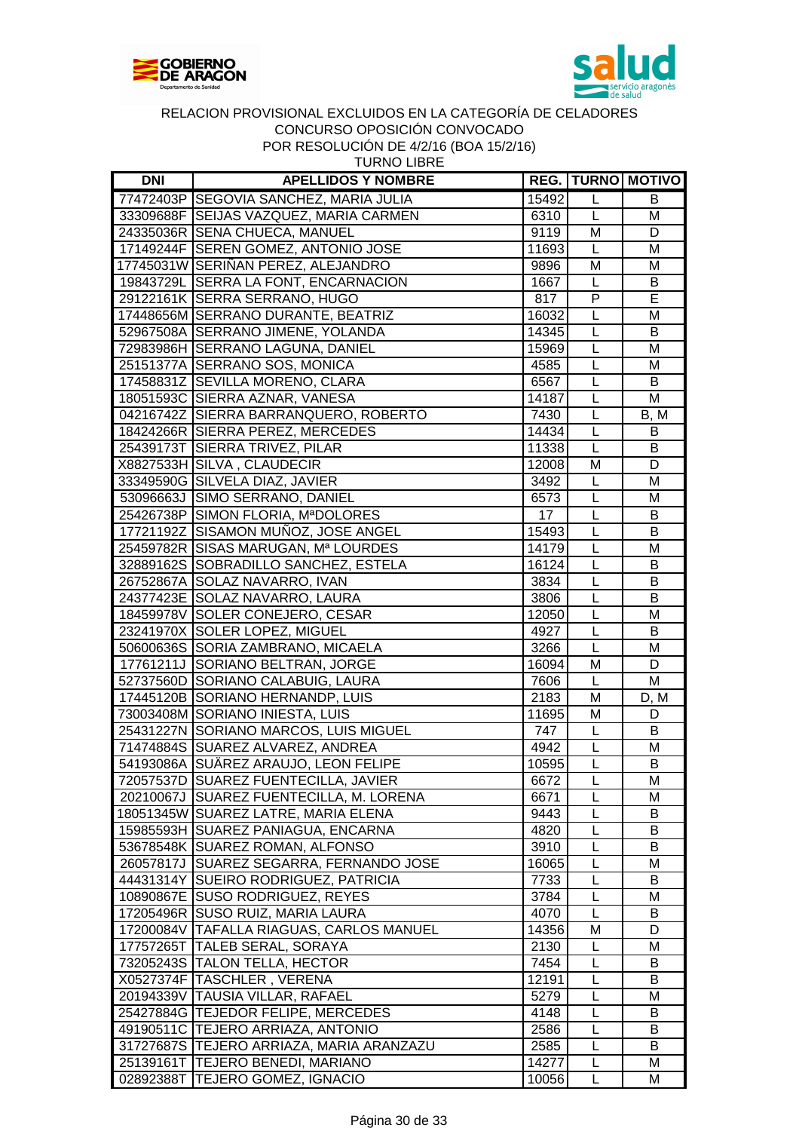



| <b>DNI</b> | <b>APELLIDOS Y NOMBRE</b>                |       |                         | <b>REG. TURNO MOTIVO</b> |
|------------|------------------------------------------|-------|-------------------------|--------------------------|
|            | 77472403P SEGOVIA SANCHEZ, MARIA JULIA   | 15492 | L                       | В                        |
|            | 33309688F SEIJAS VAZQUEZ, MARIA CARMEN   | 6310  | L                       | M                        |
|            | 24335036R SENA CHUECA, MANUEL            | 9119  | M                       | D                        |
|            | 17149244F SEREN GOMEZ, ANTONIO JOSE      | 11693 | L                       | M                        |
|            | 17745031W SERIÑAN PEREZ, ALEJANDRO       | 9896  | M                       | M                        |
|            | 19843729L SERRA LA FONT, ENCARNACION     | 1667  | L                       | B                        |
|            | 29122161K SERRA SERRANO, HUGO            | 817   | ${\sf P}$               | $\overline{E}$           |
|            | 17448656M SERRANO DURANTE, BEATRIZ       | 16032 | L                       | M                        |
|            | 52967508A SERRANO JIMENE, YOLANDA        | 14345 | L                       | B                        |
|            | 72983986H SERRANO LAGUNA, DANIEL         | 15969 | L                       | M                        |
|            | 25151377A SERRANO SOS, MONICA            | 4585  | L                       | M                        |
|            | 17458831Z SEVILLA MORENO, CLARA          | 6567  | L                       | B                        |
|            | 18051593C SIERRA AZNAR, VANESA           | 14187 | L                       | M                        |
|            | 04216742Z SIERRA BARRANQUERO, ROBERTO    | 7430  | $\overline{L}$          | B, M                     |
|            | 18424266R SIERRA PEREZ, MERCEDES         | 14434 | L                       | B                        |
|            | 25439173T SIERRA TRIVEZ, PILAR           | 11338 | $\overline{L}$          | B                        |
|            | X8827533H SILVA, CLAUDECIR               | 12008 | M                       | D                        |
|            | 33349590G SILVELA DIAZ, JAVIER           | 3492  | L                       | M                        |
|            | 53096663J SIMO SERRANO, DANIEL           | 6573  | L                       | M                        |
|            | 25426738P SIMON FLORIA, MªDOLORES        | 17    | $\overline{L}$          | B                        |
|            | 17721192Z SISAMON MUÑOZ, JOSE ANGEL      | 15493 | L                       | B                        |
|            | 25459782R SISAS MARUGAN, Mª LOURDES      | 14179 | L                       | M                        |
|            | 32889162S SOBRADILLO SANCHEZ, ESTELA     | 16124 | L                       | B                        |
|            | 26752867A SOLAZ NAVARRO, IVAN            | 3834  | L                       | B                        |
|            | 24377423E SOLAZ NAVARRO, LAURA           | 3806  | L                       | B                        |
|            | 18459978V SOLER CONEJERO, CESAR          | 12050 | L                       | M                        |
|            | 23241970X SOLER LOPEZ, MIGUEL            | 4927  | L                       | В                        |
|            | 50600636S SORIA ZAMBRANO, MICAELA        | 3266  | L                       | M                        |
|            | 17761211J SORIANO BELTRAN, JORGE         | 16094 | M                       | D                        |
|            | 52737560D SORIANO CALABUIG, LAURA        | 7606  | $\overline{L}$          | M                        |
|            | 17445120B SORIANO HERNANDP, LUIS         | 2183  | $\overline{\mathsf{M}}$ | D, M                     |
|            | 73003408M SORIANO INIESTA, LUIS          | 11695 | $\overline{M}$          | D                        |
|            | 25431227N SORIANO MARCOS, LUIS MIGUEL    | 747   | L                       | B                        |
|            | 71474884S SUAREZ ALVAREZ, ANDREA         | 4942  | L                       | M                        |
|            | 54193086A SUÄREZ ARAUJO, LEON FELIPE     | 10595 | L                       | B                        |
|            | 72057537D SUAREZ FUENTECILLA, JAVIER     | 6672  | L                       | м                        |
|            | 20210067J SUAREZ FUENTECILLA, M. LORENA  | 6671  | L                       | M                        |
|            | 18051345W SUAREZ LATRE, MARIA ELENA      | 9443  | L                       | В                        |
|            | 15985593H SUAREZ PANIAGUA, ENCARNA       | 4820  | L                       | B                        |
|            | 53678548K SUAREZ ROMAN, ALFONSO          | 3910  | L                       | B                        |
|            | 26057817J SUAREZ SEGARRA, FERNANDO JOSE  | 16065 | L                       | M                        |
|            | 44431314Y SUEIRO RODRIGUEZ, PATRICIA     | 7733  | L                       | B                        |
|            | 10890867E SUSO RODRIGUEZ, REYES          | 3784  | L                       | M                        |
|            | 17205496R SUSO RUIZ, MARIA LAURA         | 4070  | L                       | B                        |
|            | 17200084V TAFALLA RIAGUAS, CARLOS MANUEL | 14356 | M                       | D                        |
|            | 17757265T TALEB SERAL, SORAYA            | 2130  | L                       | M                        |
|            | 73205243S TALON TELLA, HECTOR            | 7454  | L                       | В                        |
|            | X0527374F TASCHLER, VERENA               | 12191 | L                       | B                        |
|            | 20194339V TAUSIA VILLAR, RAFAEL          | 5279  | L                       | м                        |
|            | 25427884G TEJEDOR FELIPE, MERCEDES       | 4148  | L                       | В                        |
|            | 49190511C TEJERO ARRIAZA, ANTONIO        | 2586  | L                       | В                        |
|            | 31727687S TEJERO ARRIAZA, MARIA ARANZAZU | 2585  | L                       | B                        |
|            | 25139161T TEJERO BENEDI, MARIANO         | 14277 | L                       | M                        |
|            | 02892388T TEJERO GOMEZ, IGNACIO          | 10056 | L                       | M                        |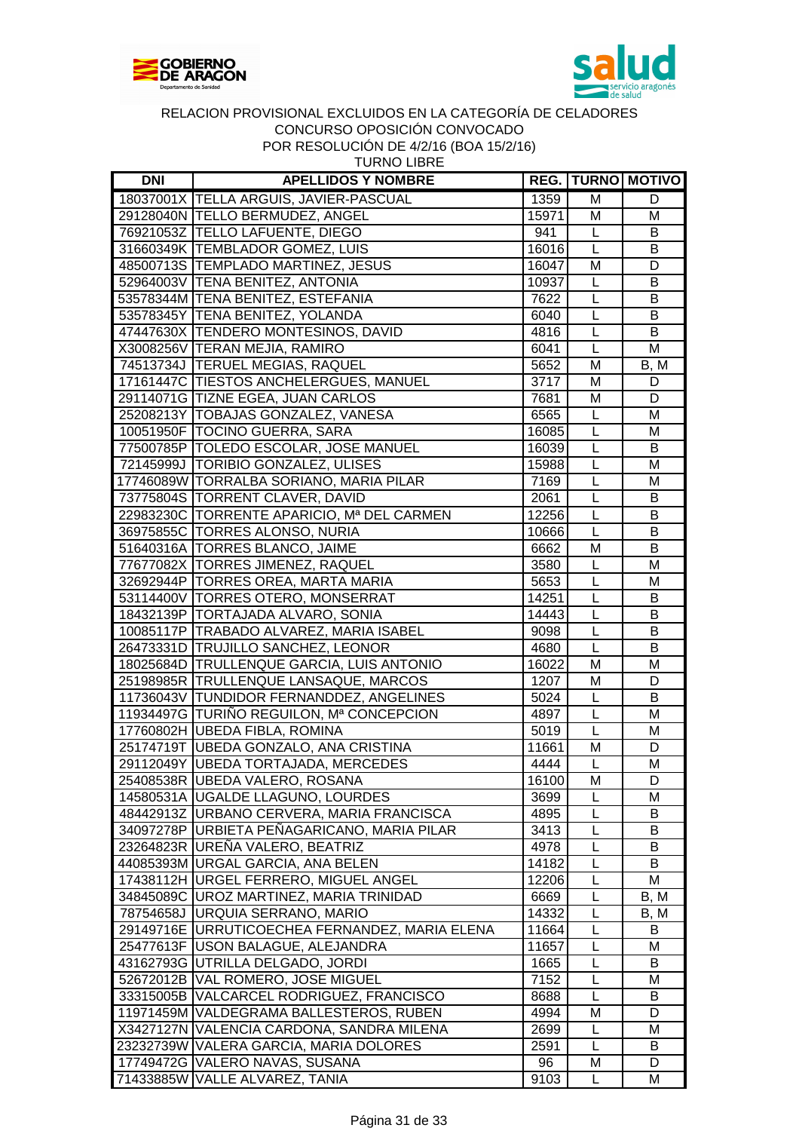



| <b>TURNO LIBRE</b> |
|--------------------|
|--------------------|

| <b>DNI</b> | <b>APELLIDOS Y NOMBRE</b>                      |              |                | <b>REG.   TURNO   MOTIVO</b> |
|------------|------------------------------------------------|--------------|----------------|------------------------------|
|            | 18037001X TELLA ARGUIS, JAVIER-PASCUAL         | 1359         | M              | D                            |
|            | 29128040N TELLO BERMUDEZ, ANGEL                | 15971        | M              | M                            |
|            | 76921053Z TELLO LAFUENTE, DIEGO                | 941          | L              | B                            |
|            | 31660349K TEMBLADOR GOMEZ, LUIS                | 16016        | L              | B                            |
|            | 48500713S TEMPLADO MARTINEZ, JESUS             | 16047        | M              | D                            |
|            | 52964003V TENA BENITEZ, ANTONIA                | 10937        | L              | B                            |
|            | 53578344M TENA BENITEZ, ESTEFANIA              | 7622         | L              | B                            |
|            | 53578345Y TENA BENITEZ, YOLANDA                | 6040         | L              | B                            |
|            | 47447630X TENDERO MONTESINOS, DAVID            | 4816         | L              | B                            |
|            | X3008256V TERAN MEJIA, RAMIRO                  | 6041         | L              | M                            |
|            | 74513734J TERUEL MEGIAS, RAQUEL                | 5652         | M              | B, M                         |
|            | 17161447C TIESTOS ANCHELERGUES, MANUEL         | 3717         | M              | D                            |
|            | 29114071G TIZNE EGEA, JUAN CARLOS              | 7681         | M              | D                            |
|            | 25208213Y   TOBAJAS GONZALEZ, VANESA           | 6565         | L              | M                            |
|            | 10051950F TOCINO GUERRA, SARA                  | 16085        | L              | M                            |
|            | 77500785P   TOLEDO ESCOLAR, JOSE MANUEL        | 16039        | L              | B                            |
|            | 72145999J TORIBIO GONZALEZ, ULISES             | 15988        | L              | M                            |
|            | 17746089W TORRALBA SORIANO, MARIA PILAR        | 7169         | L              | M                            |
|            | 73775804S TORRENT CLAVER, DAVID                | 2061         | L              | B                            |
|            | 22983230C TORRENTE APARICIO, Mª DEL CARMEN     | 12256        | L              | B                            |
|            | 36975855C TORRES ALONSO, NURIA                 | 10666        | L              | B                            |
|            | 51640316A   TORRES BLANCO, JAIME               | 6662         | M              | B                            |
|            | 77677082X TORRES JIMENEZ, RAQUEL               | 3580         | L              | M                            |
|            | 32692944P TORRES OREA, MARTA MARIA             | 5653         | L              | M                            |
|            | 53114400V TORRES OTERO, MONSERRAT              | 14251        | L              | B                            |
|            | 18432139P TORTAJADA ALVARO, SONIA              | 14443        | L              | B                            |
|            | 10085117P TRABADO ALVAREZ, MARIA ISABEL        | 9098         | $\overline{L}$ | B                            |
|            | 26473331D TRUJILLO SANCHEZ, LEONOR             | 4680         | $\overline{L}$ | B                            |
|            | 18025684D TRULLENQUE GARCIA, LUIS ANTONIO      | 16022        | M              | M                            |
|            | 25198985R TRULLENQUE LANSAQUE, MARCOS          | 1207         | M              | D                            |
|            | 11736043V TUNDIDOR FERNANDDEZ, ANGELINES       | 5024         | L              | B                            |
|            | 11934497G TURIÑO REGUILON, Mª CONCEPCION       | 4897         | L              | M                            |
|            | 17760802H UBEDA FIBLA, ROMINA                  | 5019         | L              | M                            |
|            | 25174719T UBEDA GONZALO, ANA CRISTINA          | 11661        | M              | D                            |
|            | 29112049Y UBEDA TORTAJADA, MERCEDES            | 4444         | L              | M                            |
|            | 25408538R UBEDA VALERO, ROSANA                 | 16100        | $\overline{M}$ | $\overline{D}$               |
|            |                                                |              |                |                              |
|            | 14580531A   UGALDE LLAGUNO, LOURDES            | 3699         | L              | м<br>B                       |
|            | 48442913Z  URBANO CERVERA, MARIA FRANCISCA     | 4895         | L              |                              |
|            | 34097278P URBIETA PENAGARICANO, MARIA PILAR    | 3413<br>4978 | L              | В<br>В                       |
|            | 23264823R URENA VALERO, BEATRIZ                | 14182        | L<br>L         | B                            |
|            | 44085393M URGAL GARCIA, ANA BELEN              |              | L              | M                            |
|            | 17438112H URGEL FERRERO, MIGUEL ANGEL          | 12206        |                |                              |
|            | 34845089C UROZ MARTINEZ, MARIA TRINIDAD        | 6669         | L<br>L         | B, M                         |
|            | 78754658J URQUIA SERRANO, MARIO                | 14332        |                | B, M                         |
|            | 29149716E URRUTICOECHEA FERNANDEZ, MARIA ELENA | 11664        | L              | в                            |
|            | 25477613F USON BALAGUE, ALEJANDRA              | 11657        | L              | м                            |
|            | 43162793G UTRILLA DELGADO, JORDI               | 1665         | L              | B                            |
|            | 52672012B VAL ROMERO, JOSE MIGUEL              | 7152         | L              | M                            |
|            | 33315005B VALCARCEL RODRIGUEZ, FRANCISCO       | 8688         | L              | B                            |
|            | 11971459M VALDEGRAMA BALLESTEROS, RUBEN        | 4994         | M              | D                            |
|            | X3427127N VALENCIA CARDONA, SANDRA MILENA      | 2699         | L              | M                            |
|            | 23232739W VALERA GARCIA, MARIA DOLORES         | 2591         | L              | B                            |
|            | 17749472G VALERO NAVAS, SUSANA                 | 96           | м              | D                            |
|            | 71433885W VALLE ALVAREZ, TANIA                 | 9103         | L              | м                            |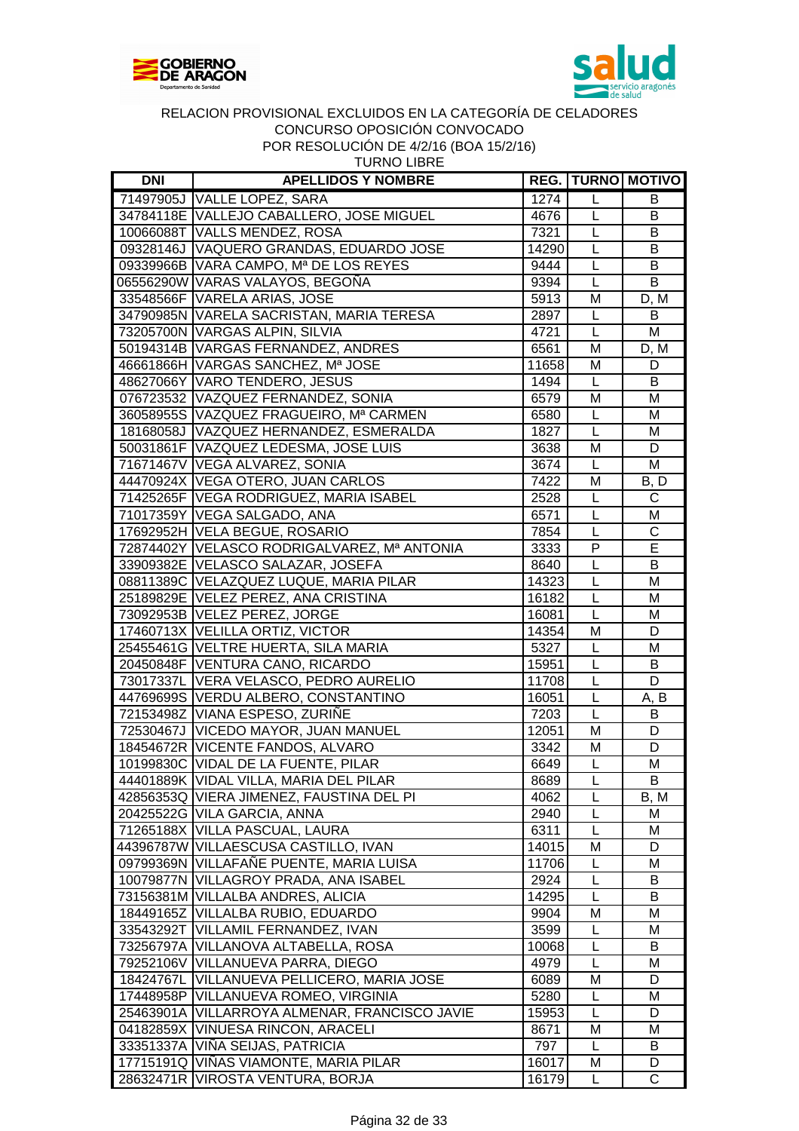



| <b>DNI</b> | <b>APELLIDOS Y NOMBRE</b>                     |       |                | <b>REG.   TURNO   MOTIVO  </b> |
|------------|-----------------------------------------------|-------|----------------|--------------------------------|
|            | 71497905J VALLE LOPEZ, SARA                   | 1274  | L              | B                              |
|            | 34784118E VALLEJO CABALLERO, JOSE MIGUEL      | 4676  | L              | B                              |
|            | 10066088T VALLS MENDEZ, ROSA                  | 7321  | L              | В                              |
|            | 09328146J VAQUERO GRANDAS, EDUARDO JOSE       | 14290 | L              | B                              |
|            | 09339966B VARA CAMPO, Mª DE LOS REYES         | 9444  | L              | B                              |
|            | 06556290W VARAS VALAYOS, BEGOÑA               | 9394  | $\overline{L}$ | B                              |
|            | 33548566F VARELA ARIAS, JOSE                  | 5913  | M              | $D, \overline{M}$              |
|            | 34790985N VARELA SACRISTAN, MARIA TERESA      | 2897  | $\mathsf{L}$   | B                              |
|            | 73205700N VARGAS ALPIN, SILVIA                | 4721  | L              | M                              |
|            | 50194314B VARGAS FERNANDEZ, ANDRES            | 6561  | M              | D, M                           |
|            | 46661866H VARGAS SANCHEZ, Mª JOSE             | 11658 | M              | D                              |
|            | 48627066Y VARO TENDERO, JESUS                 | 1494  | L              | B                              |
|            | 076723532 VAZQUEZ FERNANDEZ, SONIA            | 6579  | M              | M                              |
|            | 36058955S VAZQUEZ FRAGUEIRO, Mª CARMEN        | 6580  | L              | M                              |
|            | 18168058J VAZQUEZ HERNANDEZ, ESMERALDA        | 1827  | L              | M                              |
|            | 50031861F VAZQUEZ LEDESMA, JOSE LUIS          | 3638  | M              | D                              |
|            | 71671467V VEGA ALVAREZ, SONIA                 | 3674  | L              | M                              |
|            | 44470924X VEGA OTERO, JUAN CARLOS             | 7422  | M              | B, D                           |
|            | 71425265F VEGA RODRIGUEZ, MARIA ISABEL        | 2528  | L              | C                              |
|            | 71017359Y VEGA SALGADO, ANA                   | 6571  | L              | M                              |
|            | 17692952H VELA BEGUE, ROSARIO                 | 7854  | L              | C                              |
|            | 72874402Y VELASCO RODRIGALVAREZ, Mª ANTONIA   | 3333  | $\overline{P}$ | E                              |
|            |                                               |       | $\overline{L}$ |                                |
|            | 33909382E VELASCO SALAZAR, JOSEFA             | 8640  | $\overline{L}$ | B                              |
|            | 08811389C VELAZQUEZ LUQUE, MARIA PILAR        | 14323 |                | M                              |
|            | 25189829E VELEZ PEREZ, ANA CRISTINA           | 16182 | L              | M                              |
|            | 73092953B VELEZ PEREZ, JORGE                  | 16081 | $\overline{L}$ | M                              |
|            | 17460713X VELILLA ORTIZ, VICTOR               | 14354 | M              | D                              |
|            | 25455461G VELTRE HUERTA, SILA MARIA           | 5327  | L              | M                              |
|            | 20450848F VENTURA CANO, RICARDO               | 15951 | $\overline{L}$ | B                              |
|            | 73017337L VERA VELASCO, PEDRO AURELIO         | 11708 | L              | $\overline{D}$                 |
|            | 44769699S VERDU ALBERO, CONSTANTINO           | 16051 | L              | A, B                           |
|            | 72153498Z VIANA ESPESO, ZURIÑE                | 7203  | L              | B                              |
|            | 72530467J   VICEDO MAYOR, JUAN MANUEL         | 12051 | M              | D                              |
|            | 18454672R VICENTE FANDOS, ALVARO              | 3342  | M              | D                              |
|            | 10199830C VIDAL DE LA FUENTE, PILAR           | 6649  | L              | M                              |
|            | 44401889K VIDAL VILLA, MARIA DEL PILAR        | 8689  | L              | B                              |
|            | 42856353Q VIERA JIMENEZ, FAUSTINA DEL PI      | 4062  | L              | B, M                           |
|            | 20425522G VILA GARCIA, ANNA                   | 2940  | L              | M                              |
|            | 71265188X VILLA PASCUAL, LAURA                | 6311  | L              | M                              |
|            | 44396787W VILLAESCUSA CASTILLO, IVAN          | 14015 | M              | D                              |
|            | 09799369N VILLAFAÑE PUENTE, MARIA LUISA       | 11706 | L              | м                              |
|            | 10079877N VILLAGROY PRADA, ANA ISABEL         | 2924  | L              | В                              |
|            | 73156381M VILLALBA ANDRES, ALICIA             | 14295 | L              | В                              |
|            | 18449165Z   VILLALBA RUBIO, EDUARDO           | 9904  | M              | M                              |
| 33543292T  | <b>VILLAMIL FERNANDEZ, IVAN</b>               | 3599  | L              | M                              |
|            | 73256797A VILLANOVA ALTABELLA, ROSA           | 10068 | L              | В                              |
|            | 79252106V VILLANUEVA PARRA, DIEGO             | 4979  | L              | M                              |
| 18424767L  | VILLANUEVA PELLICERO, MARIA JOSE              | 6089  | М              | D                              |
|            | 17448958P   VILLANUEVA ROMEO, VIRGINIA        | 5280  | L              | M                              |
|            | 25463901A VILLARROYA ALMENAR, FRANCISCO JAVIE | 15953 | L              | D                              |
|            | 04182859X VINUESA RINCON, ARACELI             | 8671  | М              | M                              |
|            | 33351337A VIÑA SEIJAS, PATRICIA               | 797   | L              | B                              |
|            | 17715191Q VINAS VIAMONTE, MARIA PILAR         | 16017 | M              | D                              |
|            | 28632471R VIROSTA VENTURA, BORJA              | 16179 | L              | C                              |